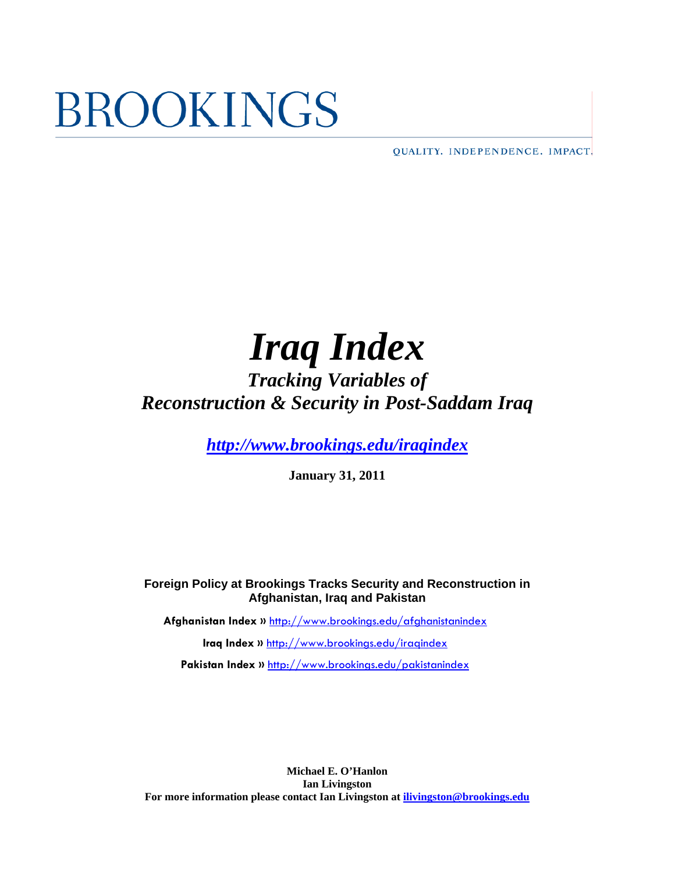# **BROOKINGS**

QUALITY. INDEPENDENCE. IMPACT.

# *Iraq Index*

# *Tracking Variables of Reconstruction & Security in Post-Saddam Iraq*

*<http://www.brookings.edu/iraqindex>*

**January 31, 2011** 

**Foreign Policy at Brookings Tracks Security and Reconstruction in Afghanistan, Iraq and Pakistan**

**Afghanistan Index »** <http://www.brookings.edu/afghanistanindex>

**Iraq Index »** <http://www.brookings.edu/iraqindex>

Pakistan Index » <http://www.brookings.edu/pakistanindex>

**Michael E. O'Hanlon Ian Livingston For more information please contact Ian Livingston at [ilivingston@brookings.edu](mailto:ilivingston@brookings.edu)**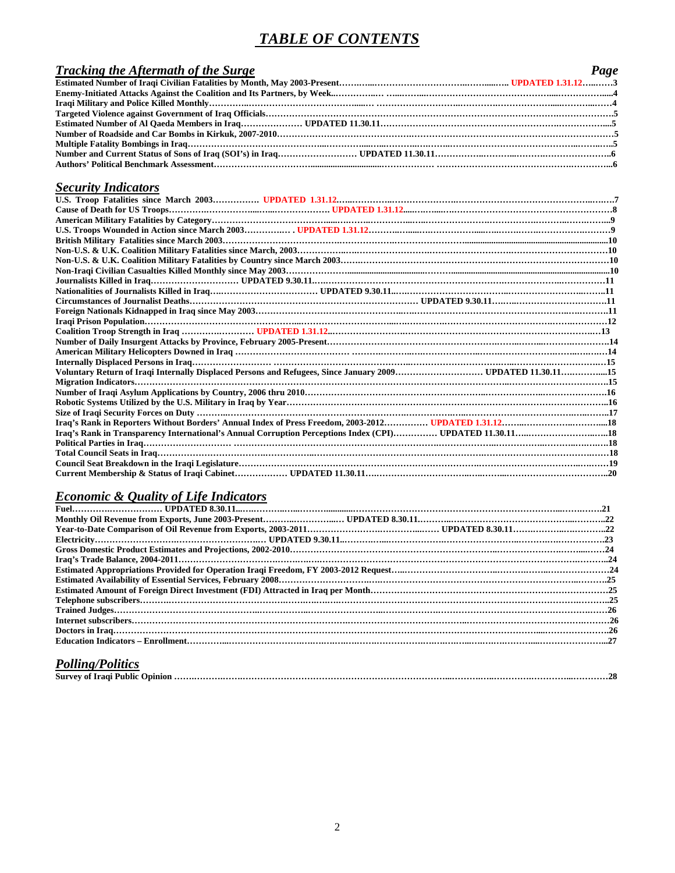## *TABLE OF CONTENTS*

| <b>Tracking the Aftermath of the Surge</b> | Page |
|--------------------------------------------|------|
|                                            |      |
|                                            |      |
|                                            |      |
|                                            |      |
|                                            |      |
|                                            |      |
|                                            |      |
|                                            |      |
|                                            |      |

## *Security Indicators*

| Voluntary Return of Iraqi Internally Displaced Persons and Refugees, Since January 2009 UPDATED 11.30.1115 |  |
|------------------------------------------------------------------------------------------------------------|--|
|                                                                                                            |  |
|                                                                                                            |  |
|                                                                                                            |  |
|                                                                                                            |  |
|                                                                                                            |  |
|                                                                                                            |  |
|                                                                                                            |  |
|                                                                                                            |  |
|                                                                                                            |  |
|                                                                                                            |  |

## *Economic & Quality of Life Indicators*

## *Polling/Politics*

| Survey of Iraqi Public Opinion | 90 |
|--------------------------------|----|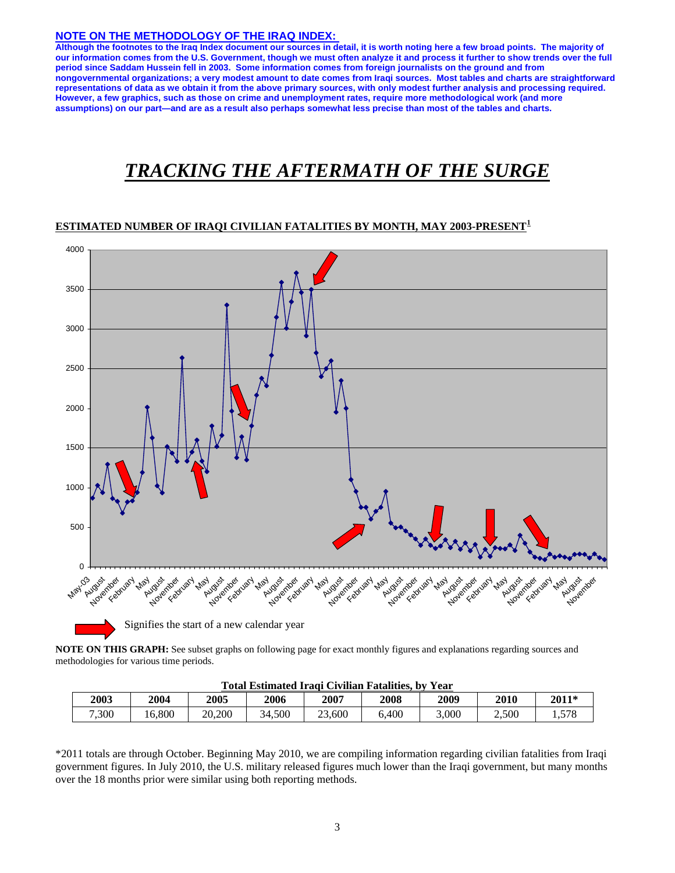## **NOTE ON THE METHODOLOGY OF THE IRAQ INDEX:**

**Although the footnotes to the Iraq Index document our sources in detail, it is worth noting here a few broad points. The majority of our information comes from the U.S. Government, though we must often analyze it and process it further to show trends over the full period since Saddam Hussein fell in 2003. Some information comes from foreign journalists on the ground and from nongovernmental organizations; a very modest amount to date comes from Iraqi sources. Most tables and charts are straightforward representations of data as we obtain it from the above primary sources, with only modest further analysis and processing required. However, a few graphics, such as those on crime and unemployment rates, require more methodological work (and more assumptions) on our part—and are as a result also perhaps somewhat less precise than most of the tables and charts.** 

# *TRACKING THE AFTERMATH OF THE SURGE*

#### **ESTIMATED NUMBER OF IRAQI CIVILIAN FATALITIES BY MONTH, MAY 2003-PRESENT[1](#page-33-0)**



**NOTE ON THIS GRAPH:** See subset graphs on following page for exact monthly figures and explanations regarding sources and methodologies for various time periods.

| Fotal Estimated Iraqi Civilian Fatalities. by Year |       |        |        |        |       |       |       |       |  |
|----------------------------------------------------|-------|--------|--------|--------|-------|-------|-------|-------|--|
| 2003                                               | 2004  | 2005   | 2006   | 2007   | 2008  | 2009  | 2010  | 2011* |  |
| 7,300                                              | 6,800 | 20,200 | 34.500 | 23,600 | 5,400 | 3.000 | 2,500 | 1,578 |  |

**Total Estimated Iraqi Civilian Fatalities, by Year**

\*2011 totals are through October. Beginning May 2010, we are compiling information regarding civilian fatalities from Iraqi government figures. In July 2010, the U.S. military released figures much lower than the Iraqi government, but many months over the 18 months prior were similar using both reporting methods.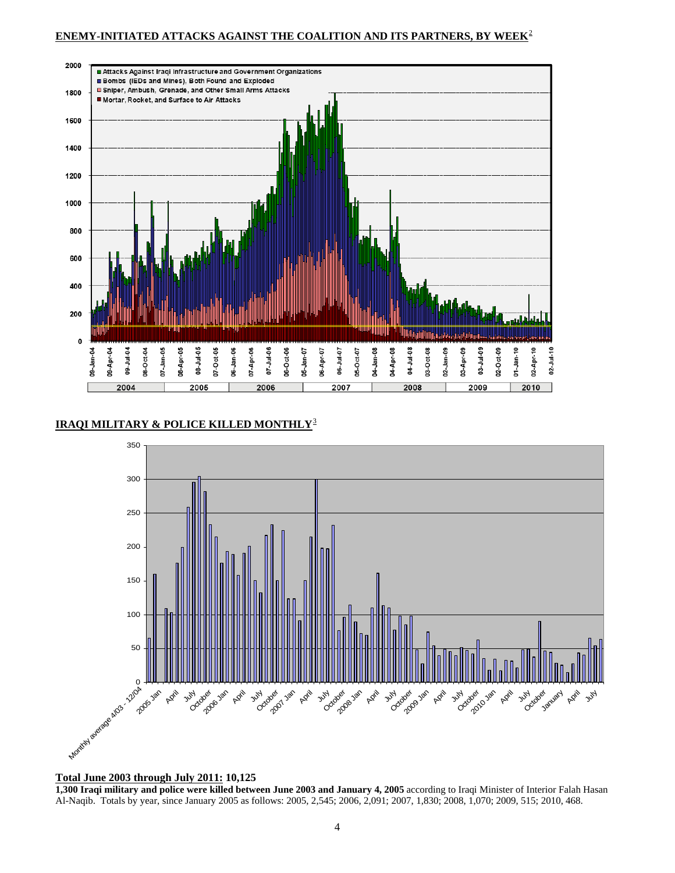## **ENEMY-INITIATED ATTACKS AGAINST THE COALITION AND ITS PARTNERS, BY WEEK**[2](#page-33-1)



## **IRAQI MILITARY & POLICE KILLED MONTHLY**[3](#page-33-1)



#### **Total June 2003 through July 2011: 10,125**

**1,300 Iraqi military and police were killed between June 2003 and January 4, 2005** according to Iraqi Minister of Interior Falah Hasan Al-Naqib. Totals by year, since January 2005 as follows: 2005, 2,545; 2006, 2,091; 2007, 1,830; 2008, 1,070; 2009, 515; 2010, 468.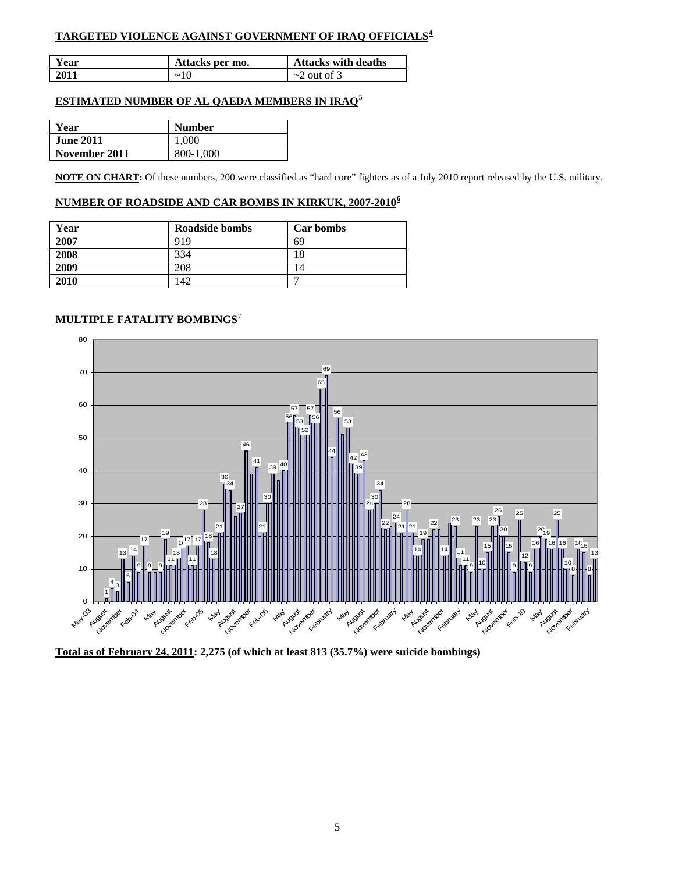## **TARGETED VIOLENCE AGAINST GOVERNMENT OF IRAQ OFFICIALS[4](#page-33-1)**

| Year | Attacks per mo. | <b>Attacks with deaths</b> |
|------|-----------------|----------------------------|
| 2011 | $\sim$ 10       | $\sim$ 2 out of 3          |

### **ESTIMATED NUMBER OF AL QAEDA MEMBERS IN IRAQ[5](#page-33-1)**

| Year             | <b>Number</b> |
|------------------|---------------|
| <b>June 2011</b> | 1.000         |
| November 2011    | 800-1,000     |

**NOTE ON CHART:** Of these numbers, 200 were classified as "hard core" fighters as of a July 2010 report released by the U.S. military.

## **NUMBER OF ROADSIDE AND CAR BOMBS IN KIRKUK, 2007-2010[6](#page-33-1)**

| Year | Roadside bombs | Car bombs |
|------|----------------|-----------|
| 2007 | 919            | 69        |
| 2008 | 334            | 18        |
| 2009 | 208            | 14        |
| 2010 | 142            |           |

## **MULTIPLE FATALITY BOMBINGS**[7](#page-33-1)



**Total as of February 24, 2011: 2,275 (of which at least 813 (35.7%) were suicide bombings)**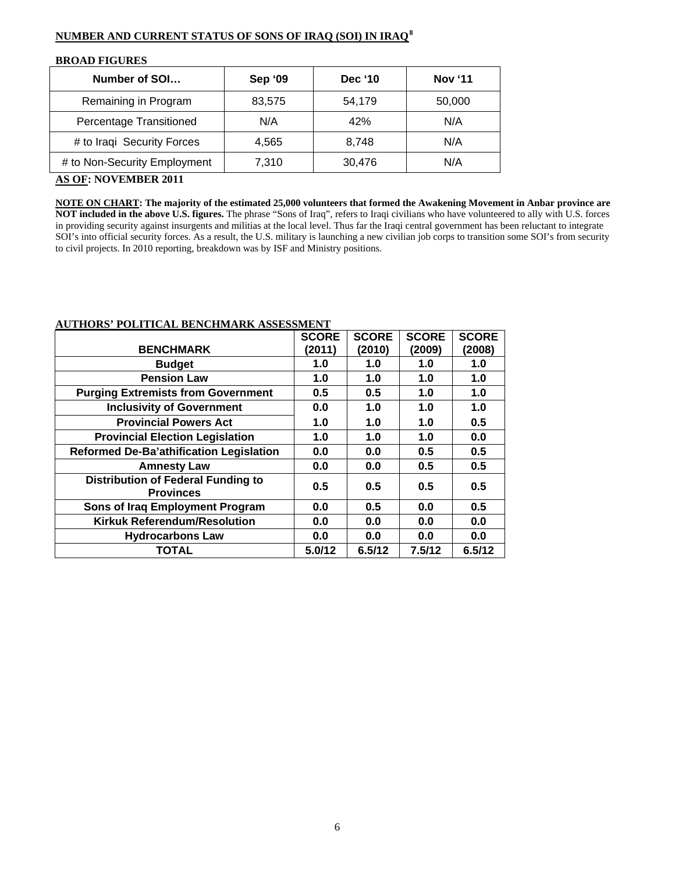## **NUMBER AND CURRENT STATUS OF SONS OF IRAQ (SOI) IN IRAQ[8](#page-33-1)**

| <b>DIVOTID LIGORILO</b>      |                |                |                |  |  |  |  |
|------------------------------|----------------|----------------|----------------|--|--|--|--|
| Number of SOI                | <b>Sep '09</b> | <b>Dec '10</b> | <b>Nov '11</b> |  |  |  |  |
| Remaining in Program         | 83,575         | 54,179         | 50,000         |  |  |  |  |
| Percentage Transitioned      | N/A            | 42%            | N/A            |  |  |  |  |
| # to Iraqi Security Forces   | 4,565          | 8,748          | N/A            |  |  |  |  |
| # to Non-Security Employment | 7,310          | 30,476         | N/A            |  |  |  |  |

## **BROAD FIGURES**

## **AS OF: NOVEMBER 2011**

**NOTE ON CHART: The majority of the estimated 25,000 volunteers that formed the Awakening Movement in Anbar province are NOT included in the above U.S. figures.** The phrase "Sons of Iraq", refers to Iraqi civilians who have volunteered to ally with U.S. forces in providing security against insurgents and militias at the local level. Thus far the Iraqi central government has been reluctant to integrate SOI's into official security forces. As a result, the U.S. military is launching a new civilian job corps to transition some SOI's from security to civil projects. In 2010 reporting, breakdown was by ISF and Ministry positions.

|                                                               | <b>SCORE</b> | <b>SCORE</b> | <b>SCORE</b> | <b>SCORE</b> |
|---------------------------------------------------------------|--------------|--------------|--------------|--------------|
| <b>BENCHMARK</b>                                              | (2011)       | (2010)       | (2009)       | (2008)       |
| <b>Budget</b>                                                 | 1.0          | 1.0          | 1.0          | 1.0          |
| <b>Pension Law</b>                                            | 1.0          | 1.0          | 1.0          | 1.0          |
| <b>Purging Extremists from Government</b>                     | 0.5          | 0.5          | 1.0          | 1.0          |
| <b>Inclusivity of Government</b>                              | 0.0          | 1.0          | 1.0          | 1.0          |
| <b>Provincial Powers Act</b>                                  | 1.0          | 1.0          | 1.0          | 0.5          |
| <b>Provincial Election Legislation</b>                        | 1.0          | 1.0          | 1.0          | 0.0          |
| <b>Reformed De-Ba'athification Legislation</b>                | 0.0          | 0.0          | 0.5          | 0.5          |
| <b>Amnesty Law</b>                                            | 0.0          | 0.0          | 0.5          | 0.5          |
| <b>Distribution of Federal Funding to</b><br><b>Provinces</b> | 0.5          | 0.5          | 0.5          | 0.5          |
| Sons of Iraq Employment Program                               | 0.0          | 0.5          | 0.0          | 0.5          |
| <b>Kirkuk Referendum/Resolution</b>                           | 0.0          | 0.0          | 0.0          | 0.0          |
| <b>Hydrocarbons Law</b>                                       | 0.0          | 0.0          | 0.0          | 0.0          |
| <b>TOTAL</b>                                                  | 5.0/12       | 6.5/12       | 7.5/12       | 6.5/12       |

### **AUTHORS' POLITICAL BENCHMARK ASSESSMENT**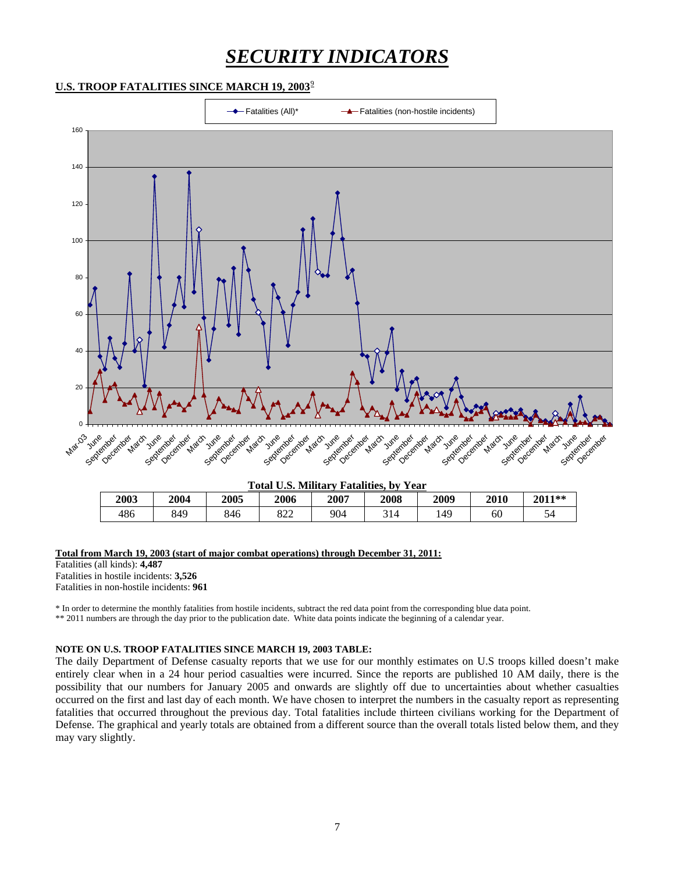# *SECURITY INDICATORS*

## **U.S. TROOP FATALITIES SINCE MARCH 1[9](#page-33-1), 2003**<sup>9</sup>



| <b>Total U.S. Military Fatalities, by Year</b> |
|------------------------------------------------|
|------------------------------------------------|

| 2003 | 2004 | 2005 | 2006       | 2007 | 2008 | 2009 | 2010 | 2011** |
|------|------|------|------------|------|------|------|------|--------|
| 486  | 849  | 846  | റെറ<br>844 | 904  | 314  | 149  | 60   | ັ      |

#### **Total from March 19, 2003 (start of major combat operations) through December 31, 2011:**

Fatalities (all kinds): **4,487**  Fatalities in hostile incidents: **3,526**  Fatalities in non-hostile incidents: **961** 

\* In order to determine the monthly fatalities from hostile incidents, subtract the red data point from the corresponding blue data point. \*\* 2011 numbers are through the day prior to the publication date. White data points indicate the beginning of a calendar year.

## **NOTE ON U.S. TROOP FATALITIES SINCE MARCH 19, 2003 TABLE:**

The daily Department of Defense casualty reports that we use for our monthly estimates on U.S troops killed doesn't make entirely clear when in a 24 hour period casualties were incurred. Since the reports are published 10 AM daily, there is the possibility that our numbers for January 2005 and onwards are slightly off due to uncertainties about whether casualties occurred on the first and last day of each month. We have chosen to interpret the numbers in the casualty report as representing fatalities that occurred throughout the previous day. Total fatalities include thirteen civilians working for the Department of Defense. The graphical and yearly totals are obtained from a different source than the overall totals listed below them, and they may vary slightly.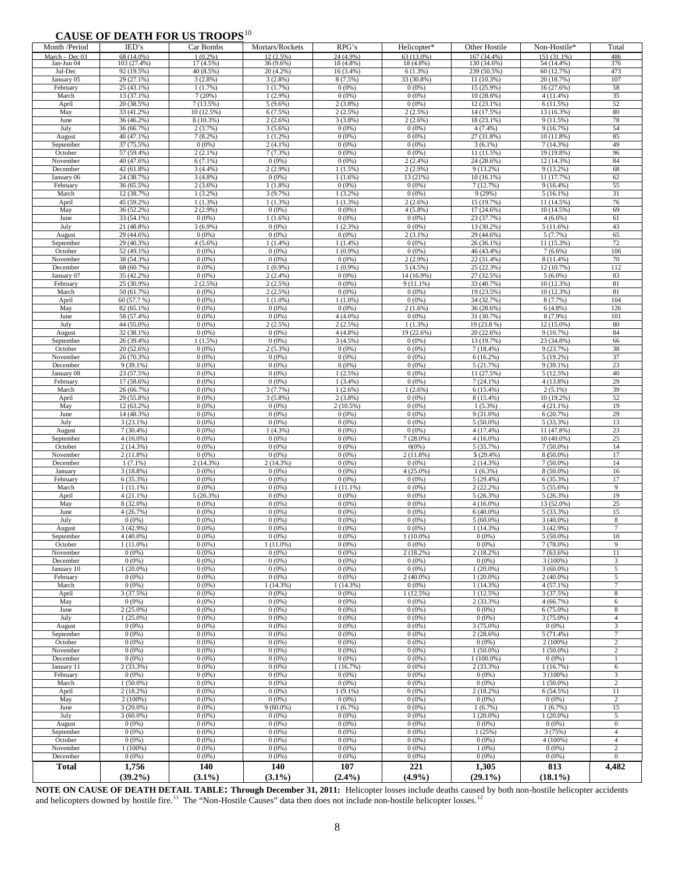## **CAUSE OF DEATH FOR US TROOPS**[1](#page-33-1)0

| ◡▴◟◡◡▴<br>Month /Period      | $\mathbf{v}$<br>IED's                 | <b>DEATH TON CO THOOT</b> D<br>Car Bombs | Mortars/Rockets          | RPG's                 | Helicopter*             | Other Hostile              | Non-Hostile*                         | Total                              |
|------------------------------|---------------------------------------|------------------------------------------|--------------------------|-----------------------|-------------------------|----------------------------|--------------------------------------|------------------------------------|
| March - Dec 03<br>Jan-Jun 04 | 68 (14.0%)<br>103 (27.4%)             | $1(0.2\%)$<br>17 (4.5%)                  | 12(2.5%)<br>36 (9.6%)    | 24(4.9%)<br>18 (4.8%) | 63 (13.0%)<br>18 (4.8%) | 167 (34.4%)<br>130 (34.6%) | 151 (31.1%)<br>54 (14.4%)            | 486<br>376                         |
| Jul-Dec                      | 92 (19.5%)                            | 40 (8.5%)                                | 20 (4.2%)                | $16(3.4\%)$           | 6(1.3%)                 | 239 (50.5%)                | 60 (12.7%)                           | 473                                |
| January 05                   | $\overline{29}$ (27.1%)               | $3(2.8\%)$                               | 3(2.8%)                  | $8(7.5\%)$            | 33 (30.8%)              | 11 (10.3%)                 | 20 (18.7%)                           | 107                                |
| February<br>March            | 25 (43.1%)<br>13 (37.1%)              | 1(1.7%)<br>7(20%)                        | 1(1.7%)<br>$1(2.9\%)$    | $0(0\%)$<br>$0(0\%)$  | 0(0%<br>0(0%            | 15 (25.9%)<br>10 (28.6%)   | 16 (27.6%)<br>4(11.4%)               | 58<br>35                           |
| April                        | 20 (38.5%)                            | 7(13.5%)                                 | $5(9.6\%)$               | $2(3.8\%)$            | 0(0%                    | 12 (23.1%)                 | 6(11.5%)                             | 52                                 |
| May                          | 33(41.2%)                             | 10 (12.5%)                               | 6(7.5%)                  | $2(2.5\%)$            | 2 (2.5%)                | 14 (17.5%)                 | 13 (16.3%)                           | 80                                 |
| June<br>July                 | 36(46.2%)<br>36 (66.7%)               | $8(10.3\%)$<br>2(3.7%)                   | $2(2.6\%)$<br>$3(5.6\%)$ | $3(3.8\%)$<br>0(0%    | $2(2.6\%)$<br>0(0%      | 18 (23.1%)<br>4(7.4%       | 9(11.5%)<br>9(16.7%)                 | 78<br>54                           |
| August                       | 40 (47.1%)                            | $7(8.2\%)$                               | $1(1.2\%)$               | 0(0%                  | 0(0%                    | 27 (31.8%)                 | 10 (11.8%)                           | 85                                 |
| September                    | 37(75.5%)                             | $0(0\%)$                                 | $2(4.1\%)$               | 0(0%                  | 0(0%                    | $3(6.1\%)$                 | 7(14.3%)                             | 49                                 |
| October<br>November          | 57 (59.4%)<br>40 (47.6%)              | $2(2.1\%)$<br>$6(7.1\%)$                 | 7(7.3%)<br>0(0%          | 0(0%<br>0(0%          | 0(0%<br>2 (2.4%)        | 11 (11.5%)<br>24 (28.6%)   | 19 (19.8%)<br>12 (14.3%)             | 96<br>84                           |
| December                     | 42 (61.8%)                            | 3(4.4%)                                  | 2(2.9%)                  | $1(1.5\%)$            | 2(2.9%)                 | 9 (13.2%)                  | $9(13.2\%)$                          | 68                                 |
| January 06                   | 24 (38.7%)                            | $3(4.8\%)$                               | 0(0%                     | 1(1.6%)               | 13 (21%)                | 10 (16.1%)                 | 11 (17.7%)                           | 62                                 |
| February<br>March            | 36 (65.5%)<br>12 (38.7%)              | $2(3.6\%)$<br>$1(3.2\%)$                 | $1(1.8\%)$<br>3(9.7%)    | 0(0%<br>1(3.2%)       | 0(0%<br>0(0%            | 7 (12.7%)<br>9(29%)        | $9(16.4\%)$<br>$5(16.1\%)$           | 55<br>31                           |
| April                        | 45 (59.2%)                            | $1(1.3\%)$                               | $1(1.3\%)$               | $1(1.3\%)$            | 2(2.6%                  | 15 (19.7%)                 | 11 (14.5%)                           | 76                                 |
| May                          | 36 (52.2%)                            | $2(2.9\%)$                               | $0(0\%)$                 | $0(0\%)$              | $4(5.8\%)$              | 17 (24.6%)                 | 10 (14.5%)                           | 69                                 |
| June<br>July                 | 33 (54.1%)<br>$\overline{21}$ (48.8%) | $0(0\%)$<br>$3(6.9\%)$                   | $1(1.6\%)$<br>$0(0\%)$   | $0(0\%)$<br>1(2.3%)   | 0(0%<br>0(0%            | 23 (37.7%)<br>13 (30.2%)   | $4(6.6\%)$<br>$\overline{5(11.6\%)}$ | 61<br>43                           |
| August                       | 29 (44.6%)                            | 0(0%                                     | 0(0%                     | $0(0\%)$              | $2(3.1\%)$              | 29 (44.6%)                 | 5(7.7%)                              | 65                                 |
| September                    | 29 (40.3%)                            | $4(5.6\%)$                               | 1(1.4%)                  | 1(1.4%)               | 0(0%                    | 26 (36.1%)                 | 11 (15.3%)                           | 72                                 |
| October                      | 52 (49.1%)                            | 0(0%                                     | 0(0%                     | 1(0.9%                | 0(0%                    | 46 (43.4%)                 | $7(6.6\%)$                           | 106                                |
| November<br>December         | 38 (54.3%)<br>68 (60.7%)              | 0(0%<br>$0(0\%)$                         | $0(0\%)$<br>1(0.9%)      | $0(0\%)$<br>1(0.9%    | $2(2.9\%)$<br>5(4.5%)   | 22 (31.4%)<br>25 (22.3%)   | $8(11.4\%)$<br>12 (10.7%)            | 70<br>112                          |
| January 07                   | 35 (42.2%)                            | 0(0%                                     | $2(2.4\%)$               | 0(0%                  | 14 (16.9%)              | 27 (32.5%)                 | $5(6.0\%)$                           | 83                                 |
| February                     | 25 (30.9%)                            | $2(2.5\%)$                               | $2(2.5\%)$               | 0(0%                  | $9(11.1\%)$             | 33 (40.7%)                 | 10 (12.3%)                           | 81                                 |
| March<br>April               | 50 (61.7%)<br>60 (57.7 %)             | $0(0\%)$<br>0(0%                         | $2(2.5\%)$<br>$1(1.0\%)$ | 0(0%<br>$1(1.0\%)$    | 0(0%<br>0(0%            | 19 (23.5%)<br>34 (32.7%)   | 10 (12.3%)<br>8 (7.7%)               | 81<br>104                          |
| May                          | 82 (65.1%)                            | 0(0%                                     | 0(0%                     | 0(0%                  | 2(1.6%                  | 36 (28.6%)                 | $6(4.8\%)$                           | 126                                |
| June                         | 58 (57.4%)                            | 0(0%                                     | $0(0\%)$                 | $4(4.0\%)$            | 0(0%                    | 31 (30.7%)                 | 8 (7.9%)                             | 101                                |
| July<br>August               | 44 (55.0%)<br>32 (38.1%)              | 0(0%<br>$0(0\%)$                         | $2(2.5\%)$<br>$0(0\%)$   | $2(2.5\%)$<br>4(4.8%) | 1(1.3%)<br>19 (22.6%)   | 19 (23.8 %)<br>20 (22.6%)  | 12 (15.0%)<br>9(10.7%)               | 80<br>84                           |
| September                    | 26 (39.4%)                            | $\overline{1}(1.5\%)$                    | 0(0%                     | 3(4.5%)               | 0(0%                    | 13 (19.7%)                 | 23 (34.8%)                           | 66                                 |
| October                      | 20 (52.6%)                            | $0(0\%)$                                 | $2(5.3\%)$               | 0(0%                  | 0(0%                    | $7(18.4\%)$                | 9(23.7%)                             | 38                                 |
| November                     | 26 (70.3%)<br>$9(39.1\%)$             | 0(0%<br>$0(0\%)$                         | 0(0%<br>$0(0\%)$         | $0(0\%)$<br>$0(0\%)$  | 0(0%<br>0(0%            | 6 (16.2%)<br>5(21.7%)      | 5(19.2%)<br>9(39.1%)                 | 37<br>23                           |
| December<br>January 08       | $\overline{23}$ (57.5%)               | 0(0%                                     | 0(0%                     | $1(2.5\%)$            | 0(0%                    | 11 (27.5%)                 | 5(12.5%)                             | 40                                 |
| February                     | 17 (58.6%)                            | 0(0%                                     | $0(0\%)$                 | 1(3.4%)               | 0(0%                    | $7(24.1\%)$                | $4(13.8\%)$                          | 29                                 |
| March                        | 26 (66.7%)                            | 0(0%                                     | 3(7.7%)                  | 1(2.6%)               | 1 (2.6%)                | 6 (15.4%)                  | $2(5.1\%)$                           | 39                                 |
| April<br>May                 | 29 (55.8%)<br>12 (63.2%)              | 0(0%<br>0(0%                             | $3(5.8\%)$<br>0(0%       | 2 (3.8%)<br>2 (10.5%) | 0(0%<br>0(0%            | 8 (15.4%)<br>$1(5.3\%)$    | 10 (19.2%)<br>$4(21.1\%)$            | 52<br>19                           |
| June                         | 14 (48.3%)                            | 0(0%                                     | 0(0%                     | 0(0%                  | 0(0%                    | 9 (31.0%)                  | 6(20.7%)                             | 29                                 |
| July                         | 3(23.1%)                              | 0(0%                                     | 0(0%                     | 0(0%                  | 0(0%                    | 5 (50.0%)                  | 5 (33.3%)                            | 13                                 |
| August<br>September          | $7(30.4\%)$<br>$4(16.0\%)$            | 0(0%<br>$0(0\%)$                         | 1 (4.3%)<br>0(0%         | 0(0%<br>0(0%          | 0(0%<br>7 (28.0%)       | 4 (17.4%)<br>$4(16.0\%)$   | 11 (47.8%)<br>10 (40.0%)             | 23<br>25                           |
| October                      | 2(14.3%)                              | 0(0%                                     | 0(0%                     | 0(0%                  | 0(0%                    | 5 (35.7%)                  | $7(50.0\%)$                          | 14                                 |
| November                     | $2(11.8\%)$                           | $0(0\%)$                                 | $0(0\%)$                 | $0(0\%)$              | 2 (11.8%)               | $5(29.4\%)$                | 8 (50.0%)                            | 17                                 |
| December<br>January          | $1(7.1\%)$<br>$3(18.8\%)$             | 2 (14.3%)<br>$0(0\%)$                    | 2(14.3%)<br>$0(0\%)$     | 0(0%<br>$0(0\%)$      | 0(0%<br>4 (25.0%)       | 2 (14.3%)<br>$1(6.3\%)$    | 7 (50.0%)<br>$8(50.0\%)$             | 14<br>16                           |
| February                     | 6(35.3%)                              | $0(0\%)$                                 | 0(0%                     | $0(0\%)$              | 0(0%                    | 5 (29.4%)                  | 6(35.3%)                             | 17                                 |
| March                        | $1(11.1\%)$                           | $0(0\%)$                                 | $0(0\%)$                 | 1 (11.1%)             | 0(0%                    | $2(22.2\%)$                | $5(55.6\%)$                          | 9                                  |
| April<br>May                 | $4(21.1\%)$<br>8 (32.0%)              | 5 (26.3%)<br>0(0%                        | 0(0%<br>0(0%             | 0(0%<br>0(0%          | 0(0%<br>0(0%            | 5 (26.3%)<br>4 (16.0%)     | 5(26.3%)<br>13 (52.0%)               | 19<br>25                           |
| June                         | 4(26.7%)                              | 0(0%                                     | 0(0%                     | 0(0%                  | 0(0%                    | 6 (40.0%)                  | 5 (33.3%)                            | 15                                 |
| July                         | $0(0\%)$                              | 0(0%                                     | 0(0%                     | 0(0%                  | 0(0%                    | 5 (60.0%)                  | 3 (40.0%)                            | $\,8\,$                            |
| August                       | 3 (42.9%)<br>$4(40.0\%)$              | 0(0%                                     | 0(0%                     | 0(0%                  | 0(0%<br>$1(10.0\%)$     | 1(14.3%)                   | 3 (42.9%)                            | 7                                  |
| September<br>October         | $1(11.0\%)$                           | $0(0\%)$<br>$0(0\%)$                     | $0(0\%)$<br>$1(11.0\%)$  | 0(0%<br>$0(0\%)$      | 0(0%                    | $0(0\%)$<br>$0(0\%)$       | $5(50.0\%)$<br>$7(78.0\%)$           | 10<br>9                            |
| November                     | 0(0%                                  | 0(0%                                     | 0(0%                     | 0(0%                  | $2(18.2\%)$             | 2 (18.2%)                  | 7(63.6%)                             | 11                                 |
| December                     | $0(0\%)$                              | $0(0\%)$                                 | $0(0\%)$                 | $0(0\%)$              | $0(0\%)$                | $0(0\%)$                   | $3(100\%)$                           | 3                                  |
| January 10<br>February       | $1(20.0\%)$<br>$0(0\%)$               | 0(0%<br>$0(0\%)$                         | $0(0\%)$<br>$0(0\%)$     | $0(0\%)$<br>$0(0\%)$  | $0(0\%)$<br>$2(40.0\%)$ | $1(20.0\%)$<br>$1(20.0\%)$ | $3(60.0\%)$<br>$2(40.0\%)$           | 5<br>5                             |
| March                        | $0(0\%)$                              | $0(0\%)$                                 | 1(14.3%)                 | 1 (14.3%)             | $0(0\%)$                | $1(14.3\%)$                | $4(57.1\%)$                          | $\tau$                             |
| April                        | 3 (37.5%)                             | $0(0\%)$                                 | $0(0\%)$                 | $0(0\%)$              | 1(12.5%)                | 1(12.5%)                   | 3(37.5%)                             | 8                                  |
| May<br>June                  | $0(0\%)$<br>$2(25.0\%)$               | $0(0\%)$<br>$0(0\%)$                     | $0(0\%)$<br>$0(0\%)$     | $0(0\%)$<br>0(0%      | $0(0\%)$<br>$0(0\%)$    | 2(33.3%)<br>$0(0\%)$       | 4(66.7%)<br>$6(75.0\%)$              | 6<br>8                             |
| July                         | $1(25.0\%)$                           | 0(0%                                     | $0(0\%)$                 | $0(0\%)$              | 0(0%                    | $0(0\%)$                   | $3(75.0\%)$                          | $\overline{4}$                     |
| August                       | $0(0\%)$                              | 0(0%                                     | $0(0\%)$                 | 0(0%                  | 0(0%                    | 3 (75.0%)                  | $0(0\%)$                             | 3                                  |
| September<br>October         | $0(0\%)$<br>$0(0\%)$                  | $0(0\%)$<br>0(0%                         | $0(0\%)$<br>0(0%         | $0(0\%)$<br>0(0%      | 0(0%<br>0(0%            | 2(28.6%)<br>$0(0\%)$       | $5(71.4\%)$<br>$2(100\%)$            | 7<br>$\overline{c}$                |
| November                     | $0(0\%)$                              | $0(0\%)$                                 | $0(0\%)$                 | 0(0%                  | 0(0%                    | $1(50.0\%)$                | $1(50.0\%)$                          | $\overline{c}$                     |
| December                     | 0(0%                                  | $0(0\%)$                                 | $0(0\%)$                 | $0(0\%)$              | $0(0\%)$                | 1 (100.0%)                 | $0(0\%)$                             |                                    |
| January 11<br>February       | 2 (33.3%)<br>$0(0\%)$                 | $0(0\%)$<br>$0(0\%)$                     | 0(0%<br>0(0%             | 1(16.7%)<br>$0(0\%)$  | 0(0%<br>0(0%            | 2 (33.3%)<br>0(0%          | 1(16.7%)<br>$3(100\%)$               | 6<br>$\mathfrak{Z}$                |
| March                        | $1(50.0\%)$                           | $0(0\%)$                                 | $0(0\%)$                 | $0(0\%)$              | 0(0%                    | $0(0\%)$                   | $1(50.0\%)$                          | $\,2$                              |
| April                        | $2(18.2\%)$                           | 0(0%                                     | $0(0\%)$                 | $1(9.1\%)$            | 0(0%                    | 2 (18.2%)                  | 6(54.5%)                             | 11                                 |
| May                          | $2(100\%)$                            | $0(0\%)$                                 | $0(0\%)$                 | $0(0\%)$              | 0(0%                    | $0(0\%)$                   | $0(0\%)$                             | $\sqrt{2}$                         |
| June<br>July                 | $3(20.0\%)$<br>$3(60.0\%)$            | 0(0%<br>$0(0\%)$                         | $9(60.0\%)$<br>$0(0\%)$  | 1(6.7%)<br>$0(0\%)$   | $0(0\%)$<br>$0(0\%)$    | 1(6.7%)<br>$1(20.0\%)$     | 1(6.7%)<br>$1(20.0\%)$               | 15<br>5                            |
| August                       | $0(0\%)$                              | 0(0%                                     | $0(0\%)$                 | $0(0\%)$              | 0(0%                    | $0(0\%)$                   | $0(0\%)$                             | $\mathbf{0}$                       |
| September                    | $0(0\%)$                              | $0(0\%)$                                 | $0(0\%)$                 | $0(0\%)$              | 0(0%                    | 1(25%)                     | 3(75%)                               | $\overline{4}$                     |
| October<br>November          | $0(0\%)$<br>$1(100\%)$                | $0(0\%)$<br>$0(0\%)$                     | $0(0\%)$<br>$0(0\%)$     | $0(0\%)$<br>$0(0\%)$  | 0(0%<br>0(0%            | $0(0\%)$<br>$1(0\%)$       | 4 (100%)<br>$0(0\%)$                 | $\overline{4}$<br>$\boldsymbol{2}$ |
| December                     | $0(0\%)$                              | $0(0\%)$                                 | $0(0\%)$                 | $0(0\%)$              | $0(0\%)$                | $0(0\%)$                   | $0(0\%)$                             | $\boldsymbol{0}$                   |
| <b>Total</b>                 | 1,756                                 | 140                                      | 140                      | 107                   | 221                     | 1,305                      | 813                                  | 4,482                              |
|                              | $(39.2\%)$                            | $(3.1\%)$                                | $(3.1\%)$                | (2.4%)                | (4.9%)                  | $(29.1\%)$                 | $(18.1\%)$                           |                                    |

**NOTE ON CAUSE OF DEATH DETAIL TABLE: Through December 31, 2011:** Helicopter losses include deaths caused by both non-hostile helicopter accidents and helicopters downed by hostile fire.<sup>[11](#page-33-2)</sup> The "Non-Hostile Causes" data then does not include non-hostile helicopter losses.<sup>[12](#page-33-2)</sup>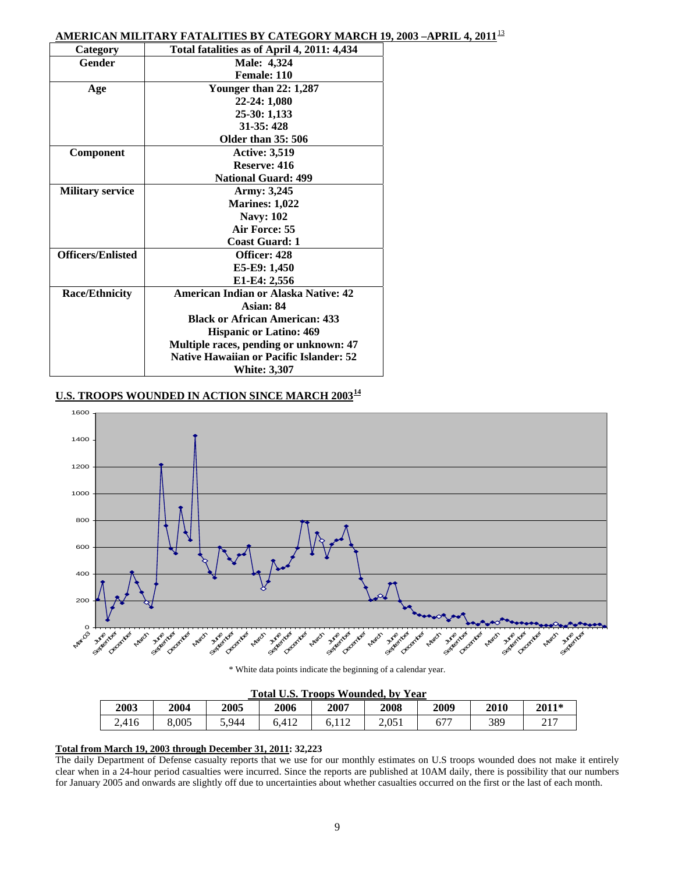## **AMERICAN MILITARY FATALITIES BY CATEGORY MARCH 19, 2003 –APRIL 4, 2011**[13](#page-33-2)

| Category                 | Total fatalities as of April 4, 2011: 4,434    |
|--------------------------|------------------------------------------------|
| Gender                   | Male: 4,324                                    |
|                          | Female: 110                                    |
| Age                      | <b>Younger than 22: 1,287</b>                  |
|                          | 22-24: 1,080                                   |
|                          | 25-30: 1,133                                   |
|                          | $31-35:428$                                    |
|                          | Older than 35: 506                             |
| <b>Component</b>         | <b>Active: 3,519</b>                           |
|                          | Reserve: 416                                   |
|                          | <b>National Guard: 499</b>                     |
| <b>Military service</b>  | Army: 3,245                                    |
|                          | <b>Marines: 1,022</b>                          |
|                          | <b>Navy: 102</b>                               |
|                          | Air Force: 55                                  |
|                          | <b>Coast Guard: 1</b>                          |
| <b>Officers/Enlisted</b> | Officer: 428                                   |
|                          | E5-E9: 1,450                                   |
|                          | E1-E4: 2,556                                   |
| <b>Race/Ethnicity</b>    | <b>American Indian or Alaska Native: 42</b>    |
|                          | Asian: 84                                      |
|                          | <b>Black or African American: 433</b>          |
|                          | <b>Hispanic or Latino: 469</b>                 |
|                          | Multiple races, pending or unknown: 47         |
|                          | <b>Native Hawaiian or Pacific Islander: 52</b> |
|                          | <b>White: 3,307</b>                            |

## U.S. TROOPS WOUNDED IN ACTION SINCE MARCH 2003<sup>[1](#page-33-2)4</sup>



\* White data points indicate the beginning of a calendar year.

#### **Total U.S. Troops Wounded, by Year**

| Total O.D. Troops wounded, by Teal |       |       |       |      |       |      |      |       |
|------------------------------------|-------|-------|-------|------|-------|------|------|-------|
| 2003                               | 2004  | 2005  | 2006  | 2007 | 2008  | 2009 | 2010 | 2011* |
| 2,416                              | 8.005 | 5.944 | 6.412 |      | 2.051 | 677  | 389  | 217   |
|                                    |       |       |       |      |       |      |      |       |

## **Total from March 19, 2003 through December 31, 2011: 32,223**

The daily Department of Defense casualty reports that we use for our monthly estimates on U.S troops wounded does not make it entirely clear when in a 24-hour period casualties were incurred. Since the reports are published at 10AM daily, there is possibility that our numbers for January 2005 and onwards are slightly off due to uncertainties about whether casualties occurred on the first or the last of each month.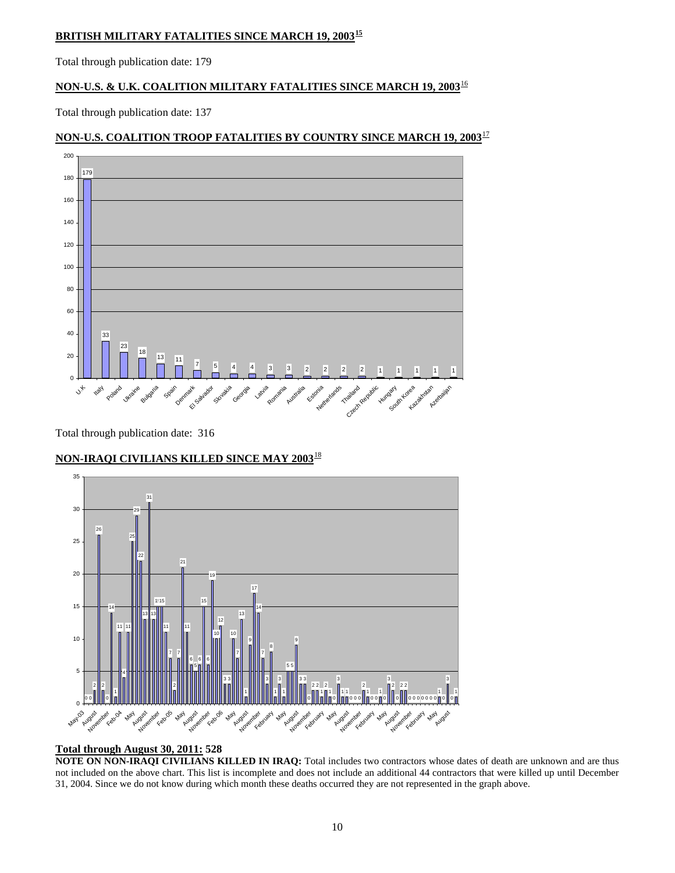## **BRITISH MILITARY FATALITIES SINCE MARCH 19, 2003[15](#page-33-2)**

Total through publication date: 179

## **NON-U.S. & U.K. COALITION MILITARY FATALITIES SINCE MARCH 19, 2003**[1](#page-33-2)6

Total through publication date: 137

## $\frac{23}{18}$  18 13 11  $\frac{1}{12}$  5 4 4 3 3 2 2 2 2 1 1 1 1 1  $\overline{0}$

## **NON-U.S. COALITION TROOP FATALITIES BY COUNTRY SINCE MARCH 19, 2003**[17](#page-33-2)

Total through publication date: 316

Ukraine Bulgar

 $v_{k}$ 

Italy poland

## **NON-IRAQI CIVILIANS KILLED SINCE MAY 2003**[1](#page-33-2)8

Denmark Salvador

Slovakia Georgia Latvia Romania Australia Estonia

Spain



#### **Total through August 30, 2011: 528**

**NOTE ON NON-IRAQI CIVILIANS KILLED IN IRAQ:** Total includes two contractors whose dates of death are unknown and are thus not included on the above chart. This list is incomplete and does not include an additional 44 contractors that were killed up until December 31, 2004. Since we do not know during which month these deaths occurred they are not represented in the graph above.

I Netherlands Trailand Republic

**Hungar** 

South Korea Aratastan

Azerbaijan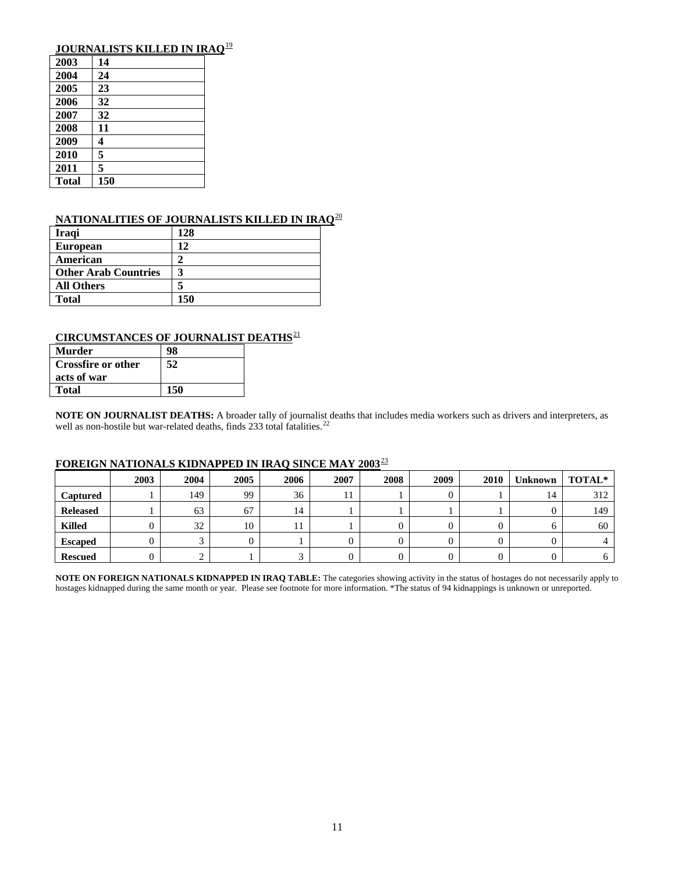## **JOURNALISTS KILLED IN IRAQ**[19](#page-33-2)

| 2003         | 14  |
|--------------|-----|
| 2004         | 24  |
| 2005         | 23  |
| 2006         | 32  |
| 2007         | 32  |
| 2008         | 11  |
| 2009         | 4   |
| 2010         | 5   |
| 2011         | 5   |
| <b>Total</b> | 150 |

## **NATIONALITIES OF JOURNALISTS KILLED IN IRAQ**[2](#page-33-2)0

| <b>Iragi</b>                | 128 |
|-----------------------------|-----|
| <b>European</b>             | 12  |
| American                    | 2   |
| <b>Other Arab Countries</b> | 3   |
| <b>All Others</b>           | 5   |
| <b>Total</b>                | 150 |

## **CIRCUMSTANCES OF JOURNALIST DEATHS**<sup>[2](#page-33-2)1</sup>

| Murder                    | 98  |
|---------------------------|-----|
| <b>Crossfire or other</b> | 52  |
| acts of war               |     |
| <b>Total</b>              | 150 |

**NOTE ON JOURNALIST DEATHS:** A broader tally of journalist deaths that includes media workers such as drivers and interpreters, as well as non-hostile but war-related deaths, finds [2](#page-33-2)33 total fatalities.<sup>22</sup>

## **FOREIGN NATIONALS KIDNAPPED IN IRAQ SINCE MAY 2003**[23](#page-33-2)

|                 | 2003 | 2004 | 2005 | 2006 | 2007 | 2008 | 2009 | 2010 | <b>Unknown</b> | TOTAL* |
|-----------------|------|------|------|------|------|------|------|------|----------------|--------|
| <b>Captured</b> |      | 149  | 99   | 36   |      |      |      |      | 14             | 312    |
| <b>Released</b> |      | 63   | 67   | 14   |      |      |      |      |                | 149    |
| <b>Killed</b>   |      | 32   | 10   | . .  |      |      |      |      |                | 60     |
| <b>Escaped</b>  |      |      |      |      |      |      |      |      |                |        |
| <b>Rescued</b>  |      |      |      |      |      |      |      |      |                |        |

**NOTE ON FOREIGN NATIONALS KIDNAPPED IN IRAQ TABLE:** The categories showing activity in the status of hostages do not necessarily apply to hostages kidnapped during the same month or year. Please see footnote for more information. \*The status of 94 kidnappings is unknown or unreported.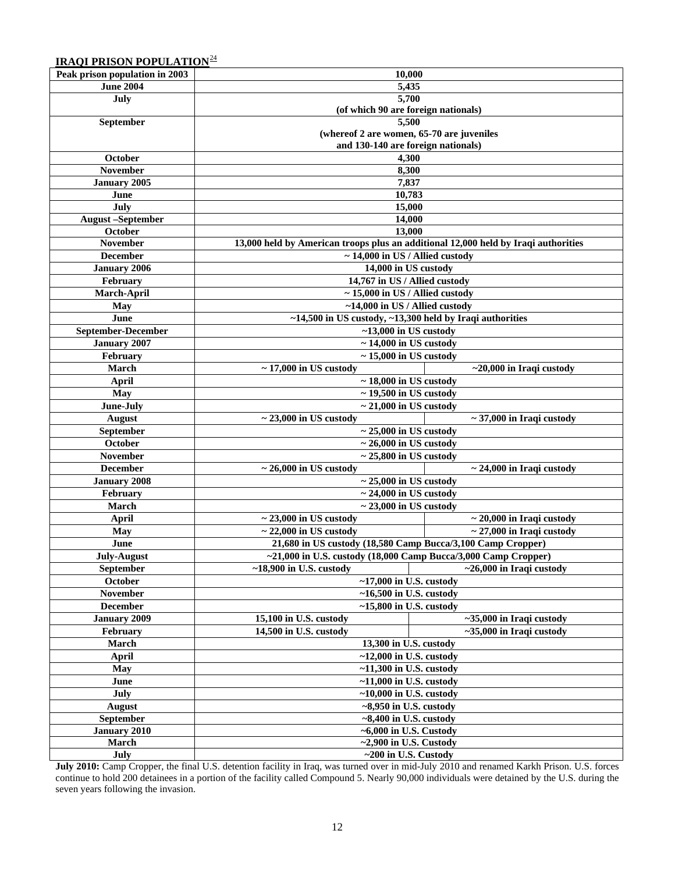## **IRAOI PRISON POPULATION**<sup>[24](#page-33-2)</sup>

| Peak prison population in 2003 | 10,000                                                                                                 |                                |  |  |  |
|--------------------------------|--------------------------------------------------------------------------------------------------------|--------------------------------|--|--|--|
| <b>June 2004</b>               | 5,435                                                                                                  |                                |  |  |  |
| July                           | 5,700                                                                                                  |                                |  |  |  |
|                                | (of which 90 are foreign nationals)                                                                    |                                |  |  |  |
| September                      | 5,500                                                                                                  |                                |  |  |  |
|                                | (whereof 2 are women, 65-70 are juveniles                                                              |                                |  |  |  |
|                                | and 130-140 are foreign nationals)                                                                     |                                |  |  |  |
| October                        | 4,300                                                                                                  |                                |  |  |  |
| <b>November</b>                | 8,300                                                                                                  |                                |  |  |  |
| January 2005                   | 7,837                                                                                                  |                                |  |  |  |
| June                           | 10,783                                                                                                 |                                |  |  |  |
| July                           | 15,000                                                                                                 |                                |  |  |  |
| <b>August-September</b>        | 14,000                                                                                                 |                                |  |  |  |
| October                        | 13,000                                                                                                 |                                |  |  |  |
| <b>November</b>                | 13,000 held by American troops plus an additional 12,000 held by Iraqi authorities                     |                                |  |  |  |
| <b>December</b>                | $\sim$ 14,000 in US / Allied custody                                                                   |                                |  |  |  |
| <b>January 2006</b>            | 14,000 in US custody                                                                                   |                                |  |  |  |
| February                       | 14,767 in US / Allied custody                                                                          |                                |  |  |  |
| March-April                    | $\sim$ 15,000 in US / Allied custody                                                                   |                                |  |  |  |
| May                            | $~14,000$ in US / Allied custody                                                                       |                                |  |  |  |
| June                           | $~14,500$ in US custody, $~13,300$ held by Iraqi authorities                                           |                                |  |  |  |
| September-December             | $~13,000$ in US custody                                                                                |                                |  |  |  |
| <b>January 2007</b>            | $\sim$ 14,000 in US custody                                                                            |                                |  |  |  |
| February                       |                                                                                                        |                                |  |  |  |
| March                          | $\sim$ 15,000 in US custody<br>$\overline{\sim 17,000}$ in US custody<br>$~1$ -20,000 in Iraqi custody |                                |  |  |  |
| April                          | $\sim$ 18,000 in US custody                                                                            |                                |  |  |  |
| <b>May</b>                     | $\sim$ 19,500 in US custody                                                                            |                                |  |  |  |
| June-July                      | $\sim$ 21,000 in US custody                                                                            |                                |  |  |  |
|                                |                                                                                                        |                                |  |  |  |
| August                         | $\sim$ 23,000 in US custody                                                                            | $\sim$ 37,000 in Iraqi custody |  |  |  |
| September                      | $\sim$ 25,000 in US custody<br>$\sim$ 26,000 in US custody                                             |                                |  |  |  |
| October<br><b>November</b>     | $\sim$ 25,800 in US custody                                                                            |                                |  |  |  |
| <b>December</b>                | $\sim$ 26,000 in US custody                                                                            |                                |  |  |  |
|                                |                                                                                                        | $\sim$ 24,000 in Iraqi custody |  |  |  |
| <b>January 2008</b>            | $\sim$ 25,000 in US custody                                                                            |                                |  |  |  |
| February                       | $\sim$ 24,000 in US custody                                                                            |                                |  |  |  |
| March                          | $\sim$ 23,000 in US custody                                                                            |                                |  |  |  |
| <b>April</b>                   | $\sim$ 23,000 in US custody                                                                            | $\sim$ 20,000 in Iraqi custody |  |  |  |
| <b>May</b>                     | $\sim$ 22,000 in US custody                                                                            | $\sim$ 27,000 in Iraqi custody |  |  |  |
| June                           | 21,680 in US custody (18,580 Camp Bucca/3,100 Camp Cropper)                                            |                                |  |  |  |
| <b>July-August</b>             | $\sim$ 21,000 in U.S. custody (18,000 Camp Bucca/3,000 Camp Cropper)                                   |                                |  |  |  |
| September                      | $~18,900$ in U.S. custody<br>$~26,000$ in Iraqi custody                                                |                                |  |  |  |
| October                        | $~17,000$ in U.S. custody                                                                              |                                |  |  |  |
| <b>November</b>                | $~16,500$ in U.S. custody                                                                              |                                |  |  |  |
| <b>December</b>                | $~15,800$ in U.S. custody                                                                              |                                |  |  |  |
| January 2009                   | 15,100 in U.S. custody<br>$~1$ -35,000 in Iraqi custody                                                |                                |  |  |  |
| February                       | 14,500 in U.S. custody<br>$\sim$ 35,000 in Iraqi custody                                               |                                |  |  |  |
| March                          | 13,300 in U.S. custody                                                                                 |                                |  |  |  |
| April                          | $~12,000$ in U.S. custody                                                                              |                                |  |  |  |
| May                            | $~11,300$ in U.S. custody                                                                              |                                |  |  |  |
| June                           | $~11,000$ in U.S. custody                                                                              |                                |  |  |  |
| July                           | $~10,000$ in U.S. custody                                                                              |                                |  |  |  |
| <b>August</b>                  | $\sim$ 8,950 in U.S. custody                                                                           |                                |  |  |  |
| <b>September</b>               | $~-8,400$ in U.S. custody                                                                              |                                |  |  |  |
| January 2010                   | $~5000$ in U.S. Custody                                                                                |                                |  |  |  |
| March                          | $\sim$ 2,900 in U.S. Custody                                                                           |                                |  |  |  |
| July                           | $\sim$ 200 in U.S. Custody                                                                             |                                |  |  |  |

**July 2010:** Camp Cropper, the final U.S. detention facility in Iraq, was turned over in mid-July 2010 and renamed Karkh Prison. U.S. forces continue to hold 200 detainees in a portion of the facility called Compound 5. Nearly 90,000 individuals were detained by the U.S. during the seven years following the invasion.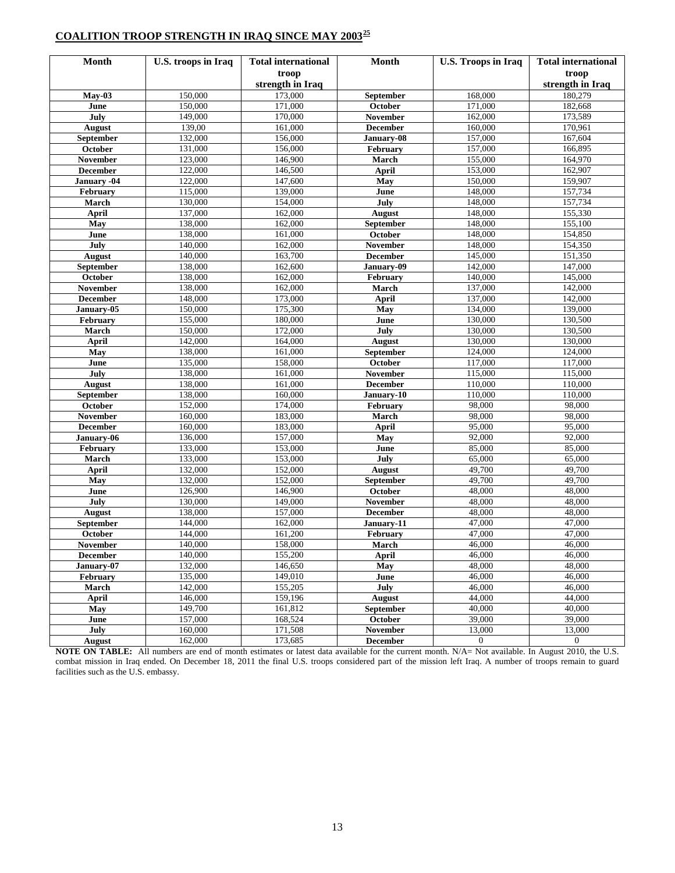## **COALITION TROOP STRENGTH IN IRAQ SINCE MAY 2003[25](#page-33-2)**

| <b>Month</b>    | U.S. troops in Iraq | <b>Total international</b> | Month            | <b>U.S. Troops in Iraq</b> | <b>Total international</b> |
|-----------------|---------------------|----------------------------|------------------|----------------------------|----------------------------|
|                 |                     | troop                      |                  |                            | troop                      |
|                 |                     | strength in Iraq           |                  |                            | strength in Iraq           |
| $May-03$        | 150,000             | 173,000                    | September        | 168,000                    | 180,279                    |
| June            | 150,000             | 171,000                    | October          | 171,000                    | 182,668                    |
| July            | 149,000             | 170,000                    | November         | 162,000                    | 173,589                    |
| <b>August</b>   | 139,00              | 161,000                    | <b>December</b>  | 160,000                    | 170,961                    |
| September       | 132,000             | 156,000                    | January-08       | 157,000                    | 167,604                    |
| October         | 131,000             | 156,000                    | February         | 157,000                    | 166,895                    |
| <b>November</b> | 123,000             | 146,900                    | March            | 155,000                    | 164,970                    |
| <b>December</b> | 122,000             | 146,500                    | April            | 153,000                    | 162,907                    |
| January -04     | 122,000             | 147,600                    | May              | 150,000                    | 159,907                    |
| February        | 115,000             | 139,000                    | June             | 148,000                    | 157,734                    |
| March           | 130,000             | 154,000                    | July             | 148,000                    | 157,734                    |
| <b>April</b>    | 137,000             | 162,000                    | <b>August</b>    | 148,000                    | 155,330                    |
| May             | 138,000             | 162,000                    | September        | 148,000                    | 155,100                    |
| June            | 138,000             | 161,000                    | October          | 148,000                    | 154,850                    |
| July            | 140,000             | 162,000                    | November         | 148,000                    | 154,350                    |
| <b>August</b>   | 140,000             | 163,700                    | December         | 145,000                    | 151,350                    |
| September       | 138,000             | 162,600                    | January-09       | 142,000                    | 147,000                    |
| October         | 138,000             | 162,000                    | February         | 140,000                    | 145,000                    |
| <b>November</b> | 138,000             | 162,000                    | March            | 137,000                    | 142,000                    |
| <b>December</b> | 148,000             | 173,000                    | <b>April</b>     | 137,000                    | 142,000                    |
| January-05      | 150,000             | 175,300                    | May              | 134,000                    | 139,000                    |
| February        | 155,000             | 180,000                    | June             | 130,000                    | 130,500                    |
| March           | 150,000             | 172,000                    | July             | 130,000                    | 130,500                    |
| April           | 142,000             | 164,000                    | <b>August</b>    | 130,000                    | 130,000                    |
| May             | 138,000             | 161,000                    | September        | 124,000                    | 124,000                    |
| June            | 135,000             | 158,000                    | October          | 117,000                    | 117,000                    |
| July            | 138,000             | 161,000                    | November         | 115,000                    | 115,000                    |
| <b>August</b>   | 138,000             | 161,000                    | <b>December</b>  | 110,000                    | 110,000                    |
| September       | 138,000             | 160,000                    | January-10       | 110,000                    | 110,000                    |
| October         | 152,000             | 174,000                    | February         | 98,000                     | 98,000                     |
| November        | 160,000             | 183,000                    | March            | 98,000                     | 98,000                     |
| <b>December</b> | 160,000             | 183,000                    | <b>April</b>     | 95,000                     | 95,000                     |
| January-06      | 136,000             | 157,000                    | May              | 92,000                     | 92,000                     |
| February        | 133,000             | 153,000                    | June             | 85,000                     | 85,000                     |
| March           | 133,000             | 153,000                    | July             | 65,000                     | 65,000                     |
| <b>April</b>    | 132,000             | 152,000                    | <b>August</b>    | 49,700                     | 49,700                     |
| May             | 132,000             | 152,000                    | <b>September</b> | 49,700                     | 49,700                     |
| June            | 126,900             | 146,900                    | October          | 48,000                     | 48,000                     |
| July            | 130,000             | 149,000                    | <b>November</b>  | 48,000                     | 48,000                     |
| <b>August</b>   | 138,000             | 157,000                    | <b>December</b>  | 48,000                     | 48,000                     |
| September       | 144,000             | 162,000                    | January-11       | 47,000                     | 47,000                     |
| October         | 144,000             | 161,200                    | February         | 47,000                     | 47,000                     |
| November        | 140,000             | 158,000                    | March            | 46,000                     | 46,000                     |
| <b>December</b> | 140,000             | 155,200                    | <b>April</b>     | 46,000                     | 46,000                     |
| January-07      | 132,000             | 146,650                    | May              | 48,000                     | 48,000                     |
| February        | 135,000             | 149,010                    | June             | 46,000                     | 46,000                     |
| March           | 142,000             | 155,205                    | July             | 46,000                     | 46,000                     |
| April           | 146,000             | 159,196                    | August           | 44,000                     | 44,000                     |
| May             | 149,700             | 161,812                    | September        | 40,000                     | 40,000                     |
| June            | 157,000             | 168,524                    | <b>October</b>   | 39,000                     | 39,000                     |
| July            | 160,000             | 171,508                    | <b>November</b>  | 13,000                     | 13,000                     |
| August          | 162,000             | 173,685                    | <b>December</b>  | $\overline{0}$             | $\mathbf{0}$               |

**NOTE ON TABLE:** All numbers are end of month estimates or latest data available for the current month. N/A= Not available. In August 2010, the U.S. combat mission in Iraq ended. On December 18, 2011 the final U.S. troops considered part of the mission left Iraq. A number of troops remain to guard facilities such as the U.S. embassy.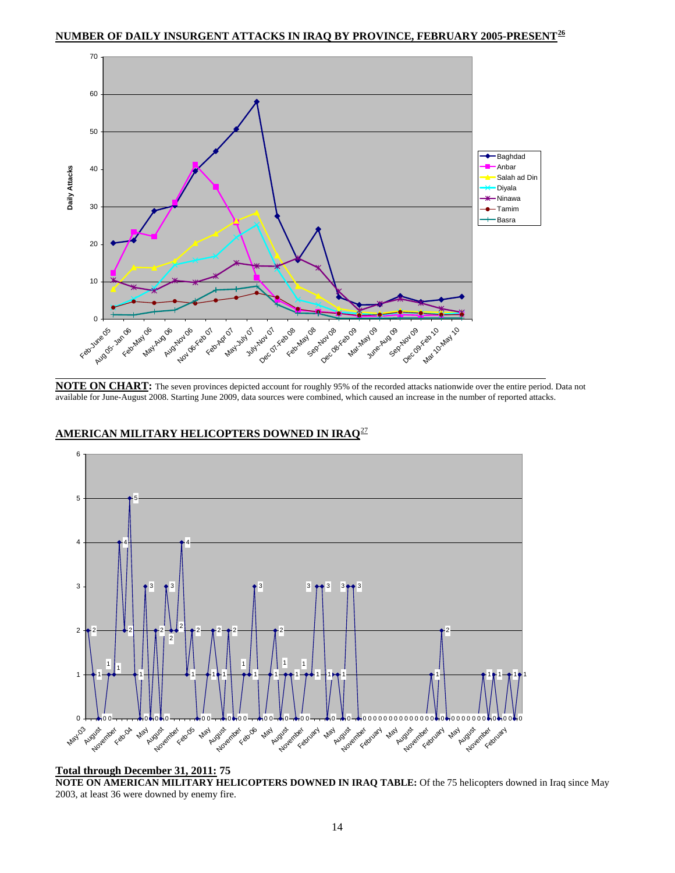**NUMBER OF DAILY INSURGENT ATTACKS IN IRAQ BY PROVINCE, FEBRUARY 2005-PRESENT[26](#page-33-2)**



**NOTE ON CHART:** The seven provinces depicted account for roughly 95% of the recorded attacks nationwide over the entire period. Data not available for June-August 2008. Starting June 2009, data sources were combined, which caused an increase in the number of reported attacks.



## **AMERICAN MILITARY HELICOPTERS DOWNED IN IRAQ**[27](#page-33-2)

#### **Total through December 31, 2011: 75**

**NOTE ON AMERICAN MILITARY HELICOPTERS DOWNED IN IRAQ TABLE:** Of the 75 helicopters downed in Iraq since May 2003, at least 36 were downed by enemy fire.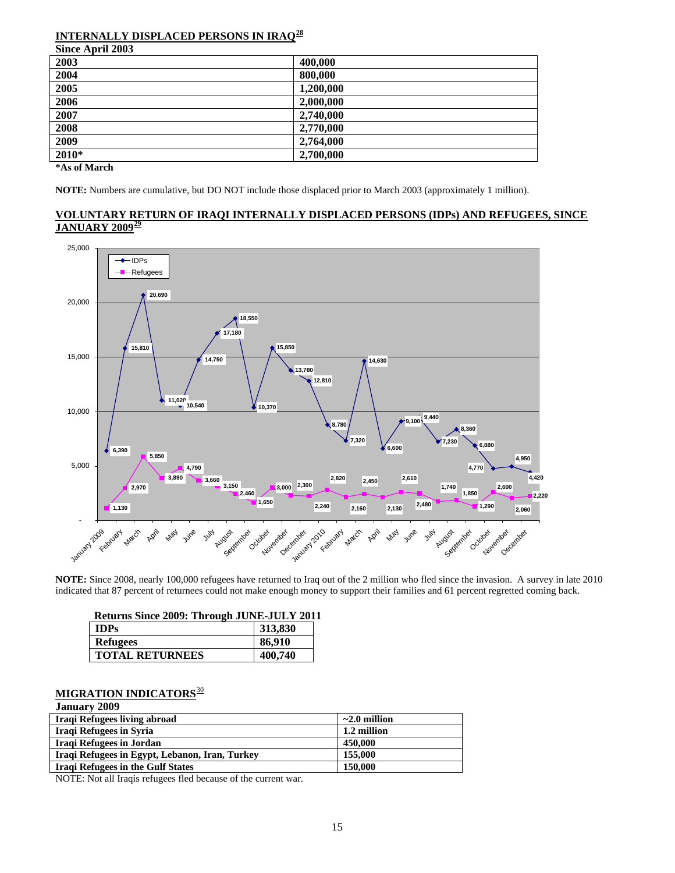#### **INTERNALLY DISPLACED PERSONS IN IRAQ[28](#page-33-2) Since April 2003**

| SHICE APITH 2005 |           |
|------------------|-----------|
| 2003             | 400,000   |
| 2004             | 800,000   |
| 2005             | 1,200,000 |
| 2006             | 2,000,000 |
| 2007             | 2,740,000 |
| 2008             | 2,770,000 |
| 2009             | 2,764,000 |
| 2010*            | 2,700,000 |
|                  |           |

**\*As of March** 

**NOTE:** Numbers are cumulative, but DO NOT include those displaced prior to March 2003 (approximately 1 million).

## **VOLUNTARY RETURN OF IRAQI INTERNALLY DISPLACED PERSONS (IDPs) AND REFUGEES, SINCE JANUARY 2009[29](#page-33-2)**



 **NOTE:** Since 2008, nearly 100,000 refugees have returned to Iraq out of the 2 million who fled since the invasion. A survey in late 2010 indicated that 87 percent of returnees could not make enough money to support their families and 61 percent regretted coming back.

|             | Returns Since 2009: Through JUNE-JULY 2011 |         |
|-------------|--------------------------------------------|---------|
| <b>IDPs</b> |                                            | 313,830 |
|             | <b>Refugees</b>                            | 86,910  |
|             | <b>TOTAL RETURNEES</b>                     | 400,740 |

#### **MIGRATION INDICATORS**[30](#page-33-2) **January 2009**

| January 2009                                   |                    |
|------------------------------------------------|--------------------|
| Iraqi Refugees living abroad                   | $\sim$ 2.0 million |
| Iraqi Refugees in Syria                        | 1.2 million        |
| Iraqi Refugees in Jordan                       | 450,000            |
| Iraqi Refugees in Egypt, Lebanon, Iran, Turkey | 155,000            |
| <b>Iraqi Refugees in the Gulf States</b>       | 150,000            |

NOTE: Not all Iraqis refugees fled because of the current war.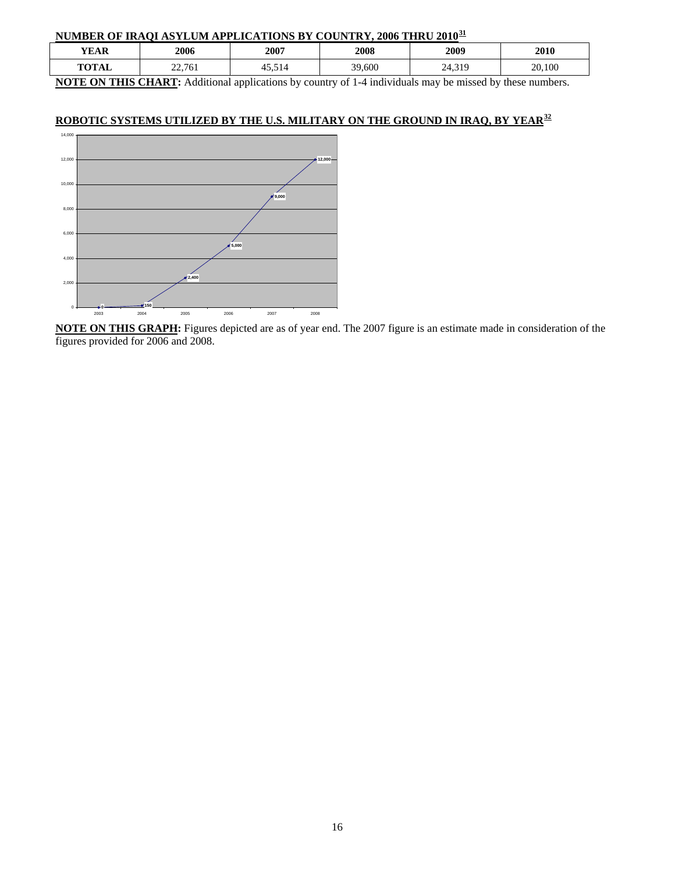## **NUMBER OF IRAQI ASYLUM APPLICATIONS BY COUNTRY, 2006 THRU 2010[31](#page-33-2)**

| VEAR                 | 2006   | 2007                              | 2008   | 2009          | 2010   |  |
|----------------------|--------|-----------------------------------|--------|---------------|--------|--|
| TOTAI<br>IAL<br>. v. | 22,761 | $-11$<br>$\overline{\phantom{0}}$ | 39,600 | 210<br>27.JI. | 20,100 |  |

**NOTE ON THIS CHART:** Additional applications by country of 1-4 individuals may be missed by these numbers.

## **ROBOTIC SYSTEMS UTILIZED BY THE U.S. MILITARY ON THE GROUND IN IRAQ, BY YEAR[3](#page-33-2)2**

![](_page_15_Figure_4.jpeg)

**NOTE ON THIS GRAPH:** Figures depicted are as of year end. The 2007 figure is an estimate made in consideration of the figures provided for 2006 and 2008.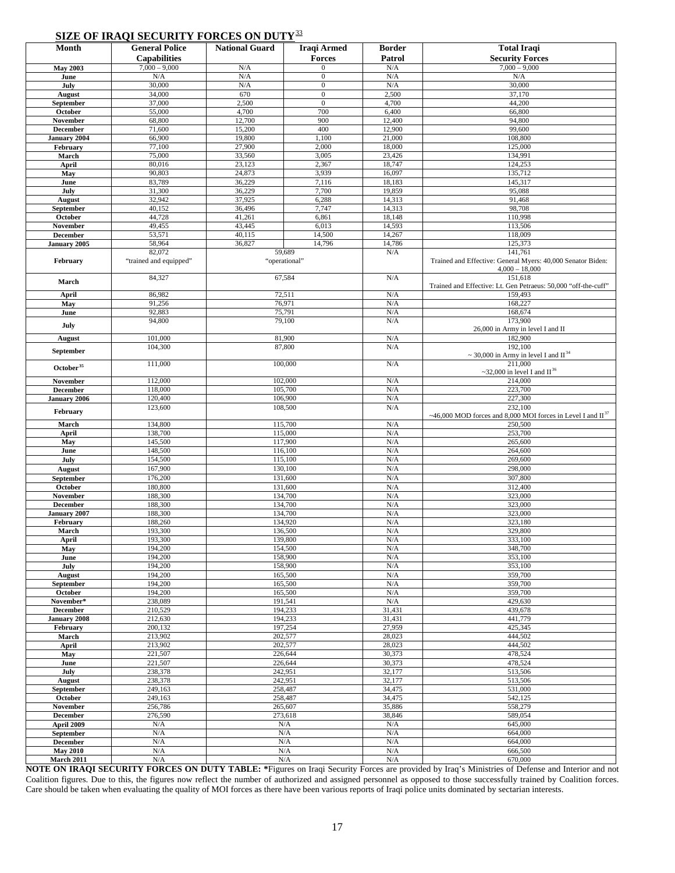## **SIZE OF IRAQI SECURITY FORCES ON DUTY**[3](#page-33-2)3

|                       | SIZE OF IKAQI SECUKLI 1 FUKUES ON DUTT |                       |                  |               |                                                                  |
|-----------------------|----------------------------------------|-----------------------|------------------|---------------|------------------------------------------------------------------|
| Month                 | <b>General Police</b>                  | <b>National Guard</b> | Iraqi Armed      | <b>Border</b> | <b>Total Iraqi</b>                                               |
|                       |                                        |                       |                  |               |                                                                  |
|                       | <b>Capabilities</b>                    |                       | <b>Forces</b>    | Patrol        | <b>Security Forces</b>                                           |
| <b>May 2003</b>       | $7,000 - 9,000$                        | N/A                   | $\Omega$         | N/A           | $7,000 - 9,000$                                                  |
| June                  | N/A                                    | N/A                   | $\boldsymbol{0}$ | N/A           | N/A                                                              |
| July                  | 30,000                                 | N/A                   | $\overline{0}$   | N/A           | 30,000                                                           |
|                       |                                        |                       |                  |               |                                                                  |
| August                | 34,000                                 | 670                   | $\boldsymbol{0}$ | 2,500         | 37,170                                                           |
| September             | 37,000                                 | 2,500                 | $\boldsymbol{0}$ | 4,700         | 44,200                                                           |
| October               | 55,000                                 | 4,700                 | 700              | 6,400         | 66,800                                                           |
| November              | 68,800                                 | 12,700                | 900              | 12,400        | 94,800                                                           |
|                       |                                        |                       | 400              |               | 99,600                                                           |
| December              | 71,600                                 | 15,200                |                  | 12,900        |                                                                  |
| January 2004          | 66,900                                 | 19,800                | 1,100            | 21,000        | 108,800                                                          |
| February              | 77,100                                 | 27,900                | 2,000            | 18,000        | 125,000                                                          |
| March                 | 75,000                                 | 33,560                | 3,005            | 23,426        | 134,991                                                          |
| April                 | 80,016                                 | 23,123                | 2,367            | 18,747        | 124,253                                                          |
|                       |                                        |                       |                  |               |                                                                  |
| May                   | 90,803                                 | 24,873                | 3,939            | 16,097        | 135,712                                                          |
| June                  | 83,789                                 | 36,229                | 7,116            | 18,183        | 145,317                                                          |
| July                  | 31,300                                 | 36,229                | 7,700            | 19,859        | 95,088                                                           |
| <b>August</b>         | 32,942                                 | 37,925                | 6,288            | 14,313        | 91,468                                                           |
|                       |                                        |                       |                  |               |                                                                  |
| September             | 40,152                                 | 36,496                | 7,747            | 14,313        | 98,708                                                           |
| October               | 44,728                                 | 41,261                | 6,861            | 18,148        | 110,998                                                          |
| November              | 49,455                                 | 43,445                | 6,013            | 14,593        | 113,506                                                          |
| <b>December</b>       | 53,571                                 | 40,115                | 14,500           | 14,267        | 118,009                                                          |
|                       | 58,964                                 | 36,827                | 14,796           | 14,786        | 125,373                                                          |
| January 2005          |                                        |                       |                  |               |                                                                  |
|                       | 82,072                                 |                       | 59,689           | N/A           | 141,761                                                          |
| February              | "trained and equipped"                 |                       | "operational"    |               | Trained and Effective: General Myers: 40,000 Senator Biden:      |
|                       |                                        |                       |                  |               | $4,000 - 18,000$                                                 |
|                       | 84,327                                 |                       | 67,584           | N/A           | 151,618                                                          |
| March                 |                                        |                       |                  |               | Trained and Effective: Lt. Gen Petraeus: 50,000 "off-the-cuff"   |
|                       |                                        |                       |                  |               |                                                                  |
| April                 | 86,982                                 |                       | 72,511           | N/A           | 159,493                                                          |
| May                   | 91,256                                 |                       | 76,971           | N/A           | 168,227                                                          |
| June                  | 92,883                                 |                       | 75,791           | N/A           | 168,674                                                          |
|                       | 94,800                                 |                       | 79,100           | N/A           | 173,900                                                          |
| July                  |                                        |                       |                  |               |                                                                  |
|                       |                                        |                       |                  |               | 26,000 in Army in level I and II                                 |
| August                | 101,000                                |                       | 81,900           | N/A           | 182,900                                                          |
|                       | 104,300                                |                       | 87,800           | N/A           | 192,100                                                          |
| September             |                                        |                       |                  |               | ~ 30,000 in Army in level I and $II^{34}$                        |
|                       | 111,000                                |                       | 100,000          | N/A           | 211,000                                                          |
| October <sup>35</sup> |                                        |                       |                  |               | ~32,000 in level I and $\text{II}^{36}$                          |
|                       |                                        |                       |                  |               |                                                                  |
| <b>November</b>       | 112,000                                | 102,000               |                  | N/A           | 214,000                                                          |
| <b>December</b>       | 118,000                                | 105,700               |                  | N/A           | 223,700                                                          |
| January 2006          | 120,400                                | 106,900               |                  | N/A           | 227,300                                                          |
|                       | 123,600                                |                       | 108,500          | N/A           | 232,100                                                          |
| February              |                                        |                       |                  |               |                                                                  |
|                       |                                        |                       |                  |               | ~46,000 MOD forces and 8,000 MOI forces in Level I and $II^{37}$ |
| March                 | 134,800                                |                       | 115,700          | N/A           | 250,500                                                          |
| April                 | 138,700                                |                       | 115,000          | N/A           | 253,700                                                          |
| May                   | 145,500                                |                       | 117,900          | N/A           | 265,600                                                          |
|                       | 148,500                                |                       |                  |               |                                                                  |
| June                  |                                        |                       | 116,100          | N/A           | 264,600                                                          |
| July                  | 154,500                                |                       | 115,100          | N/A           | 269,600                                                          |
| <b>August</b>         | 167,900                                |                       | 130,100          | N/A           | 298,000                                                          |
| September             | 176,200                                |                       | 131,600          | N/A           | 307,800                                                          |
|                       |                                        |                       |                  |               | 312,400                                                          |
| October               | 180,800                                |                       | 131,600          | N/A           |                                                                  |
| November              | 188,300                                |                       | 134,700          | N/A           | 323,000                                                          |
| December              | 188,300                                |                       | 134,700          | N/A           | 323,000                                                          |
| January 2007          | 188,300                                |                       | 134,700          | N/A           | 323,000                                                          |
|                       |                                        |                       |                  |               |                                                                  |
| February              | 188,260                                |                       | 134,920          | N/A           | 323,180                                                          |
| March                 | 193,300                                |                       | 136,500          | N/A           | 329,800                                                          |
| April                 | 193,300                                |                       | 139,800          | N/A           | 333,100                                                          |
| May                   | 194,200                                |                       | 154,500          | N/A           | 348,700                                                          |
| June                  | 194,200                                |                       | 158,900          | N/A           | 353,100                                                          |
|                       | 194,200                                |                       |                  |               |                                                                  |
| July                  |                                        |                       | 158,900          | N/A           | 353,100                                                          |
| August                | 194,200                                |                       | 165,500          | N/A           | 359,700                                                          |
| September             | 194,200                                |                       | 165,500          | N/A           | 359,700                                                          |
| October               | 194,200                                |                       | 165,500          | N/A           | 359,700                                                          |
| November*             | 238,089                                |                       | 191,541          | N/A           | 429,630                                                          |
|                       |                                        |                       |                  |               |                                                                  |
| <b>December</b>       | 210,529                                |                       | 194,233          | 31,431        | 439,678                                                          |
| January 2008          | 212,630                                |                       | 194,233          | 31,431        | 441,779                                                          |
| February              | 200,132                                |                       | 197,254          | 27,959        | 425,345                                                          |
| March                 | 213,902                                |                       | 202,577          | 28,023        | 444.502                                                          |
| April                 | 213,902                                |                       | 202,577          | 28,023        | 444,502                                                          |
|                       |                                        |                       |                  |               |                                                                  |
| May                   | 221,507                                |                       | 226,644          | 30,373        | 478,524                                                          |
| June                  | 221,507                                |                       | 226,644          | 30,373        | 478,524                                                          |
| July                  | 238,378                                |                       | 242,951          | 32,177        | 513,506                                                          |
| August                | 238,378                                |                       | 242,951          | 32,177        | 513,506                                                          |
|                       |                                        |                       |                  |               |                                                                  |
| September             | 249,163                                |                       | 258,487          | 34,475        | 531,000                                                          |
| October               | 249,163                                |                       | 258,487          | 34,475        | 542,125                                                          |
| November              | 256,786                                |                       | 265,607          | 35,886        | 558,279                                                          |
| <b>December</b>       | 276,590                                |                       | 273,618          | 38,846        | 589,054                                                          |
| April 2009            | N/A                                    |                       | N/A              | N/A           | 645,000                                                          |
|                       |                                        |                       |                  |               |                                                                  |
| September             | N/A                                    |                       | N/A              | N/A           | 664,000                                                          |
| December              | $\rm N/A$                              |                       | N/A              | N/A           | 664,000                                                          |
| <b>May 2010</b>       | N/A                                    |                       | N/A              | N/A           | 666,500                                                          |
|                       | $\rm N/A$                              |                       | $\rm N/A$        | N/A           | 670,000                                                          |
| March 2011            |                                        |                       |                  |               |                                                                  |

**NOTE ON IRAQI SECURITY FORCES ON DUTY TABLE: \***Figures on Iraqi Security Forces are provided by Iraq's Ministries of Defense and Interior and not Coalition figures. Due to this, the figures now reflect the number of authorized and assigned personnel as opposed to those successfully trained by Coalition forces. Care should be taken when evaluating the quality of MOI forces as there have been various reports of Iraqi police units dominated by sectarian interests.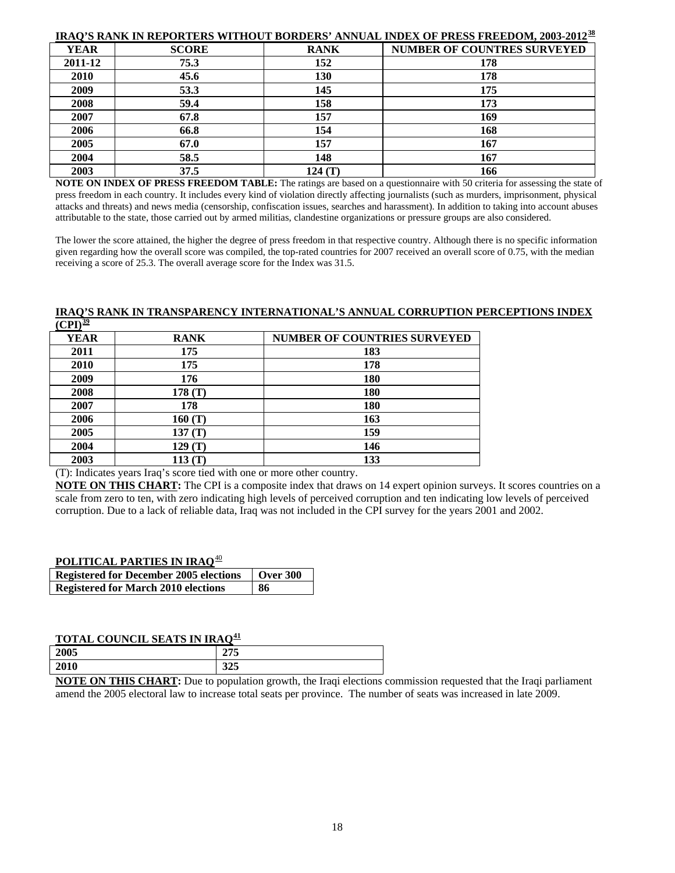|             |              |             | <b>IRAQ'S RANK IN REPORTERS WITHOUT BORDERS' ANNUAL INDEX OF PRESS FREEDOM, 2003-2012<sup>38</sup></b> |
|-------------|--------------|-------------|--------------------------------------------------------------------------------------------------------|
| <b>YEAR</b> | <b>SCORE</b> | <b>RANK</b> | <b>NUMBER OF COUNTRES SURVEYED</b>                                                                     |
| 2011-12     | 75.3         | 152         | 178                                                                                                    |
| 2010        | 45.6         | 130         | 178                                                                                                    |
| 2009        | 53.3         | 145         | 175                                                                                                    |
| 2008        | 59.4         | 158         | 173                                                                                                    |
| 2007        | 67.8         | 157         | 169                                                                                                    |
| 2006        | 66.8         | 154         | 168                                                                                                    |
| 2005        | 67.0         | 157         | 167                                                                                                    |
| 2004        | 58.5         | 148         | 167                                                                                                    |
| 2003        | 37.5         | 124 (T)     | 166                                                                                                    |

**NOTE ON INDEX OF PRESS FREEDOM TABLE:** The ratings are based on a questionnaire with 50 criteria for assessing the state of press freedom in each country. It includes every kind of violation directly affecting journalists (such as murders, imprisonment, physical attacks and threats) and news media (censorship, confiscation issues, searches and harassment). In addition to taking into account abuses attributable to the state, those carried out by armed militias, clandestine organizations or pressure groups are also considered.

The lower the score attained, the higher the degree of press freedom in that respective country. Although there is no specific information given regarding how the overall score was compiled, the top-rated countries for 2007 received an overall score of 0.75, with the median receiving a score of 25.3. The overall average score for the Index was 31.5.

#### **IRAQ'S RANK IN TRANSPARENCY INTERNATIONAL'S ANNUAL CORRUPTION PERCEPTIONS INDEX**   $\overline{(CPI)^{39}}$  $\overline{(CPI)^{39}}$  $\overline{(CPI)^{39}}$

| $\sim$ $ \sim$ $\sim$ $\sim$ $\sim$ |             |                                     |
|-------------------------------------|-------------|-------------------------------------|
| <b>YEAR</b>                         | <b>RANK</b> | <b>NUMBER OF COUNTRIES SURVEYED</b> |
| 2011                                | 175         | 183                                 |
| 2010                                | 175         | 178                                 |
| 2009                                | 176         | 180                                 |
| 2008                                | 178 $(T)$   | 180                                 |
| 2007                                | 178         | 180                                 |
| 2006                                | 160(T)      | 163                                 |
| 2005                                | 137(T)      | 159                                 |
| 2004                                | 129(T)      | 146                                 |
| 2003                                | 113(T)      | 133                                 |

(T): Indicates years Iraq's score tied with one or more other country.

**NOTE ON THIS CHART:** The CPI is a composite index that draws on 14 expert opinion surveys. It scores countries on a scale from zero to ten, with zero indicating high levels of perceived corruption and ten indicating low levels of perceived corruption. Due to a lack of reliable data, Iraq was not included in the CPI survey for the years 2001 and 2002.

### **POLITICAL PARTIES IN IRAQ**[4](#page-33-2)0

| <b>Registered for December 2005 elections</b> | <b>Over 300</b> |
|-----------------------------------------------|-----------------|
| <b>Registered for March 2010 elections</b>    | -86             |

## **TOTAL COUNCIL SEATS IN IRAQ[4](#page-33-2)1**

|      | the contract of the contract of<br>the contract of the contract of the contract of the contract of the contract of<br>the contract of the contract of the contract of the contract of the contract of<br>the contract of the contract of the contract of<br>the contract of the contract of |
|------|---------------------------------------------------------------------------------------------------------------------------------------------------------------------------------------------------------------------------------------------------------------------------------------------|
| 2010 | 225<br><i>343</i>                                                                                                                                                                                                                                                                           |
| 2005 | 255<br>415                                                                                                                                                                                                                                                                                  |
|      |                                                                                                                                                                                                                                                                                             |

**NOTE ON THIS CHART:** Due to population growth, the Iraqi elections commission requested that the Iraqi parliament amend the 2005 electoral law to increase total seats per province. The number of seats was increased in late 2009.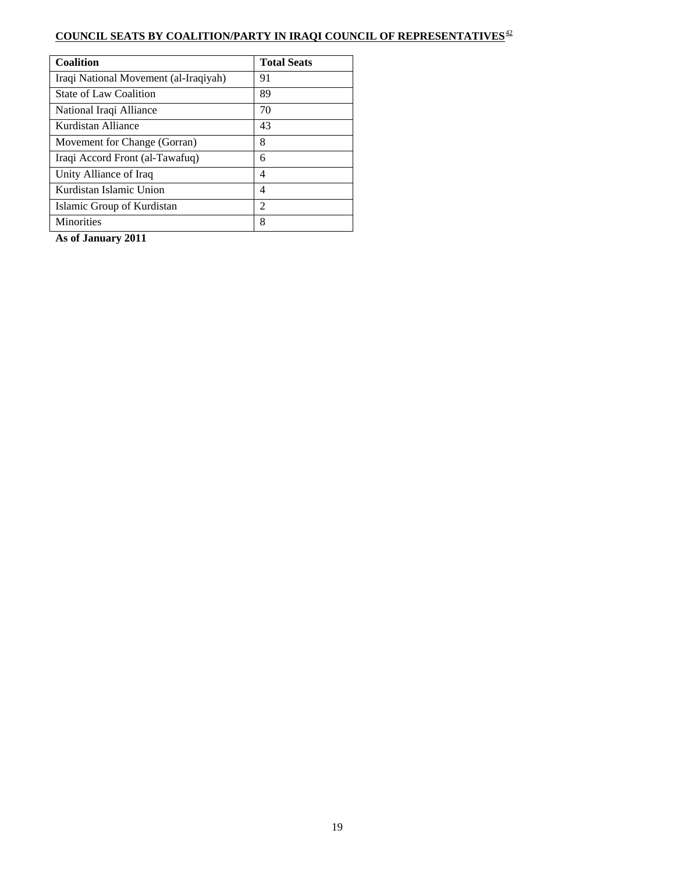## **COUNCIL SEATS BY COALITION/PARTY IN IRAQI COUNCIL OF REPRESENTATIVES**[42](#page-33-2)

| <b>Coalition</b>                      | <b>Total Seats</b> |
|---------------------------------------|--------------------|
| Iraqi National Movement (al-Iraqiyah) | 91                 |
| <b>State of Law Coalition</b>         | 89                 |
| National Iraqi Alliance               | 70                 |
| Kurdistan Alliance                    | 43                 |
| Movement for Change (Gorran)          | 8                  |
| Iraqi Accord Front (al-Tawafuq)       | 6                  |
| Unity Alliance of Iraq                | 4                  |
| Kurdistan Islamic Union               | 4                  |
| Islamic Group of Kurdistan            | 2                  |
| <b>Minorities</b>                     | 8                  |

**As of January 2011**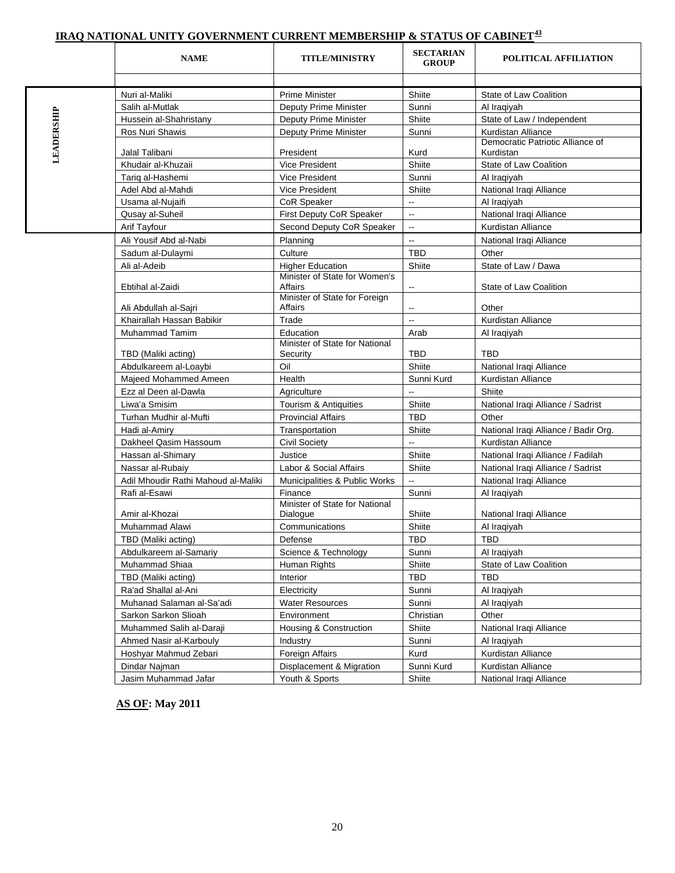## **IRAQ NATIONAL UNITY GOVERNMENT CURRENT MEMBERSHIP & STATUS OF CABINET[4](#page-33-2)3**

|            | <b>NAME</b>                         | <b>TITLE/MINISTRY</b>                      | <b>SECTARIAN</b><br><b>GROUP</b> | POLITICAL AFFILIATION                         |
|------------|-------------------------------------|--------------------------------------------|----------------------------------|-----------------------------------------------|
|            |                                     |                                            |                                  |                                               |
|            | Nuri al-Maliki                      | <b>Prime Minister</b>                      | Shiite                           | State of Law Coalition                        |
|            | Salih al-Mutlak                     | Deputy Prime Minister                      | Sunni                            | Al Iraqiyah                                   |
|            | Hussein al-Shahristany              | Deputy Prime Minister                      | Shiite                           | State of Law / Independent                    |
|            | Ros Nuri Shawis                     | <b>Deputy Prime Minister</b>               | Sunni                            | Kurdistan Alliance                            |
| LEADERSHIP | Jalal Talibani                      | President                                  | Kurd                             | Democratic Patriotic Alliance of<br>Kurdistan |
|            | Khudair al-Khuzaii                  | <b>Vice President</b>                      | Shiite                           | State of Law Coalition                        |
|            | Tariq al-Hashemi                    | <b>Vice President</b>                      | Sunni                            | Al Iraqiyah                                   |
|            | Adel Abd al-Mahdi                   | <b>Vice President</b>                      | Shiite                           | National Iraqi Alliance                       |
|            | Usama al-Nujaifi                    | <b>CoR Speaker</b>                         | --                               | Al Iraqiyah                                   |
|            | Qusay al-Suheil                     | First Deputy CoR Speaker                   | --                               | National Iraqi Alliance                       |
|            | Arif Tayfour                        | Second Deputy CoR Speaker                  | Ξ.                               | Kurdistan Alliance                            |
|            | Ali Yousif Abd al-Nabi              | Planning                                   | Ξ.                               | National Iraqi Alliance                       |
|            | Sadum al-Dulaymi                    | Culture                                    | <b>TBD</b>                       | Other                                         |
|            | Ali al-Adeib                        | <b>Higher Education</b>                    | Shiite                           | State of Law / Dawa                           |
|            |                                     | Minister of State for Women's              |                                  |                                               |
|            | Ebtihal al-Zaidi                    | Affairs                                    | --                               | State of Law Coalition                        |
|            | Ali Abdullah al-Sajri               | Minister of State for Foreign<br>Affairs   | --                               | Other                                         |
|            | Khairallah Hassan Babikir           | Trade                                      | u.                               | Kurdistan Alliance                            |
|            | <b>Muhammad Tamim</b>               | Education                                  | Arab                             | Al Iraqiyah                                   |
|            | TBD (Maliki acting)                 | Minister of State for National<br>Security | <b>TBD</b>                       | <b>TBD</b>                                    |
|            | Abdulkareem al-Loaybi               | Oil                                        | Shiite                           | National Iraqi Alliance                       |
|            | Majeed Mohammed Ameen               | Health                                     | Sunni Kurd                       | Kurdistan Alliance                            |
|            | Ezz al Deen al-Dawla                | Agriculture                                | Ш.                               | Shiite                                        |
|            | Liwa'a Smisim                       | Tourism & Antiquities                      | Shiite                           | National Iraqi Alliance / Sadrist             |
|            | Turhan Mudhir al-Mufti              | <b>Provincial Affairs</b>                  | <b>TBD</b>                       | Other                                         |
|            | Hadi al-Amiry                       | Transportation                             | Shiite                           | National Iraqi Alliance / Badir Org.          |
|            | Dakheel Qasim Hassoum               | <b>Civil Society</b>                       | Ξ.                               | Kurdistan Alliance                            |
|            | Hassan al-Shimary                   | Justice                                    | Shiite                           | National Iraqi Alliance / Fadilah             |
|            | Nassar al-Rubaiy                    | Labor & Social Affairs                     | Shiite                           | National Iraqi Alliance / Sadrist             |
|            | Adil Mhoudir Rathi Mahoud al-Maliki | Municipalities & Public Works              | --                               | National Iraqi Alliance                       |
|            | Rafi al-Esawi                       | Finance                                    | Sunni                            | Al Iraqiyah                                   |
|            | Amir al-Khozai                      | Minister of State for National<br>Dialogue | Shiite                           | National Iragi Alliance                       |
|            | Muhammad Alawi                      | Communications                             | Shiite                           | Al Iraqiyah                                   |
|            | TBD (Maliki acting)                 | Defense                                    | TBD                              | TBD                                           |
|            | Abdulkareem al-Samariy              | Science & Technology                       | Sunni                            | Al Iraqiyah                                   |
|            | Muhammad Shiaa                      | Human Rights                               | Shiite                           | State of Law Coalition                        |
|            | TBD (Maliki acting)                 | Interior                                   | <b>TBD</b>                       | TBD                                           |
|            | Ra'ad Shallal al-Ani                | Electricity                                | Sunni                            | Al Iraqiyah                                   |
|            | Muhanad Salaman al-Sa'adi           | <b>Water Resources</b>                     | Sunni                            | Al Iraqiyah                                   |
|            | Sarkon Sarkon Slioah                | Environment                                | Christian                        | Other                                         |
|            | Muhammed Salih al-Daraji            | Housing & Construction                     | Shiite                           | National Iraqi Alliance                       |
|            | Ahmed Nasir al-Karbouly             | Industry                                   | Sunni                            | Al Iraqiyah                                   |
|            | Hoshyar Mahmud Zebari               | Foreign Affairs                            | Kurd                             | Kurdistan Alliance                            |
|            | Dindar Najman                       | Displacement & Migration                   | Sunni Kurd                       | Kurdistan Alliance                            |
|            | Jasim Muhammad Jafar                | Youth & Sports                             | Shiite                           | National Iraqi Alliance                       |

 **AS OF: May 2011**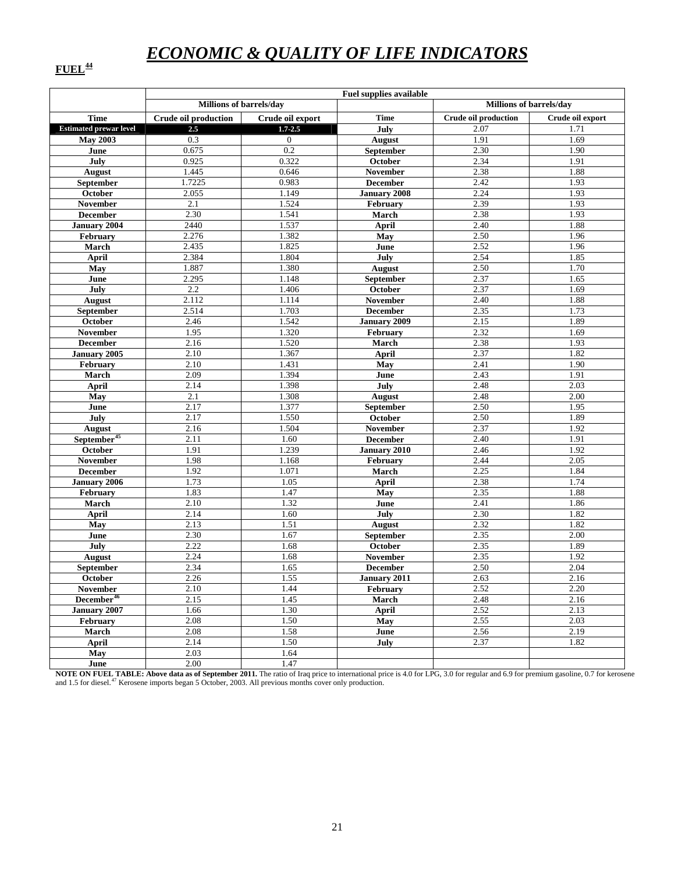# *ECONOMIC & QUALITY OF LIFE INDICATORS*

## **FUEL[44](#page-33-2)**

|                               | <b>Fuel supplies available</b> |                  |                     |                             |                  |  |  |  |
|-------------------------------|--------------------------------|------------------|---------------------|-----------------------------|------------------|--|--|--|
|                               | Millions of barrels/day        |                  |                     | Millions of barrels/day     |                  |  |  |  |
| <b>Time</b>                   | <b>Crude oil production</b>    | Crude oil export | <b>Time</b>         | <b>Crude oil production</b> | Crude oil export |  |  |  |
| <b>Estimated prewar level</b> | 2.5                            | $1.7 - 2.5$      | July                | 2.07                        | 1.71             |  |  |  |
| <b>May 2003</b>               | 0.3                            | $\overline{0}$   | <b>August</b>       | 1.91                        | 1.69             |  |  |  |
| June                          | 0.675                          | 0.2              | September           | 2.30                        | 1.90             |  |  |  |
| July                          | 0.925                          | 0.322            | October             | 2.34                        | 1.91             |  |  |  |
| <b>August</b>                 | 1.445                          | 0.646            | <b>November</b>     | 2.38                        | 1.88             |  |  |  |
| September                     | 1.7225                         | 0.983            | <b>December</b>     | 2.42                        | 1.93             |  |  |  |
| October                       | 2.055                          | 1.149            | <b>January 2008</b> | 2.24                        | 1.93             |  |  |  |
| <b>November</b>               | 2.1                            | 1.524            | February            | 2.39                        | 1.93             |  |  |  |
| <b>December</b>               | 2.30                           | 1.541            | March               | 2.38                        | 1.93             |  |  |  |
| <b>January 2004</b>           | 2440                           | 1.537            | <b>April</b>        | 2.40                        | 1.88             |  |  |  |
| February                      | 2.276                          | 1.382            | May                 | 2.50                        | 1.96             |  |  |  |
| March                         | 2.435                          | 1.825            | June                | 2.52                        | 1.96             |  |  |  |
| April                         | 2.384                          | 1.804            | July                | 2.54                        | 1.85             |  |  |  |
| May                           | 1.887                          | 1.380            | <b>August</b>       | 2.50                        | 1.70             |  |  |  |
| June                          | 2.295                          | 1.148            | September           | 2.37                        | 1.65             |  |  |  |
| July                          | 2.2                            | 1.406            | October             | 2.37                        | 1.69             |  |  |  |
| <b>August</b>                 | 2.112                          | 1.114            | November            | 2.40                        | 1.88             |  |  |  |
| September                     | 2.514                          | 1.703            | <b>December</b>     | 2.35                        | 1.73             |  |  |  |
| October                       | 2.46                           | 1.542            | <b>January 2009</b> | 2.15                        | 1.89             |  |  |  |
| <b>November</b>               | 1.95                           | 1.320            | February            | 2.32                        | 1.69             |  |  |  |
| <b>December</b>               | 2.16                           | 1.520            | March               | 2.38                        | 1.93             |  |  |  |
| January 2005                  | 2.10                           | 1.367            | April               | 2.37                        | 1.82             |  |  |  |
| February                      | 2.10                           | 1.431            | May                 | 2.41                        | 1.90             |  |  |  |
| March                         | 2.09                           | 1.394            | June                | 2.43                        | 1.91             |  |  |  |
| <b>April</b>                  | 2.14                           | 1.398            | July                | 2.48                        | 2.03             |  |  |  |
| May                           | 2.1                            | 1.308            | <b>August</b>       | 2.48                        | 2.00             |  |  |  |
| June                          | 2.17                           | 1.377            | <b>September</b>    | 2.50                        | 1.95             |  |  |  |
| July                          | 2.17                           | 1.550            | October             | 2.50                        | 1.89             |  |  |  |
| <b>August</b>                 | 2.16                           | 1.504            | November            | 2.37                        | 1.92             |  |  |  |
| September <sup>45</sup>       | 2.11                           | 1.60             | <b>December</b>     | 2.40                        | 1.91             |  |  |  |
| October                       | 1.91                           | 1.239            | <b>January 2010</b> | 2.46                        | 1.92             |  |  |  |
| <b>November</b>               | 1.98                           | 1.168            | February            | 2.44                        | 2.05             |  |  |  |
| <b>December</b>               | 1.92                           | 1.071            | March               | 2.25                        | 1.84             |  |  |  |
| <b>January 2006</b>           | 1.73                           | 1.05             | April               | 2.38                        | 1.74             |  |  |  |
| February                      | 1.83                           | 1.47             | May                 | 2.35                        | 1.88             |  |  |  |
| March                         | 2.10                           | 1.32             | June                | 2.41                        | 1.86             |  |  |  |
| <b>April</b>                  | 2.14                           | 1.60             | July                | 2.30                        | 1.82             |  |  |  |
| May                           | 2.13                           | 1.51             | <b>August</b>       | 2.32                        | 1.82             |  |  |  |
| June                          | 2.30                           | 1.67             | September           | 2.35                        | 2.00             |  |  |  |
| July                          | 2.22                           | 1.68             | October             | 2.35                        | 1.89             |  |  |  |
| <b>August</b>                 | 2.24                           | 1.68             | November            | 2.35                        | 1.92             |  |  |  |
| September                     | 2.34                           | 1.65             | <b>December</b>     | 2.50                        | 2.04             |  |  |  |
| <b>October</b>                | 2.26                           | 1.55             | <b>January 2011</b> | 2.63                        | 2.16             |  |  |  |
| <b>November</b>               | 2.10                           | 1.44             | February            | 2.52                        | 2.20             |  |  |  |
| December <sup>46</sup>        | 2.15                           | 1.45             | March               | 2.48                        | 2.16             |  |  |  |
| <b>January 2007</b>           | 1.66                           | 1.30             | <b>April</b>        | 2.52                        | 2.13             |  |  |  |
| February                      | 2.08                           | 1.50             | May                 | 2.55                        | 2.03             |  |  |  |
| March                         | 2.08                           | 1.58             | June                | 2.56                        | 2.19             |  |  |  |
| April                         | 2.14                           | 1.50             | July                | 2.37                        | 1.82             |  |  |  |
| May                           | 2.03                           | 1.64             |                     |                             |                  |  |  |  |
| June                          | 2.00                           | 1.47             |                     |                             |                  |  |  |  |

**NOTE ON FUEL TABLE: Above data as of September 2011.** The ratio of Iraq price to international price is 4.0 for LPG, 3.0 for regular and 6.9 for premium gasoline, 0.7 for kerosene and 1.5 for diesel.<sup>[47](#page-33-2)</sup> Kerosene imports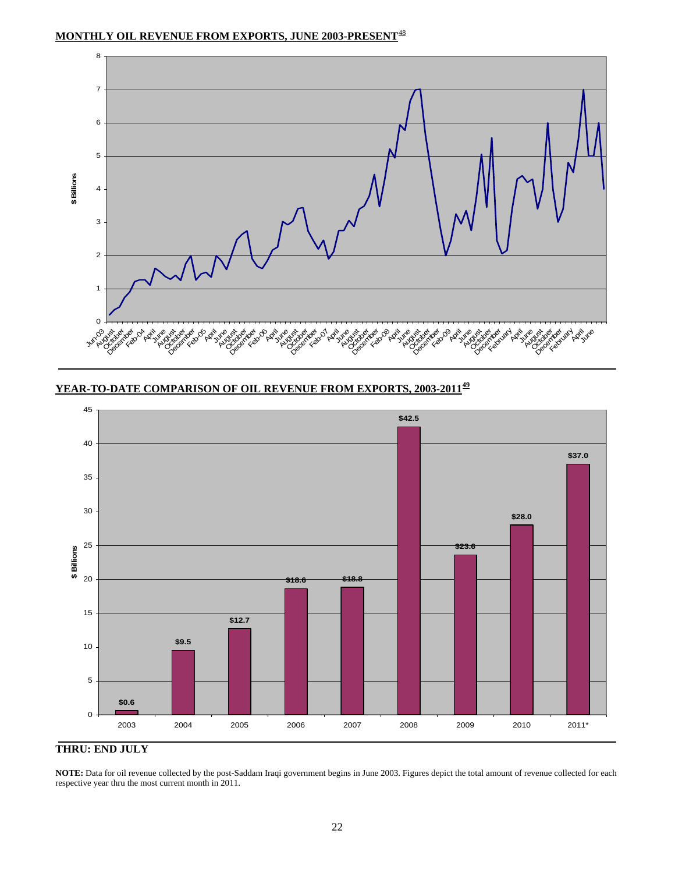## **MONTHLY OIL REVENUE FROM EXPORTS, JUNE 2003-PRESENT**[48](#page-33-2)

![](_page_21_Figure_1.jpeg)

## **YEAR-TO-DATE COMPARISON OF OIL REVENUE FROM EXPORTS, 2003-2011[49](#page-33-2)**

![](_page_21_Figure_3.jpeg)

## **THRU: END JULY**

**NOTE:** Data for oil revenue collected by the post-Saddam Iraqi government begins in June 2003. Figures depict the total amount of revenue collected for each respective year thru the most current month in 2011.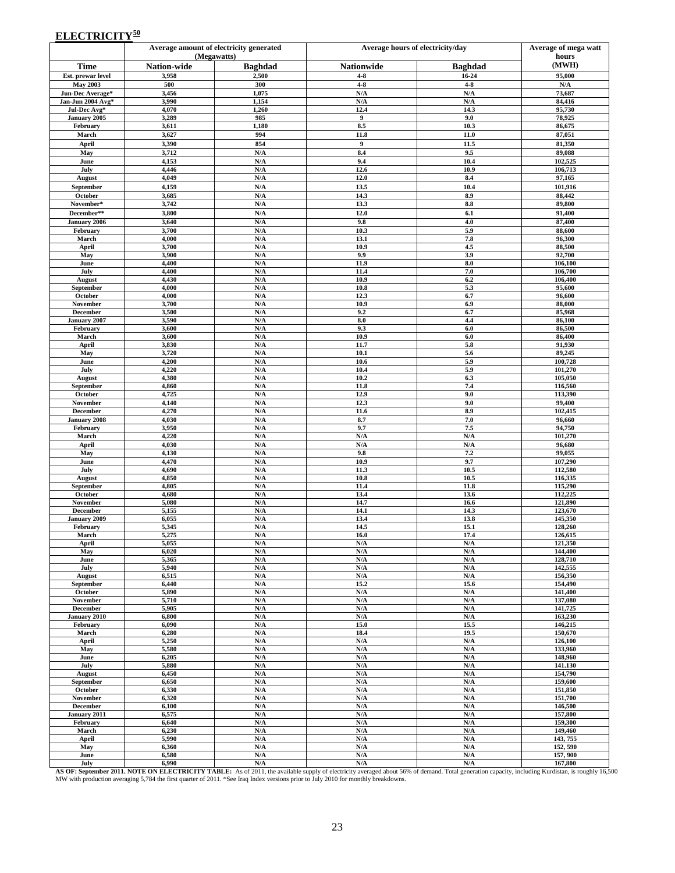## **ELECTRICITY**<sup>[5](#page-33-2)0</sup>

|                                       |                    | Average amount of electricity generated<br>(Megawatts) |                                 | Average hours of electricity/day |                    |  |  |
|---------------------------------------|--------------------|--------------------------------------------------------|---------------------------------|----------------------------------|--------------------|--|--|
| <b>Time</b>                           | <b>Nation-wide</b> | <b>Baghdad</b>                                         | <b>Nationwide</b>               | <b>Baghdad</b>                   | hours<br>(MWH)     |  |  |
| Est. prewar level                     | 3,958              | 2,500                                                  | $4 - 8$                         | 16-24                            | 95,000             |  |  |
| <b>May 2003</b>                       | 500                | 300                                                    | $4 - 8$                         | $4-8$                            | N/A                |  |  |
| Jun-Dec Average*<br>Jan-Jun 2004 Avg* | 3,456<br>3,990     | 1,075<br>1,154                                         | N/A<br>N/A                      | N/A<br>N/A                       | 73,687<br>84,416   |  |  |
| Jul-Dec Avg*                          | 4,070              | 1,260                                                  | 12.4                            | 14.3                             | 95,730             |  |  |
| January 2005                          | 3,289              | 985                                                    | 9                               | 9.0                              | 78,925             |  |  |
| February<br>March                     | 3,611<br>3,627     | 1,180<br>994                                           | 8.5<br>11.8                     | 10.3<br>11.0                     | 86,675<br>87,051   |  |  |
| April                                 | 3,390              | 854                                                    | $\boldsymbol{9}$                | 11.5                             | 81,350             |  |  |
| May                                   | 3,712              | N/A                                                    | 8.4                             | 9.5                              | 89,088             |  |  |
| June                                  | 4,153              | N/A                                                    | 9.4                             | 10.4                             | 102,525            |  |  |
| July                                  | 4,446<br>4,049     | N/A<br>N/A                                             | 12.6<br>12.0                    | 10.9<br>8.4                      | 106,713<br>97,165  |  |  |
| August<br>September                   | 4,159              | N/A                                                    | 13.5                            | 10.4                             | 101,916            |  |  |
| October                               | 3,685              | N/A                                                    | 14.3                            | 8.9                              | 88,442             |  |  |
| November*                             | 3,742              | N/A                                                    | 13.3                            | 8.8                              | 89,800             |  |  |
| December**                            | 3,800              | N/A                                                    | 12.0                            | 6.1                              | 91,400             |  |  |
| January 2006<br>February              | 3,640<br>3,700     | N/A<br>N/A                                             | 9.8<br>10.3                     | 4.0<br>5.9                       | 87,400<br>88,600   |  |  |
| March                                 | 4,000              | N/A                                                    | 13.1                            | 7.8                              | 96,300             |  |  |
| April                                 | 3,700              | N/A                                                    | 10.9                            | 4.5                              | 88,500             |  |  |
| May                                   | 3,900              | N/A                                                    | 9.9                             | 3.9                              | 92,700             |  |  |
| June<br>July                          | 4,400<br>4,400     | N/A<br>N/A                                             | 11.9<br>11.4                    | 8.0<br>7.0                       | 106,100<br>106,700 |  |  |
| August                                | 4,430              | N/A                                                    | 10.9                            | 6.2                              | 106,400            |  |  |
| September                             | 4,000              | N/A                                                    | 10.8                            | 5.3                              | 95,600             |  |  |
| October<br>November                   | 4,000<br>3,700     | N/A<br>N/A                                             | 12.3<br>10.9                    | 6.7<br>6.9                       | 96,600<br>88,000   |  |  |
| <b>December</b>                       | 3,500              | N/A                                                    | 9.2                             | 6.7                              | 85,968             |  |  |
| January 2007                          | 3,590              | $\mathbf{N}/\mathbf{A}$                                | 8.0                             | 4.4                              | 86,100             |  |  |
| February<br>March                     | 3,600<br>3,600     | N/A<br>N/A                                             | 9.3<br>10.9                     | 6.0<br>6.0                       | 86,500<br>86,400   |  |  |
| April                                 | 3,830              | N/A                                                    | 11.7                            | 5.8                              | 91,930             |  |  |
| May                                   | 3,720              | N/A                                                    | 10.1                            | 5.6                              | 89,245             |  |  |
| June                                  | 4,200              | N/A                                                    | 10.6                            | 5.9                              | 100,728            |  |  |
| July<br>August                        | 4,220<br>4,380     | N/A<br>N/A                                             | 10.4<br>10.2                    | 5.9<br>6.3                       | 101,270<br>105,050 |  |  |
| September                             | 4,860              | N/A                                                    | 11.8                            | 7.4                              | 116,560            |  |  |
| October                               | 4,725              | N/A                                                    | 12.9                            | 9.0                              | 113,390            |  |  |
| November<br>December                  | 4,140<br>4,270     | N/A<br>N/A                                             | 12.3<br>11.6                    | 9.0<br>8.9                       | 99,400<br>102,415  |  |  |
| January 2008                          | 4,030              | $\mathbf{N}/\mathbf{A}$                                | 8.7                             | 7.0                              | 96,660             |  |  |
| February                              | 3,950              | N/A                                                    | 9.7                             | 7.5                              | 94,750             |  |  |
| March                                 | 4,220              | N/A                                                    | N/A                             | N/A                              | 101,270            |  |  |
| April<br>May                          | 4,030<br>4,130     | N/A<br>N/A                                             | N/A<br>9.8                      | N/A<br>7.2                       | 96,680<br>99,055   |  |  |
| June                                  | 4,470              | N/A                                                    | 10.9                            | 9.7                              | 107,290            |  |  |
| July                                  | 4,690              | N/A                                                    | 11.3                            | 10.5                             | 112,580            |  |  |
| August<br>September                   | 4,850<br>4,805     | N/A<br>N/A                                             | 10.8<br>11.4                    | 10.5<br>11.8                     | 116,335<br>115,290 |  |  |
| October                               | 4,680              | N/A                                                    | 13.4                            | 13.6                             | 112,225            |  |  |
| November                              | 5,080              | N/A                                                    | 14.7                            | 16.6                             | 121,890            |  |  |
| December<br>January 2009              | 5,155<br>6,055     | N/A<br>N/A                                             | 14.1<br>13.4                    | 14.3<br>13.8                     | 123,670<br>145,350 |  |  |
| February                              | 5,345              | N/A                                                    | 14.5                            | 15.1                             | 128,260            |  |  |
| March                                 | 5,275              | N/A                                                    | 16.0                            | 17.4                             | 126,615            |  |  |
| April<br>May                          | 5,055<br>6,020     | N/A<br>$\mathbf{N}/\mathbf{A}$                         | N/A<br>N/A                      | N/A<br>N/A                       | 121,350<br>144,400 |  |  |
| June                                  | 5,365              | N/A                                                    | N/A                             | N/A                              | 128,710            |  |  |
| July                                  | 5,940              | N/A                                                    | N/A                             | N/A                              | 142,555            |  |  |
| August                                | 6,515              | $\mathbf{N}/\mathbf{A}$<br>N/A                         | $\mathbf{N}/\mathbf{A}$<br>15.2 | N/A<br>15.6                      | 156,350<br>154,490 |  |  |
| September<br>October                  | 6,440<br>5,890     | N/A                                                    | $\mathbf{N}/\mathbf{A}$         | N/A                              | 141,400            |  |  |
| November                              | 5,710              | N/A                                                    | $\mathbf{N}/\mathbf{A}$         | N/A                              | 137,080            |  |  |
| December                              | 5,905              | N/A                                                    | N/A                             | N/A                              | 141,725            |  |  |
| January 2010<br>February              | 6,800<br>6,090     | N/A<br>$\mathbf{N}/\mathbf{A}$                         | N/A<br>15.0                     | N/A<br>15.5                      | 163,230<br>146,215 |  |  |
| March                                 | 6,280              | $\mathbf{N}/\mathbf{A}$                                | 18.4                            | 19.5                             | 150,670            |  |  |
| April                                 | 5,250              | N/A                                                    | N/A                             | N/A                              | 126,100            |  |  |
| May                                   | 5,580              | N/A<br>N/A                                             | N/A                             | N/A<br>N/A                       | 133,960            |  |  |
| June<br>July                          | 6,205<br>5,880     | N/A                                                    | N/A<br>N/A                      | N/A                              | 148,960<br>141.130 |  |  |
| August                                | 6,450              | N/A                                                    | N/A                             | N/A                              | 154,790            |  |  |
| September                             | 6,650              | N/A                                                    | N/A                             | N/A                              | 159,600            |  |  |
| October<br>November                   | 6,330<br>6,320     | N/A<br>N/A                                             | N/A<br>$\mathbf{N}/\mathbf{A}$  | N/A<br>N/A                       | 151,850<br>151,700 |  |  |
| <b>December</b>                       | 6,100              | N/A                                                    | $\mathbf{N}/\mathbf{A}$         | N/A                              | 146,500            |  |  |
| January 2011                          | 6,575              | N/A                                                    | $\mathbf{N}/\mathbf{A}$         | N/A                              | 157,800            |  |  |
| February<br>March                     | 6,640<br>6,230     | N/A<br>N/A                                             | N/A<br>N/A                      | N/A<br>N/A                       | 159,300<br>149,460 |  |  |
| April                                 | 5,990              | $\mathbf{N}/\mathbf{A}$                                | $\mathbf{N}/\mathbf{A}$         | N/A                              | 143, 755           |  |  |
| May                                   | 6,360              | N/A                                                    | $\mathbf{N}/\mathbf{A}$         | N/A                              | 152, 590           |  |  |
| June<br>July                          | 6,580<br>6.990     | N/A<br>N/A                                             | N/A<br>N/A                      | N/A<br>N/A                       | 157,900<br>167,800 |  |  |

July July 6,990<br>AS OF: September 2011. NOTE ON ELECTRICITY TABLE: As of 2011, the available supply of electricity averaged about 56% of demand. Total generation capacity, including Kurdistan, is roughly 16,500<br>MW with prod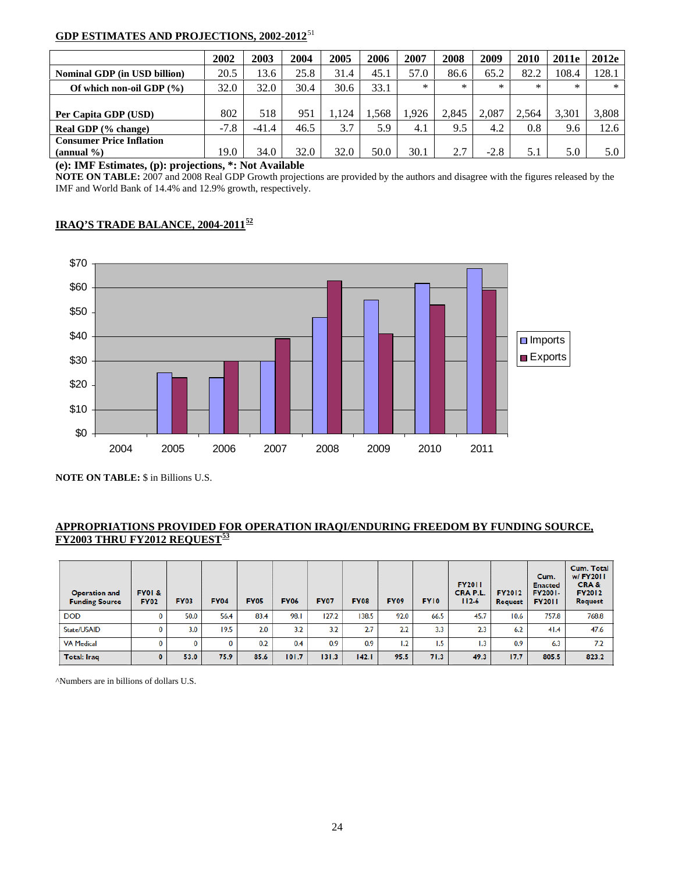## **GDP ESTIMATES AND PROJECTIONS, 2002-2012**[5](#page-33-2)1

|                                 | 2002   | 2003    | 2004 | 2005 | 2006 | 2007   | 2008   | 2009   | 2010   | 2011e  | 2012e |
|---------------------------------|--------|---------|------|------|------|--------|--------|--------|--------|--------|-------|
| Nominal GDP (in USD billion)    | 20.5   | 13.6    | 25.8 | 31.4 | 45.1 | 57.0   | 86.6   | 65.2   | 82.2   | 108.4  | 128.1 |
| Of which non-oil GDP $(\%)$     | 32.0   | 32.0    | 30.4 | 30.6 | 33.1 | $\ast$ | $\ast$ | $\ast$ | $\ast$ | $\ast$ | ∗     |
|                                 |        |         |      |      |      |        |        |        |        |        |       |
| Per Capita GDP (USD)            | 802    | 518     | 951  | .124 | .568 | .926   | 2.845  | 2.087  | 2.564  | 3.301  | 3,808 |
| Real GDP (% change)             | $-7.8$ | $-41.4$ | 46.5 | 3.7  | 5.9  | 4.1    | 9.5    | 4.2    | 0.8    | 9.6    | 12.6  |
| <b>Consumer Price Inflation</b> |        |         |      |      |      |        |        |        |        |        |       |
| $(\text{annual } \% )$          | 19.0   | 34.0    | 32.0 | 32.0 | 50.0 | 30.1   | 2.7    | $-2.8$ | 5.1    | 5.0    | 5.0   |

**(e): IMF Estimates, (p): projections, \*: Not Available** 

**NOTE ON TABLE:** 2007 and 2008 Real GDP Growth projections are provided by the authors and disagree with the figures released by the IMF and World Bank of 14.4% and 12.9% growth, respectively.

## **IRAQ'S TRADE BALANCE, 2004-2011[5](#page-33-2)2**

![](_page_23_Figure_5.jpeg)

 **NOTE ON TABLE:** \$ in Billions U.S.

## **APPROPRIATIONS PROVIDED FOR OPERATION IRAQI/ENDURING FREEDOM BY FUNDING SOURCE, FY2003 THRU FY2012 REQUEST[5](#page-33-2)3**

| <b>Operation and</b><br><b>Funding Source</b> | FY01&<br><b>FY02</b> | <b>FY03</b> | <b>FY04</b> | <b>FY05</b> | <b>FY06</b> | <b>FY07</b> | <b>FY08</b> | <b>FY09</b> | <b>FY10</b> | <b>FY2011</b><br>CRA P.L.<br>$112-6$ | <b>FY2012</b><br>Request | Cum.<br><b>Enacted</b><br><b>FY2001-</b><br><b>FY2011</b> | Cum. Total<br>w/ FY2011<br>CRA&<br><b>FY2012</b><br><b>Request</b> |
|-----------------------------------------------|----------------------|-------------|-------------|-------------|-------------|-------------|-------------|-------------|-------------|--------------------------------------|--------------------------|-----------------------------------------------------------|--------------------------------------------------------------------|
| <b>DOD</b>                                    | 0                    | 50.0        | 56.4        | 83.4        | 98.1        | 127.2       | 138.5       | 92.0        | 66.5        | 45.7                                 | 10.6                     | 757.8                                                     | 768.8                                                              |
| State/USAID                                   |                      | 3.0         | 19.5        | 2.0         | 3.2         | 3.2         | 2.7         | 2.2         | 3.3         | 2.3                                  | 6.2                      | 41.4                                                      | 47.6                                                               |
| <b>VA Medical</b>                             | 0                    | 0           | 0           | 0.2         | 0.4         | 0.9         | 0.9         | 1.2         | 1.5         | 1.3                                  | 0.9                      | 6.3                                                       | 7.2                                                                |
| Total: Iraq                                   | 0                    | 53.0        | 75.9        | 85.6        | 101.7       | 131.3       | 142.1       | 95.5        | 71.3        | 49.3                                 | 17.7                     | 805.5                                                     | 823.2                                                              |

^Numbers are in billions of dollars U.S.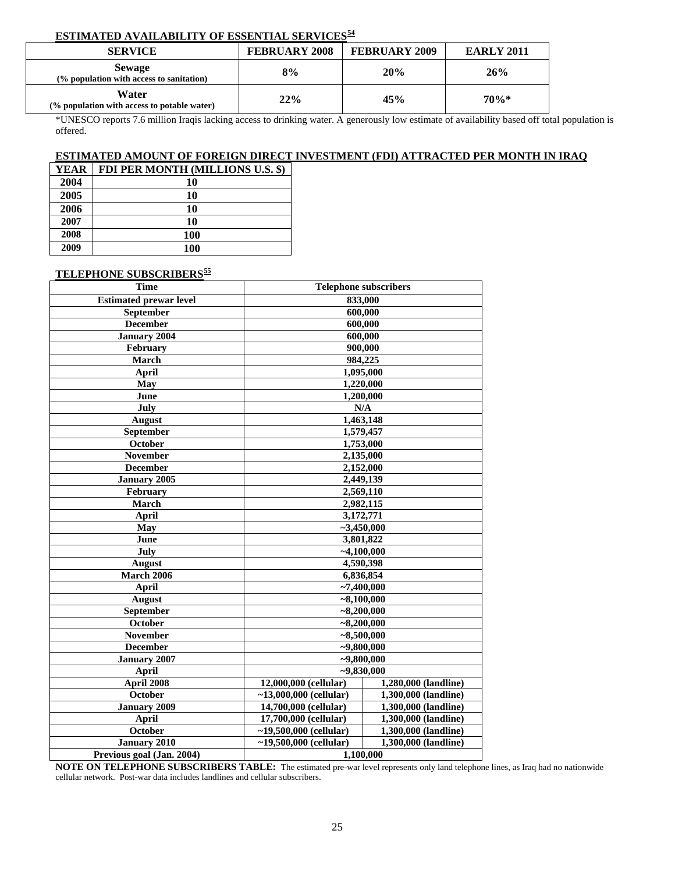## **ESTIMATED AVAILABILITY OF ESSENTIAL SERVICES[54](#page-33-2)**

| <b>SERVICE</b>                                            | <b>FEBRUARY 2008</b> | <b>FEBRUARY 2009</b> | <b>EARLY 2011</b> |
|-----------------------------------------------------------|----------------------|----------------------|-------------------|
| <b>Sewage</b><br>(% population with access to sanitation) | 8%                   | 20%                  | 26%               |
| Water<br>(% population with access to potable water)      | 22%                  | 45%                  | 70%*              |

\*UNESCO reports 7.6 million Iraqis lacking access to drinking water. A generously low estimate of availability based off total population is offered.

### **ESTIMATED AMOUNT OF FOREIGN DIRECT INVESTMENT (FDI) ATTRACTED PER MONTH IN IRAQ**

| YEAR | FDI PER MONTH (MILLIONS U.S. \$) |
|------|----------------------------------|
| 2004 | 10                               |
| 2005 | 10                               |
| 2006 | 10                               |
| 2007 | 10                               |
| 2008 | <b>100</b>                       |
| 2009 | 100                              |

## **TELEPHONE SUBSCRIBERS[5](#page-33-2)5**

| <b>Time</b>                   | <b>Telephone subscribers</b>                  |                      |  |
|-------------------------------|-----------------------------------------------|----------------------|--|
| <b>Estimated prewar level</b> | 833,000                                       |                      |  |
| September                     | 600,000                                       |                      |  |
| <b>December</b>               | 600,000                                       |                      |  |
| <b>January 2004</b>           | 600,000                                       |                      |  |
| February                      | 900,000                                       |                      |  |
| March                         | 984,225                                       |                      |  |
| <b>April</b>                  | 1,095,000                                     |                      |  |
| May                           | 1,220,000                                     |                      |  |
| June                          | 1,200,000                                     |                      |  |
| July                          | N/A                                           |                      |  |
| <b>August</b>                 | 1,463,148                                     |                      |  |
| September                     | 1,579,457                                     |                      |  |
| October                       | 1,753,000                                     |                      |  |
| <b>November</b>               | 2,135,000                                     |                      |  |
| <b>December</b>               | 2,152,000                                     |                      |  |
| January 2005                  | 2,449,139                                     |                      |  |
| February                      | 2,569,110                                     |                      |  |
| <b>March</b>                  | 2,982,115                                     |                      |  |
| <b>April</b>                  | 3,172,771                                     |                      |  |
| May                           | $-3,450,000$                                  |                      |  |
| June                          | 3,801,822                                     |                      |  |
| July                          | $-4,100,000$                                  |                      |  |
| <b>August</b>                 | 4,590,398                                     |                      |  |
| <b>March 2006</b>             | 6,836,854                                     |                      |  |
| <b>April</b>                  | $-7,400,000$                                  |                      |  |
| <b>August</b>                 | $-8,100,000$                                  |                      |  |
| September                     | $-8,200,000$                                  |                      |  |
| October                       | $-8,200,000$                                  |                      |  |
| <b>November</b>               | $-8,500,000$                                  |                      |  |
| <b>December</b>               | $-9,800,000$                                  |                      |  |
| <b>January 2007</b>           | $-9,800,000$                                  |                      |  |
| <b>April</b>                  | $-9,830,000$                                  |                      |  |
| April 2008                    | 1,280,000 (landline)<br>12,000,000 (cellular) |                      |  |
| October                       | ~13,000,000 (cellular)                        | 1,300,000 (landline) |  |
| <b>January 2009</b>           | 14,700,000 (cellular)                         | 1,300,000 (landline) |  |
| <b>April</b>                  | 17,700,000 (cellular)                         | 1,300,000 (landline) |  |
| October                       | ~19,500,000 (cellular)                        | 1,300,000 (landline) |  |
| <b>January 2010</b>           | ~19,500,000 (cellular)                        | 1,300,000 (landline) |  |
| Previous goal (Jan. 2004)     | 1,100,000                                     |                      |  |

**NOTE ON TELEPHONE SUBSCRIBERS TABLE:** The estimated pre-war level represents only land telephone lines, as Iraq had no nationwide cellular network. Post-war data includes landlines and cellular subscribers.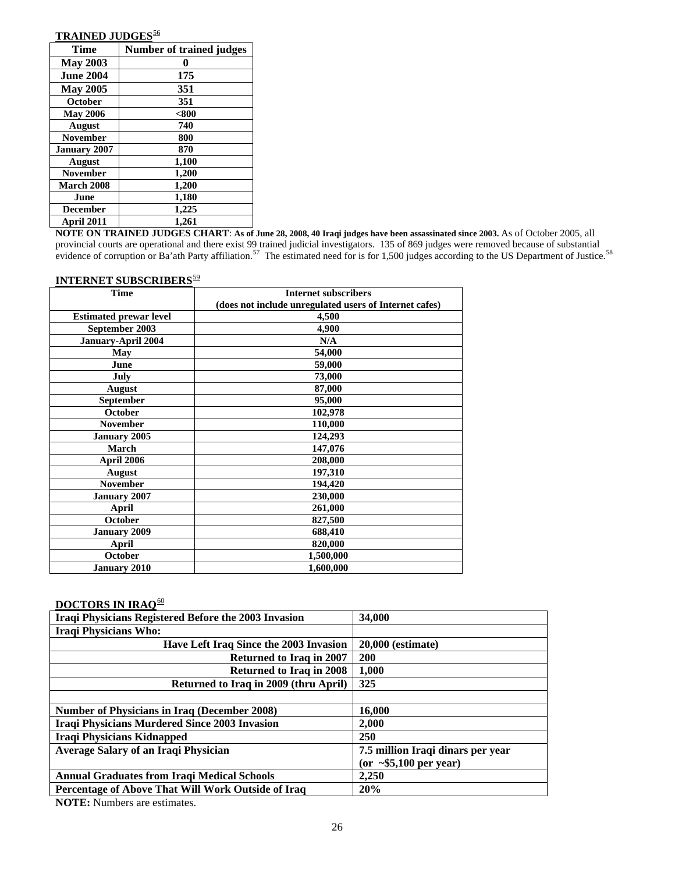## **TRAINED JUDGES**<sup>[5](#page-33-2)6</sup>

| Time                | <b>Number of trained judges</b> |
|---------------------|---------------------------------|
| <b>May 2003</b>     |                                 |
| <b>June 2004</b>    | 175                             |
| <b>May 2005</b>     | 351                             |
| <b>October</b>      | 351                             |
| <b>May 2006</b>     | $800$                           |
| <b>August</b>       | 740                             |
| <b>November</b>     | 800                             |
| <b>January 2007</b> | 870                             |
| August              | 1,100                           |
| <b>November</b>     | 1,200                           |
| <b>March 2008</b>   | 1,200                           |
| June                | 1,180                           |
| <b>December</b>     | 1,225                           |
| April 2011          | 1,261                           |

**NOTE ON TRAINED JUDGES CHART**: **As of June 28, 2008, 40 Iraqi judges have been assassinated since 2003.** As of October 2005, all provincial courts are operational and there exist 99 trained judicial investigators. 135 of 869 judges were removed because of substantial evidence of corruption or Ba'ath Party affiliation.<sup>[57](#page-33-2)</sup> The estimated need for is for 1,[5](#page-33-2)00 judges according to the US Department of Justice.<sup>58</sup>

| <b>Internet subscribers</b>                            |  |
|--------------------------------------------------------|--|
| (does not include unregulated users of Internet cafes) |  |
| 4,500                                                  |  |
| 4,900                                                  |  |
| N/A                                                    |  |
| 54,000                                                 |  |
| 59,000                                                 |  |
| 73,000                                                 |  |
| 87,000                                                 |  |
| 95,000                                                 |  |
| 102,978                                                |  |
| 110,000                                                |  |
| 124,293                                                |  |
| 147,076                                                |  |
| 208,000                                                |  |
| 197,310                                                |  |
| 194,420                                                |  |
| 230,000                                                |  |
| 261,000                                                |  |
| 827,500                                                |  |
| 688,410                                                |  |
| 820,000                                                |  |
| 1,500,000                                              |  |
| 1,600,000                                              |  |
|                                                        |  |

## **INTERNET SUBSCRIBERS**<sup>[5](#page-33-2)9</sup>

## **DOCTORS IN IRAQ**[60](#page-33-2)

| Iraqi Physicians Registered Before the 2003 Invasion | 34,000                              |  |
|------------------------------------------------------|-------------------------------------|--|
| <b>Iraqi Physicians Who:</b>                         |                                     |  |
| Have Left Iraq Since the 2003 Invasion               | 20,000 (estimate)                   |  |
| <b>Returned to Iraq in 2007</b>                      | <b>200</b>                          |  |
| <b>Returned to Iraq in 2008</b>                      | 1,000                               |  |
| Returned to Iraq in 2009 (thru April)                | 325                                 |  |
|                                                      |                                     |  |
| <b>Number of Physicians in Iraq (December 2008)</b>  | 16,000                              |  |
| <b>Iraqi Physicians Murdered Since 2003 Invasion</b> | 2.000                               |  |
| <b>Iraqi Physicians Kidnapped</b>                    | <b>250</b>                          |  |
| <b>Average Salary of an Iraqi Physician</b>          | 7.5 million Iraqi dinars per year   |  |
|                                                      | $(or \sim $5,100 \text{ per year})$ |  |
| <b>Annual Graduates from Iraqi Medical Schools</b>   | 2,250                               |  |
| Percentage of Above That Will Work Outside of Iraq   | 20%                                 |  |

**NOTE:** Numbers are estimates.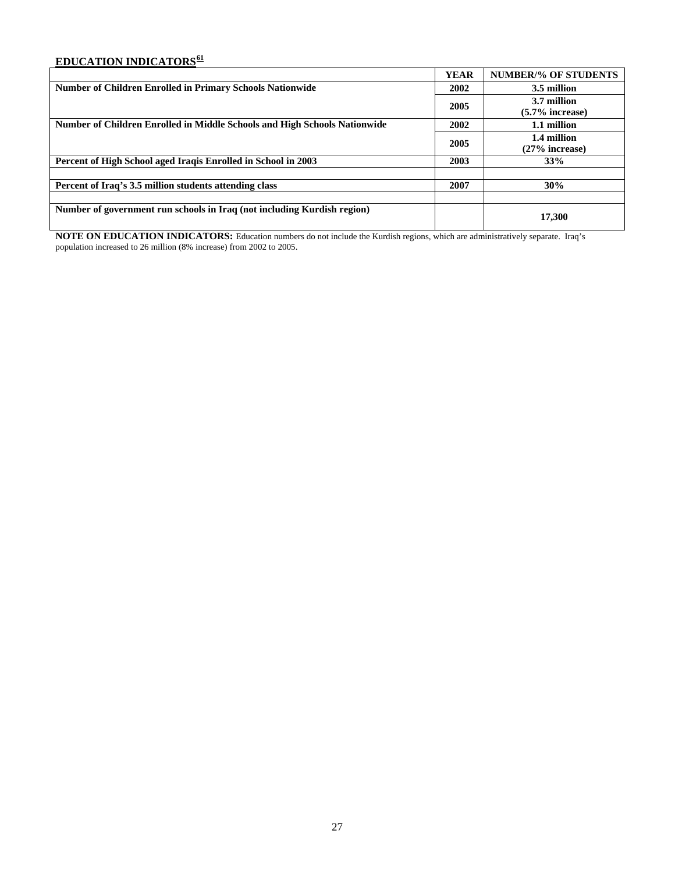## **EDUCATION INDICATORS[61](#page-33-2)**

|                                                                           | <b>YEAR</b> | <b>NUMBER/% OF STUDENTS</b> |
|---------------------------------------------------------------------------|-------------|-----------------------------|
| <b>Number of Children Enrolled in Primary Schools Nationwide</b>          | 2002        | 3.5 million                 |
|                                                                           | 2005        | 3.7 million                 |
|                                                                           |             | $(5.7\%$ increase)          |
| Number of Children Enrolled in Middle Schools and High Schools Nationwide | 2002        | 1.1 million                 |
|                                                                           | 2005        | 1.4 million                 |
|                                                                           |             | $(27\%$ increase)           |
| Percent of High School aged Iraqis Enrolled in School in 2003             | 2003        | 33%                         |
|                                                                           |             |                             |
| Percent of Iraq's 3.5 million students attending class                    | 2007        | 30%                         |
|                                                                           |             |                             |
| Number of government run schools in Iraq (not including Kurdish region)   |             | 17,300                      |

**NOTE ON EDUCATION INDICATORS:** Education numbers do not include the Kurdish regions, which are administratively separate. Iraq's population increased to 26 million (8% increase) from 2002 to 2005.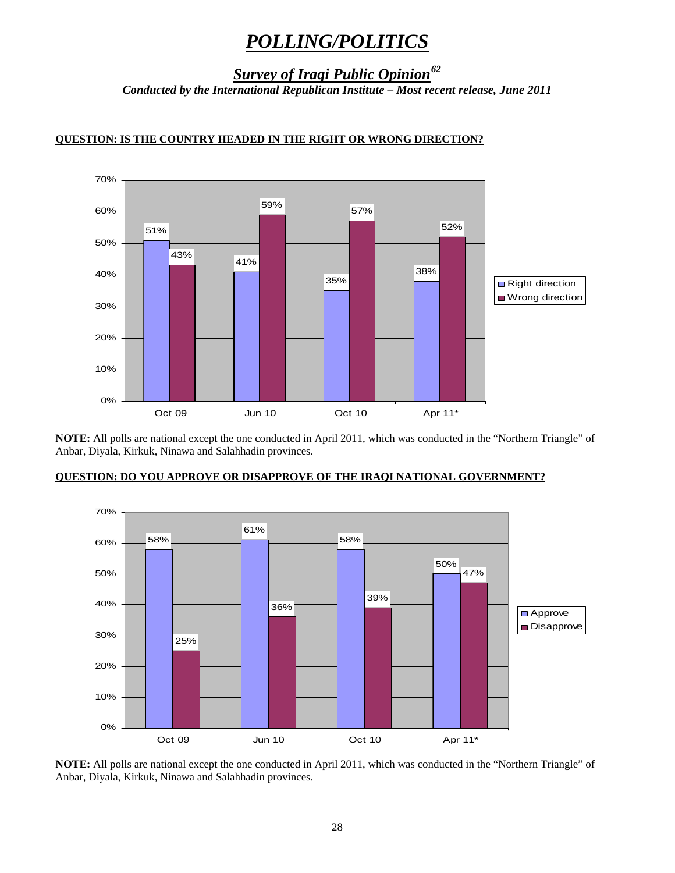# *POLLING/POLITICS*

*Survey of Iraqi Public Opinion[62](#page-33-2)*

*Conducted by the International Republican Institute – Most recent release, June 2011* 

![](_page_27_Figure_3.jpeg)

## **QUESTION: IS THE COUNTRY HEADED IN THE RIGHT OR WRONG DIRECTION?**

**NOTE:** All polls are national except the one conducted in April 2011, which was conducted in the "Northern Triangle" of Anbar, Diyala, Kirkuk, Ninawa and Salahhadin provinces.

### **QUESTION: DO YOU APPROVE OR DISAPPROVE OF THE IRAQI NATIONAL GOVERNMENT?**

![](_page_27_Figure_7.jpeg)

**NOTE:** All polls are national except the one conducted in April 2011, which was conducted in the "Northern Triangle" of Anbar, Diyala, Kirkuk, Ninawa and Salahhadin provinces.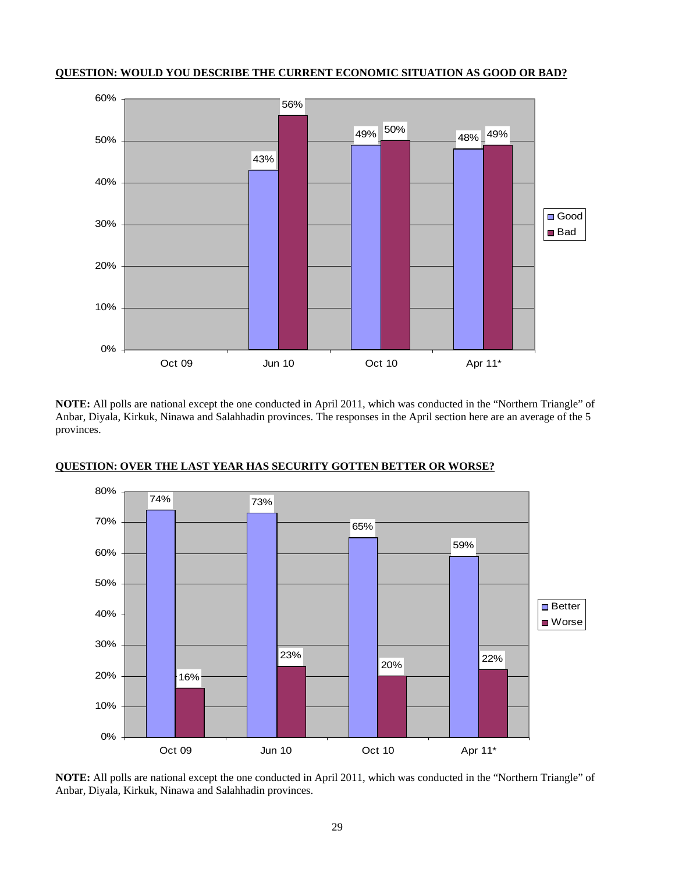![](_page_28_Figure_0.jpeg)

**QUESTION: WOULD YOU DESCRIBE THE CURRENT ECONOMIC SITUATION AS GOOD OR BAD?**

**NOTE:** All polls are national except the one conducted in April 2011, which was conducted in the "Northern Triangle" of Anbar, Diyala, Kirkuk, Ninawa and Salahhadin provinces. The responses in the April section here are an average of the 5 provinces.

![](_page_28_Figure_3.jpeg)

## **QUESTION: OVER THE LAST YEAR HAS SECURITY GOTTEN BETTER OR WORSE?**

 **NOTE:** All polls are national except the one conducted in April 2011, which was conducted in the "Northern Triangle" of Anbar, Diyala, Kirkuk, Ninawa and Salahhadin provinces.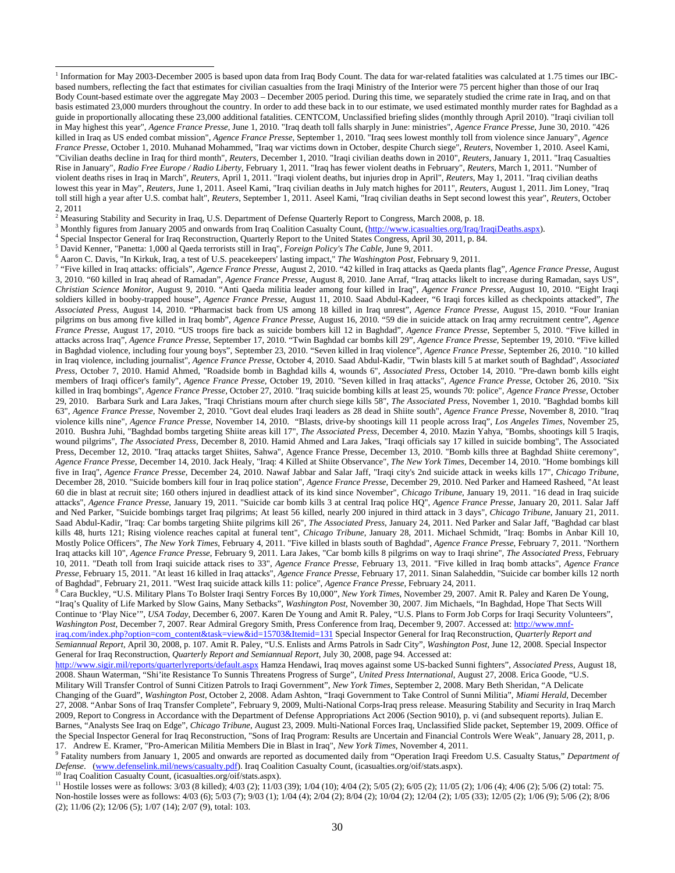<sup>1</sup> Information for May 2003-December 2005 is based upon data from Iraq Body Count. The data for war-related fatalities was calculated at 1.75 times our IBCbased numbers, reflecting the fact that estimates for civilian casualties from the Iraqi Ministry of the Interior were 75 percent higher than those of our Iraq Body Count-based estimate over the aggregate May 2003 – December 2005 period. During this time, we separately studied the crime rate in Iraq, and on that basis estimated 23,000 murders throughout the country. In order to add these back in to our estimate, we used estimated monthly murder rates for Baghdad as a guide in proportionally allocating these 23,000 additional fatalities. CENTCOM, Unclassified briefing slides (monthly through April 2010). "Iraqi civilian toll in May highest this year", *Agence France Presse*, June 1, 2010. "Iraq death toll falls sharply in June: ministries", *Agence France Presse*, June 30, 2010. "426 killed in Iraq as US ended combat mission", *Agence France Presse*, September 1, 2010. "Iraq sees lowest monthly toll from violence since January", *Agence France Presse*, October 1, 2010. Muhanad Mohammed, "Iraq war victims down in October, despite Church siege", *Reuters*, November 1, 2010. Aseel Kami, "Civilian deaths decline in Iraq for third month", *Reuters*, December 1, 2010. "Iraqi civilian deaths down in 2010", *Reuters*, January 1, 2011. "Iraq Casualties Rise in January", *Radio Free Europe / Radio Liberty*, February 1, 2011. "Iraq has fewer violent deaths in February", *Reuters*, March 1, 2011. "Number of violent deaths rises in Iraq in March", *Reuters*, April 1, 2011. "Iraqi violent deaths, but injuries drop in April", *Reuters*, May 1, 2011. "Iraq civilian deaths lowest this year in May", *Reuters*, June 1, 2011. Aseel Kami, "Iraq civilian deaths in July match highes for 2011", *Reuters*, August 1, 2011. Jim Loney, "Iraq toll still high a year after U.S. combat halt", *Reuters*, September 1, 2011. Aseel Kami, "Iraq civilian deaths in Sept second lowest this year", *Reuters*, October 2, 2011

<sup>2</sup> Measuring Stability and Security in Iraq, U.S. Department of Defense Quarterly Report to Congress, March 2008, p. 18.  $\frac{3}{2}$  Monthly figures from January 2005 and onwards from Iraq Coolition Cogualty Count, (http:/

<sup>3</sup> Monthly figures from January 2005 and onwards from Iraq Coalition Casualty Count, (http://www.icasualties.org/Iraq/IraqiDeaths.aspx).

4 Special Inspector General for Iraq Reconstruction, Quarterly Report to the United States Congress, April 30, 2011, p. 84.

5 David Kenner, "Panetta: 1,000 al Qaeda terrorists still in Iraq", *Foreign Policy's The Cable*, June 9, 2011.

l

6 Aaron C. Davis, "In Kirkuk, Iraq, a test of U.S. peacekeepers' lasting impact," *The Washington Post*, February 9, 2011.

7 "Five killed in Iraq attacks: officials", *Agence France Presse*, August 2, 2010. "42 killed in Iraq attacks as Qaeda plants flag", *Agence France Presse*, August 3, 2010. "60 killed in Iraq ahead of Ramadan", *Agence France Presse*, August 8, 2010. Jane Arraf, "Iraq attacks likelt to increase during Ramadan, says US", *Christian Science Monitor*, August 9, 2010. "Anti Qaeda militia leader among four killed in Iraq", *Agence France Presse*, August 10, 2010. "Eight Iraqi soldiers killed in booby-trapped house", *Agence France Presse*, August 11, 2010. Saad Abdul-Kadeer, "6 Iraqi forces killed as checkpoints attacked", *The Associated Press*, August 14, 2010. "Pharmacist back from US among 18 killed in Iraq unrest", *Agence France Presse*, August 15, 2010. "Four Iranian pilgrims on bus among five killed in Iraq bomb", *Agence France Presse*, August 16, 2010. "59 die in suicide attack on Iraq army recruitment centre", *Agence France Presse*, August 17, 2010. "US troops fire back as suicide bombers kill 12 in Baghdad", *Agence France Presse*, September 5, 2010. "Five killed in attacks across Iraq", *Agence France Presse*, September 17, 2010. "Twin Baghdad car bombs kill 29", *Agence France Presse*, September 19, 2010. "Five killed in Baghdad violence, including four young boys", September 23, 2010. "Seven killed in Iraq violence", *Agence France Presse*, September 26, 2010. "10 killed in Iraq violence, including journalist", *Agence France Presse*, October 4, 2010. Saad Abdul-Kadir, "Twin blasts kill 5 at market south of Baghdad", *Associated Press*, October 7, 2010. Hamid Ahmed, "Roadside bomb in Baghdad kills 4, wounds 6", *Associated Press*, October 14, 2010. "Pre-dawn bomb kills eight members of Iraqi officer's family", *Agence France Presse*, October 19, 2010. "Seven killed in Iraq attacks", *Agence France Presse*, October 26, 2010. "Six killed in Iraq bombings", *Agence France Presse*, October 27, 2010. "Iraq suicide bombing kills at least 25, wounds 70: police", *Agence France Presse*, October 29, 2010. Barbara Surk and Lara Jakes, "Iraqi Christians mourn after church siege kills 58", *The Associated Press*, November 1, 2010. "Baghdad bombs kill 63", *Agence France Presse*, November 2, 2010. "Govt deal eludes Iraqi leaders as 28 dead in Shiite south", *Agence France Presse*, November 8, 2010. "Iraq violence kills nine", *Agence France Presse*, November 14, 2010. "Blasts, drive-by shootings kill 11 people across Iraq", *Los Angeles Times*, November 25, 2010. Bushra Juhi, "Baghdad bombs targeting Shiite areas kill 17", *The Associated Press*, December 4, 2010. Mazin Yahya, "Bombs, shootings kill 5 Iraqis, wound pilgrims", *The Associated Press*, December 8, 2010. Hamid Ahmed and Lara Jakes, "Iraqi officials say 17 killed in suicide bombing", The Associated Press, December 12, 2010. "Iraq attacks target Shiites, Sahwa", Agence France Presse, December 13, 2010. "Bomb kills three at Baghdad Shiite ceremony", *Agence France Presse*, December 14, 2010. Jack Healy, "Iraq: 4 Killed at Shiite Observance", *The New York Times*, December 14, 2010. "Home bombings kill five in Iraq", *Agence France Presse*, December 24, 2010. Nawaf Jabbar and Salar Jaff, "Iraqi city's 2nd suicide attack in weeks kills 17", *Chicago Tribune*, December 28, 2010. "Suicide bombers kill four in Iraq police station", *Agence France Presse*, December 29, 2010. Ned Parker and Hameed Rasheed, "At least 60 die in blast at recruit site; 160 others injured in deadliest attack of its kind since November", *Chicago Tribune*, January 19, 2011. "16 dead in Iraq suicide attacks", *Agence France Presse*, January 19, 2011. "Suicide car bomb kills 3 at central Iraq police HQ", *Agence France Presse*, January 20, 2011. Salar Jaff and Ned Parker, "Suicide bombings target Iraq pilgrims; At least 56 killed, nearly 200 injured in third attack in 3 days", *Chicago Tribune*, January 21, 2011. Saad Abdul-Kadir, "Iraq: Car bombs targeting Shiite pilgrims kill 26", *The Associated Press*, January 24, 2011. Ned Parker and Salar Jaff, "Baghdad car blast kills 48, hurts 121; Rising violence reaches capital at funeral tent", *Chicago Tribune*, January 28, 2011. Michael Schmidt, "Iraq: Bombs in Anbar Kill 10, Mostly Police Officers", *The New York Times*, February 4, 2011. "Five killed in blasts south of Baghdad", *Agence France Presse*, February 7, 2011. "Northern Iraq attacks kill 10", *Agence France Presse*, February 9, 2011. Lara Jakes, "Car bomb kills 8 pilgrims on way to Iraqi shrine", *The Associated Press*, February 10, 2011. "Death toll from Iraqi suicide attack rises to 33", *Agence France Presse*, February 13, 2011. "Five killed in Iraq bomb attacks", *Agence France Presse*, February 15, 2011. "At least 16 killed in Iraq attacks", *Agence France Presse*, February 17, 2011. Sinan Salaheddin, "Suicide car bomber kills 12 north of Baghdad", February 21, 2011. "West Iraq suicide attack kills 11: police", *Agence France Presse*, February 24, 2011. 8

 Cara Buckley, "U.S. Military Plans To Bolster Iraqi Sentry Forces By 10,000", *New York Times*, November 29, 2007. Amit R. Paley and Karen De Young, "Iraq's Quality of Life Marked by Slow Gains, Many Setbacks", *Washington Post*, November 30, 2007. Jim Michaels, "In Baghdad, Hope That Sects Will Continue to 'Play Nice'", *USA Today*, December 6, 2007. Karen De Young and Amit R. Paley, "U.S. Plans to Form Job Corps for Iraqi Security Volunteers", *Washington Post*, December 7, 2007. Rear Admiral Gregory Smith, Press Conference from Iraq, December 9, 2007. Accessed at: http://www.mnfiraq.com/index.php?option=com\_content&task=view&id=15703&Itemid=131 Special Inspector General for Iraq Reconstruction, *Quarterly Report and Semiannual Report*, April 30, 2008, p. 107. Amit R. Paley, "U.S. Enlists and Arms Patrols in Sadr City", *Washington Post*, June 12, 2008. Special Inspector General for Iraq Reconstruction, *Quarterly Report and Semiannual Report*, July 30, 2008, page 94. Accessed at:

http://www.sigir.mil/reports/quarterlyreports/default.aspx Hamza Hendawi, Iraq moves against some US-backed Sunni fighters", *Associated Press*, August 18, 2008. Shaun Waterman, "Shi'ite Resistance To Sunnis Threatens Progress of Surge", *United Press International*, August 27, 2008. Erica Goode, "U.S. Military Will Transfer Control of Sunni Citizen Patrols to Iraqi Government", *New York Times*, September 2, 2008. Mary Beth Sheridan, "A Delicate Changing of the Guard", *Washington Post*, October 2, 2008. Adam Ashton, "Iraqi Government to Take Control of Sunni Militia", *Miami Herald*, December 27, 2008. "Anbar Sons of Iraq Transfer Complete", February 9, 2009, Multi-National Corps-Iraq press release. Measuring Stability and Security in Iraq March 2009, Report to Congress in Accordance with the Department of Defense Appropriations Act 2006 (Section 9010), p. vi (and subsequent reports). Julian E. Barnes, "Analysts See Iraq on Edge", *Chicago Tribune*, August 23, 2009. Multi-National Forces Iraq, Unclassified Slide packet, September 19, 2009. Office of the Special Inspector General for Iraq Reconstruction, "Sons of Iraq Program: Results are Uncertain and Financial Controls Were Weak", January 28, 2011, p. 17. Andrew E. Kramer, "Pro-American Militia Members Die in Blast in Iraq", *New York Times*, November 4, 2011.

9 Fatality numbers from January 1, 2005 and onwards are reported as documented daily from "Operation Iraqi Freedom U.S. Casualty Status," *Department of Defense*. (www.defenselink.mil/news/casualty.pdf). Iraq Coalition Casualty Count, (icasualties.org/oif/stats.aspx).

<sup>10</sup> Iraq Coalition Casualty Count, (icasualties.org/oif/stats.aspx).

11 Hostile losses were as follows: 3/03 (8 killed); 4/03 (2); 11/03 (39); 1/04 (10); 4/04 (2); 5/05 (2); 6/05 (2); 11/05 (2); 1/06 (4); 4/06 (2); 5/06 (2) total: 75. Non-hostile losses were as follows: 4/03 (6); 5/03 (7); 9/03 (1); 1/04 (4); 2/04 (2); 8/04 (2); 10/04 (2); 12/04 (2); 1/05 (33); 12/05 (2); 1/06 (9); 5/06 (2); 8/06 (2); 11/06 (2); 12/06 (5); 1/07 (14); 2/07 (9), total: 103.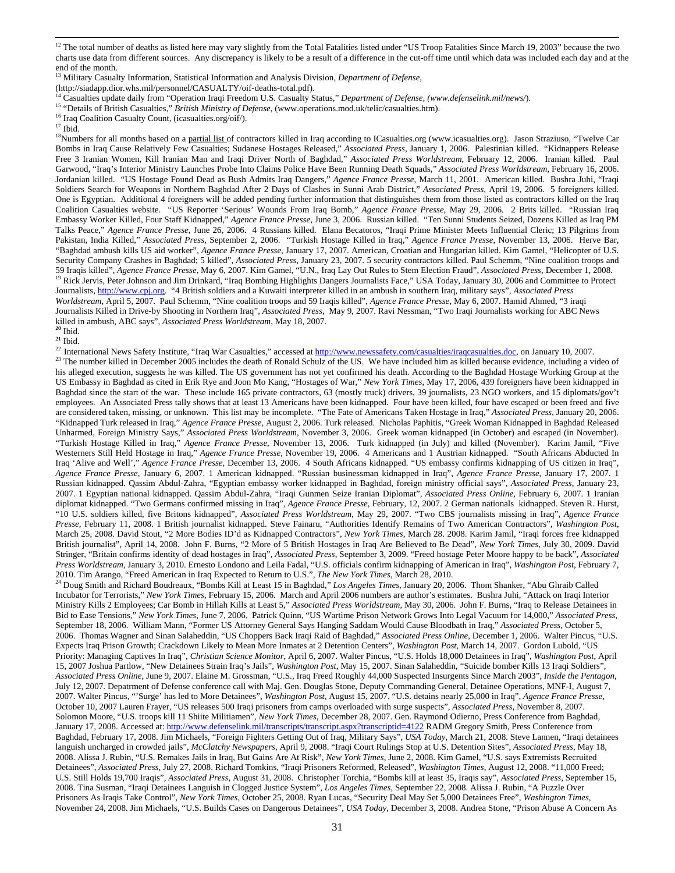13 Military Casualty Information, Statistical Information and Analysis Division, *Department of Defense*,

(http://siadapp.dior.whs.mil/personnel/CASUALTY/oif-deaths-total.pdf).<br><sup>14</sup> Casualties update daily from "Operation Iraqi Freedom U.S. Casualty Status," *Department of Defense*, (www.defenselink.mil/news/).<br><sup>15</sup> "Details o

<sup>16</sup> Iraq Coalition Casualty Count, (icasualties.org/oif/).

 $^{\rm 17}$  Ibid.

<sup>18</sup>Numbers for all months based on a partial list of contractors killed in Iraq according to ICasualties.org (www.icasualties.org). Jason Straziuso, "Twelve Car Bombs in Iraq Cause Relatively Few Casualties; Sudanese Hostages Released," *Associated Press*, January 1, 2006. Palestinian killed. "Kidnappers Release Free 3 Iranian Women, Kill Iranian Man and Iraqi Driver North of Baghdad," *Associated Press Worldstream,* February 12, 2006. Iranian killed. Paul Garwood, "Iraq's Interior Ministry Launches Probe Into Claims Police Have Been Running Death Squads," *Associated Press Worldstream*, February 16, 2006. Jordanian killed. "US Hostage Found Dead as Bush Admits Iraq Dangers," *Agence France Presse*, March 11, 2001. American killed. Bushra Juhi, "Iraqi Soldiers Search for Weapons in Northern Baghdad After 2 Days of Clashes in Sunni Arab District," *Associated Press,* April 19, 2006. 5 foreigners killed. One is Egyptian. Additional 4 foreigners will be added pending further information that distinguishes them from those listed as contractors killed on the Iraq Coalition Casualties website. "US Reporter 'Serious' Wounds From Iraq Bomb," *Agence France Presse*, May 29, 2006. 2 Brits killed. "Russian Iraq Embassy Worker Killed, Four Staff Kidnapped," *Agence France Presse*, June 3, 2006. Russian killed. "Ten Sunni Students Seized, Dozens Killed as Iraq PM Talks Peace," *Agence France Presse,* June 26, 2006. 4 Russians killed. Elana Becatoros, "Iraqi Prime Minister Meets Influential Cleric; 13 Pilgrims from Pakistan, India Killed," *Associated Press*, September 2, 2006. "Turkish Hostage Killed in Iraq," *Agence France Presse*, November 13, 2006. Herve Bar, "Baghdad ambush kills US aid worker", *Agence France Presse*, January 17, 2007. American, Croatian and Hungarian killed. Kim Gamel, "Helicopter of U.S. Security Company Crashes in Baghdad; 5 killed", *Associated Press*, January 23, 2007. 5 security contractors killed. Paul Schemm, "Nine coalition troops and 59 Iraqis killed", Agence France Presse, May 6, 2007. Kim Gamel, "U.N., Iraq Lay Out Rules to Stem Election Fraud", Associated Press, December 1, 2008.<br><sup>19</sup> Rick Jervis, Peter Johnson and Jim Drinkard, "Iraq Bombing Highli Journalists, http://www.cpj.org. "4 British soldiers and a Kuwaiti interpreter killed in an ambush in southern Iraq, military says", *Associated Press Worldstream*, April 5, 2007. Paul Schemm, "Nine coalition troops and 59 Iraqis killed", *Agence France Presse*, May 6, 2007. Hamid Ahmed, "3 iraqi Journalists Killed in Drive-by Shooting in Northern Iraq", *Associated Press*, May 9, 2007. Ravi Nessman, "Two Iraqi Journalists working for ABC News

killed in ambush, ABC says", *Associated Press Worldstream*, May 18, 2007. **<sup>20</sup>** Ibid.

**<sup>21</sup>** Ibid.

<sup>22</sup> International News Safety Institute, "Iraq War Casualties," accessed at http://www.newssafety.com/casualties/iraqcasualties.doc, on January 10, 2007.  $^{23}$  The number killed in December 2005 includes the death of Ronald Schulz of the US. We have included him as killed because evidence, including a video of his alleged execution, suggests he was killed. The US government has not yet confirmed his death. According to the Baghdad Hostage Working Group at the US Embassy in Baghdad as cited in Erik Rye and Joon Mo Kang, "Hostages of War," *New York Times*, May 17, 2006, 439 foreigners have been kidnapped in Baghdad since the start of the war. These include 165 private contractors, 63 (mostly truck) drivers, 39 journalists, 23 NGO workers, and 15 diplomats/gov't employees. An Associated Press tally shows that at least 13 Americans have been kidnapped. Four have been killed, four have escaped or been freed and five are considered taken, missing, or unknown. This list may be incomplete. "The Fate of Americans Taken Hostage in Iraq," *Associated Press*, January 20, 2006. "Kidnapped Turk released in Iraq," *Agence France Presse*, August 2, 2006. Turk released. Nicholas Paphitis, "Greek Woman Kidnapped in Baghdad Released Unharmed, Foreign Ministry Says," *Associated Press Worldstream*, November 3, 2006. Greek woman kidnapped (in October) and escaped (in November). "Turkish Hostage Killed in Iraq," *Agence France Presse*, November 13, 2006. Turk kidnapped (in July) and killed (November). Karim Jamil, "Five Westerners Still Held Hostage in Iraq," *Agence France Presse,* November 19, 2006. 4 Americans and 1 Austrian kidnapped. "South Africans Abducted In Iraq 'Alive and Well'," *Agence France Presse,* December 13, 2006. 4 South Africans kidnapped. "US embassy confirms kidnapping of US citizen in Iraq", *Agence France Presse*, January 6, 2007. 1 American kidnapped. "Russian businessman kidnapped in Iraq", *Agence France Presse*, January 17, 2007. 1 Russian kidnapped. Qassim Abdul-Zahra, "Egyptian embassy worker kidnapped in Baghdad, foreign ministry official says", *Associated Press*, January 23, 2007. 1 Egyptian national kidnapped. Qassim Abdul-Zahra, "Iraqi Gunmen Seize Iranian Diplomat", *Associated Press Online*, February 6, 2007. 1 Iranian diplomat kidnapped. "Two Germans confirmed missing in Iraq", *Agence France Presse*, February, 12, 2007. 2 German nationals kidnapped. Steven R. Hurst, "10 U.S. soldiers killed, five Britons kidnapped", *Associated Press Worldstream*, May 29, 2007. "Two CBS journalists missing in Iraq", *Agence France Presse*, February 11, 2008. 1 British journalist kidnapped. Steve Fainaru, "Authorities Identify Remains of Two American Contractors", *Washington Post*, March 25, 2008. David Stout, "2 More Bodies ID'd as Kidnapped Contractors", *New York Times*, March 28. 2008. Karim Jamil, "Iraqi forces free kidnapped British journalist", April 14, 2008. John F. Burns, "2 More of 5 British Hostages in Iraq Are Believed to Be Dead", *New York Times*, July 30, 2009. David Stringer, "Britain confirms identity of dead hostages in Iraq", *Associated Press*, September 3, 2009. "Freed hostage Peter Moore happy to be back", *Associated Press Worldstream*, January 3, 2010. Ernesto Londono and Leila Fadal, "U.S. officials confirm kidnapping of American in Iraq", *Washington Post*, February 7, 2010. Tim Arango, "Freed American in Iraq Expected to Return to U.S.", *The New York Times*, March 28, 2010.

<sup>24</sup> Doug Smith and Richard Boudreaux, "Bombs Kill at Least 15 in Baghdad," Los Angeles Times, January 20, 2006. Thom Shanker, "Abu Ghraib Called Incubator for Terrorists," *New York Times*, February 15, 2006. March and April 2006 numbers are author's estimates. Bushra Juhi, "Attack on Iraqi Interior Ministry Kills 2 Employees; Car Bomb in Hillah Kills at Least 5," *Associated Press Worldstream*, May 30, 2006. John F. Burns, "Iraq to Release Detainees in Bid to Ease Tensions," *New York Times*, June 7, 2006. Patrick Quinn, "US Wartime Prison Network Grows Into Legal Vacuum for 14,000," *Associated Press*, September 18, 2006. William Mann, "Former US Attorney General Says Hanging Saddam Would Cause Bloodbath in Iraq," *Associated Press*, October 5, 2006. Thomas Wagner and Sinan Salaheddin, "US Choppers Back Iraqi Raid of Baghdad," *Associated Press Online,* December 1, 2006. Walter Pincus, "U.S. Expects Iraq Prison Growth; Crackdown Likely to Mean More Inmates at 2 Detention Centers", *Washington Post*, March 14, 2007. Gordon Lubold, "US Priority: Managing Captives In Iraq", *Christian Science Monitor*, April 6, 2007. Walter Pincus, "U.S. Holds 18,000 Detainees in Iraq", *Washington Post*, April 15, 2007 Joshua Partlow, "New Detainees Strain Iraq's Jails", *Washington Post*, May 15, 2007. Sinan Salaheddin, "Suicide bomber Kills 13 Iraqi Soldiers", *Associated Press Online*, June 9, 2007. Elaine M. Grossman, "U.S., Iraq Freed Roughly 44,000 Suspected Insurgents Since March 2003", *Inside the Pentagon*, July 12, 2007. Depatrment of Defense conference call with Maj. Gen. Douglas Stone, Deputy Commanding General, Detainee Operations, MNF-I, August 7, 2007. Walter Pincus, "'Surge' has led to More Detainees", *Washington Post*, August 15, 2007. "U.S. detains nearly 25,000 in Iraq", *Agence France Presse*, October 10, 2007 Lauren Frayer, "US releases 500 Iraqi prisoners from camps overloaded with surge suspects", *Associated Press*, November 8, 2007. Solomon Moore, "U.S. troops kill 11 Shiite Militiamen", *New York Times*, December 28, 2007. Gen. Raymond Odierno, Press Conference from Baghdad, January 17, 2008. Accessed at: http://www.defenselink.mil/transcripts/transcript.aspx?transcriptid=4122 RADM Gregory Smith, Press Conference from Baghdad, February 17, 2008. Jim Michaels, "Foreign Fighters Getting Out of Iraq, Military Says", *USA Today*, March 21, 2008. Steve Lannen, "Iraqi detainees languish uncharged in crowded jails", *McClatchy Newspapers*, April 9, 2008. "Iraqi Court Rulings Stop at U.S. Detention Sites", *Associated Press*, May 18, 2008. Alissa J. Rubin, "U.S. Remakes Jails in Iraq, But Gains Are At Risk", *New York Times*, June 2, 2008. Kim Gamel, "U.S. says Extremists Recruited Detainees", *Associated Press*, July 27, 2008. Richard Tomkins, "Iraqi Prisoners Reformed, Released", *Washington Times*, August 12, 2008. "11,000 Freed; U.S. Still Holds 19,700 Iraqis", *Associated Press*, August 31, 2008. Christopher Torchia, "Bombs kill at least 35, Iraqis say", *Associated Press*, September 15, 2008. Tina Susman, "Iraqi Detainees Languish in Clogged Justice System", *Los Angeles Times*, September 22, 2008. Alissa J. Rubin, "A Puzzle Over Prisoners As Iraqis Take Control", *New York Times*, October 25, 2008. Ryan Lucas, "Security Deal May Set 5,000 Detainees Free", *Washington Times*, November 24, 2008. Jim Michaels, "U.S. Builds Cases on Dangerous Detainees", *USA Today*, December 3, 2008. Andrea Stone, "Prison Abuse A Concern As

<sup>&</sup>lt;sup>12</sup> The total number of deaths as listed here may vary slightly from the Total Fatalities listed under "US Troop Fatalities Since March 19, 2003" because the two charts use data from different sources. Any discrepancy is likely to be a result of a difference in the cut-off time until which data was included each day and at the end of the month.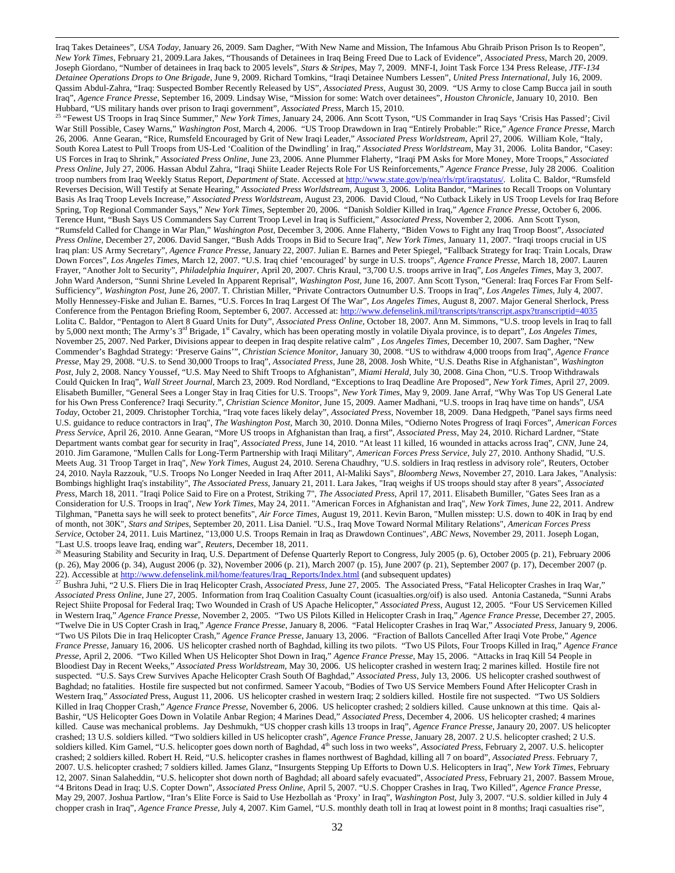Iraq Takes Detainees", *USA Today*, January 26, 2009. Sam Dagher, "With New Name and Mission, The Infamous Abu Ghraib Prison Prison Is to Reopen", *New York Times*, February 21, 2009.Lara Jakes, "Thousands of Detainees in Iraq Being Freed Due to Lack of Evidence", *Associated Press*, March 20, 2009. Joseph Giordano, "Number of detainees in Iraq back to 2005 levels", *Stars & Stripes*, May 7, 2009. MNF-I, Joint Task Force 134 Press Release, *JTF-134 Detainee Operations Drops to One Brigade*, June 9, 2009. Richard Tomkins, "Iraqi Detainee Numbers Lessen", *United Press International*, July 16, 2009. Qassim Abdul-Zahra, "Iraq: Suspected Bomber Recently Released by US", *Associated Press*, August 30, 2009. "US Army to close Camp Bucca jail in south Iraq", *Agence France Presse*, September 16, 2009. Lindsay Wise, "Mission for some: Watch over detainees", *Houston Chronicle*, January 10, 2010. Ben

<sup>25</sup> "Fewest US Troops in Iraq Since Summer," New York Times, January 24, 2006. Ann Scott Tyson, "US Commander in Iraq Says 'Crisis Has Passed'; Civil War Still Possible, Casey Warns," *Washington Post*, March 4, 2006. "US Troop Drawdown in Iraq "Entirely Probable:" Rice," *Agence France Presse*, March 26, 2006. Anne Gearan, "Rice, Rumsfeld Encouraged by Grit of New Iraqi Leader," *Associated Press Worldstream*, April 27, 2006. William Kole, "Italy, South Korea Latest to Pull Troops from US-Led 'Coalition of the Dwindling' in Iraq," *Associated Press Worldstream*, May 31, 2006. Lolita Bandor, "Casey: US Forces in Iraq to Shrink," *Associated Press Online,* June 23, 2006. Anne Plummer Flaherty, "Iraqi PM Asks for More Money, More Troops," *Associated Press Online*, July 27, 2006. Hassan Abdul Zahra, "Iraqi Shiite Leader Rejects Role For US Reinforcements," *Agence France Presse*, July 28 2006. Coalition troop numbers from Iraq Weekly Status Report, *Department of* State. Accessed at http://www.state.gov/p/nea/rls/rpt/iraqstatus/*.* Lolita C. Baldor*,* "Rumsfeld Reverses Decision, Will Testify at Senate Hearing," *Associated Press Worldstream*, August 3, 2006. Lolita Bandor, "Marines to Recall Troops on Voluntary Basis As Iraq Troop Levels Increase," *Associated Press Worldstream*, August 23, 2006. David Cloud, "No Cutback Likely in US Troop Levels for Iraq Before Spring, Top Regional Commander Says," *New York Times*, September 20, 2006. "Danish Soldier Killed in Iraq," *Agence France Presse,* October 6, 2006. Terence Hunt, "Bush Says US Commanders Say Current Troop Level in Iraq is Sufficient," *Associated Press*, November 2, 2006. Ann Scott Tyson, "Rumsfeld Called for Change in War Plan," *Washington Post*, December 3, 2006. Anne Flaherty, "Biden Vows to Fight any Iraq Troop Boost", *Associated Press Online*, December 27, 2006. David Sanger, "Bush Adds Troops in Bid to Secure Iraq", *New York Times*, January 11, 2007. "Iraqi troops crucial in US Iraq plan: US Army Secretary", *Agence France Presse*, January 22, 2007. Julian E. Barnes and Peter Spiegel, "Fallback Strategy for Iraq: Train Locals, Draw Down Forces", *Los Angeles Times*, March 12, 2007. "U.S. Iraq chief 'encouraged' by surge in U.S. troops", *Agence France Presse*, March 18, 2007. Lauren Frayer, "Another Jolt to Security", *Philadelphia Inquirer*, April 20, 2007. Chris Kraul, "3,700 U.S. troops arrive in Iraq", *Los Angeles Times*, May 3, 2007. John Ward Anderson, "Sunni Shrine Leveled In Apparent Reprisal", *Washington Post*, June 16, 2007. Ann Scott Tyson, "General: Iraq Forces Far From Self-Sufficiency", *Washington Post*, June 26, 2007. T. Christian Miller, "Private Contractors Outnumber U.S. Troops in Iraq", *Los Angeles Times*, July 4, 2007. Molly Hennessey-Fiske and Julian E. Barnes, "U.S. Forces In Iraq Largest Of The War", *Los Angeles Times*, August 8, 2007. Major General Sherlock, Press Conference from the Pentagon Briefing Room, September 6, 2007. Accessed at: http://www.defenselink.mil/transcripts/transcript.aspx?transcriptid=4035 Lolita C. Baldor, "Pentagon to Alert 8 Guard Units for Duty", *Associated Press Online*, October 18, 2007. Ann M. Simmons, "U.S. troop levels in Iraq to fall by 5,000 next month; The Army's 3rd Brigade, 1st Cavalry, which has been operating mostly in volatile Diyala province, is to depart", *Los Angeles Times*, November 25, 2007. Ned Parker, Divisions appear to deepen in Iraq despite relative calm" , *Los Angeles Times*, December 10, 2007. Sam Dagher, "New Commender's Baghdad Strategy: 'Preserve Gains'", *Christian Science Monitor*, January 30, 2008. "US to withdraw 4,000 troops from Iraq", *Agence France Presse*, May 29, 2008. "U.S. to Send 30,000 Troops to Iraq", *Associated Press*, June 28, 2008. Josh White, "U.S. Deaths Rise in Afghanistan", *Washington Post*, July 2, 2008. Nancy Youssef, "U.S. May Need to Shift Troops to Afghanistan", *Miami Herald*, July 30, 2008. Gina Chon, "U.S. Troop Withdrawals Could Quicken In Iraq", *Wall Street Journal*, March 23, 2009. Rod Nordland, "Exceptions to Iraq Deadline Are Proposed", *New York Times*, April 27, 2009. Elisabeth Bumiller, "General Sees a Longer Stay in Iraq Cities for U.S. Troops", *New York Times*, May 9, 2009. Jane Arraf, "Why Was Top US General Late for his Own Press Conference? Iraqi Security.", *Christian Science Monitor*, June 15, 2009. Aamer Madhani, "U.S. troops in Iraq have time on hands", *USA Today*, October 21, 2009. Christopher Torchia, "Iraq vote faces likely delay", *Associated Press*, November 18, 2009. Dana Hedgpeth, "Panel says firms need U.S. guidance to reduce contractors in Iraq", *The Washington Post*, March 30, 2010. Donna Miles, "Odierno Notes Progress of Iraqi Forces", *American Forces Press Service*, April 26, 2010. Anne Gearan, "More US troops in Afghanistan than Iraq, a first", *Associated Press*, May 24, 2010. Richard Lardner, "State Department wants combat gear for security in Iraq", *Associated Press*, June 14, 2010. "At least 11 killed, 16 wounded in attacks across Iraq", *CNN*, June 24, 2010. Jim Garamone, "Mullen Calls for Long-Term Partnership with Iraqi Military", *American Forces Press Service*, July 27, 2010. Anthony Shadid, "U.S. Meets Aug. 31 Troop Target in Iraq", *New York Times*, August 24, 2010. Serena Chaudhry, "U.S. soldiers in Iraq restless in advisory role", Reuters, October 24, 2010. Nayla Razzouk, "U.S. Troops No Longer Needed in Iraq After 2011, Al-Maliki Says", *Bloomberg News*, November 27, 2010. Lara Jakes, "Analysis: Bombings highlight Iraq's instability", *The Associated Press*, January 21, 2011. Lara Jakes, "Iraq weighs if US troops should stay after 8 years", *Associated Press*, March 18, 2011. "Iraqi Police Said to Fire on a Protest, Striking 7", *The Associated Press*, April 17, 2011. Elisabeth Bumiller, "Gates Sees Iran as a Consideration for U.S. Troops in Iraq", *New York Times*, May 24, 2011. "American Forces in Afghanistan and Iraq", *New York Times*, June 22, 2011. Andrew Tilghman, "Panetta says he will seek to protect benefits", *Air Force Times*, August 19, 2011. Kevin Baron, "Mullen misstep: U.S. down to 40K in Iraq by end of month, not 30K", *Stars and Stripes*, September 20, 2011. Lisa Daniel. "U.S., Iraq Move Toward Normal Military Relations", *American Forces Press Service*, October 24, 2011. Luis Martinez, "13,000 U.S. Troops Remain in Iraq as Drawdown Continues", *ABC News*, November 29, 2011. Joseph Logan,

"Last U.S. troops leave Iraq, ending war", Reuters, December 18, 2011.<br><sup>26</sup> Measuring Stability and Security in Iraq, U.S. Department of Defense Quarterly Report to Congress, July 2005 (p. 6), October 2005 (p. 21), Februar (p. 26), May 2006 (p. 34), August 2006 (p. 32), November 2006 (p. 21), March 2007 (p. 15), June 2007 (p. 21), September 2007 (p. 17), December 2007 (p. 22). Accessible at http://www.defenselink.mil/home/features/Iraq\_Reports/Index.html (and subsequent updates)

27 Bushra Juhi, "2 U.S. Fliers Die in Iraq Helicopter Crash, *Associated Press*, June 27, 2005. The Associated Press, "Fatal Helicopter Crashes in Iraq War," *Associated Press Online*, June 27, 2005. Information from Iraq Coalition Casualty Count (icasualties.org/oif) is also used. Antonia Castaneda, "Sunni Arabs Reject Shiite Proposal for Federal Iraq; Two Wounded in Crash of US Apache Helicopter," *Associated Press*, August 12, 2005. "Four US Servicemen Killed in Western Iraq," *Agence France Presse*, November 2, 2005. "Two US Pilots Killed in Helicopter Crash in Iraq," *Agence France Presse*, December 27, 2005. "Twelve Die in US Copter Crash in Iraq," *Agence France Presse*, January 8, 2006. "Fatal Helicopter Crashes in Iraq War," *Associated Press*, January 9, 2006. "Two US Pilots Die in Iraq Helicopter Crash," *Agence France Presse*, January 13, 2006. "Fraction of Ballots Cancelled After Iraqi Vote Probe," *Agence France Presse*, January 16, 2006. US helicopter crashed north of Baghdad, killing its two pilots. "Two US Pilots, Four Troops Killed in Iraq," *Agence France Presse*, April 2, 2006. "Two Killed When US Helicopter Shot Down in Iraq," *Agence France Presse*, May 15, 2006. "Attacks in Iraq Kill 54 People in Bloodiest Day in Recent Weeks," *Associated Press Worldstream*, May 30, 2006. US helicopter crashed in western Iraq; 2 marines killed. Hostile fire not suspected. "U.S. Says Crew Survives Apache Helicopter Crash South Of Baghdad," *Associated Press*, July 13, 2006. US helicopter crashed southwest of Baghdad; no fatalities. Hostile fire suspected but not confirmed. Sameer Yacoub, "Bodies of Two US Service Members Found After Helicopter Crash in Western Iraq," *Associated* Press, August 11, 2006. US helicopter crashed in western Iraq; 2 soldiers killed. Hostile fire not suspected. "Two US Soldiers Killed in Iraq Chopper Crash," *Agence France Presse*, November 6, 2006. US helicopter crashed; 2 soldiers killed. Cause unknown at this time. Qais al-Bashir, "US Helicopter Goes Down in Volatile Anbar Region; 4 Marines Dead," *Associated Press*, December 4, 2006. US helicopter crashed; 4 marines killed. Cause was mechanical problems. Jay Deshmukh, "US chopper crash kills 13 troops in Iraq", *Agence France Presse*, Janaury 20, 2007. US helicopter crashed; 13 U.S. soldiers killed. "Two soldiers killed in US helicopter crash", *Agence France Presse*, January 28, 2007. 2 U.S. helicopter crashed; 2 U.S. soldiers killed. Kim Gamel, "U.S. helicopter goes down north of Baghdad, 4<sup>th</sup> such loss in two weeks", *Associated Press*, February 2, 2007. U.S. helicopter crashed; 2 soldiers killed. Robert H. Reid, "U.S. helicopter crashes in flames northwest of Baghdad, killing all 7 on board", *Associated Press*. February 7, 2007. U.S. helicopter crashed; 7 soldiers killed. James Glanz, "Insurgents Stepping Up Efforts to Down U.S. Helicopters in Iraq", *New York Times*, February 12, 2007. Sinan Salaheddin, "U.S. helicopter shot down north of Baghdad; all aboard safely evacuated", *Associated Press*, February 21, 2007. Bassem Mroue, "4 Britons Dead in Iraq; U.S. Copter Down", *Associated Press Online*, April 5, 2007. "U.S. Chopper Crashes in Iraq, Two Killed", *Agence France Presse*, May 29, 2007. Joshua Partlow, "Iran's Elite Force is Said to Use Hezbollah as 'Proxy' in Iraq", *Washington Post*, July 3, 2007. "U.S. soldier killed in July 4 chopper crash in Iraq", *Agence France Presse*, July 4, 2007. Kim Gamel, "U.S. monthly death toll in Iraq at lowest point in 8 months; Iraqi casualties rise",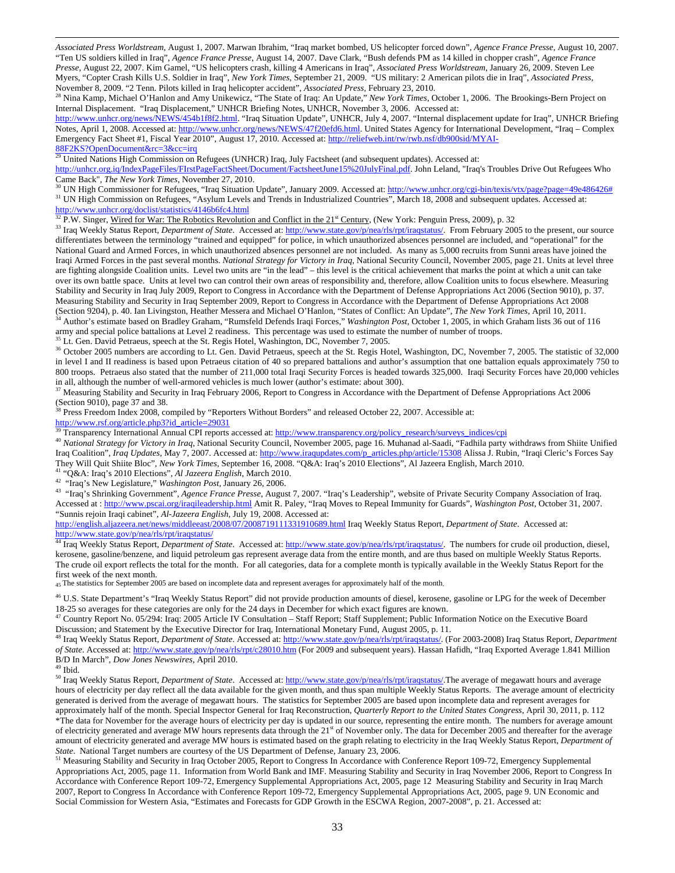*Associated Press Worldstream*, August 1, 2007. Marwan Ibrahim, "Iraq market bombed, US helicopter forced down", *Agence France Presse*, August 10, 2007. "Ten US soldiers killed in Iraq", *Agence France Presse*, August 14, 2007. Dave Clark, "Bush defends PM as 14 killed in chopper crash", *Agence France Presse*, August 22, 2007. Kim Gamel, "US helicopters crash, killing 4 Americans in Iraq", *Associated Press Worldstream*, January 26, 2009. Steven Lee Myers, "Copter Crash Kills U.S. Soldier in Iraq", *New York Times*, September 21, 2009. "US military: 2 American pilots die in Iraq", *Associated Press*,

November 8, 2009. "2 Tenn. Pilots killed in Iraq helicopter accident", Associated Press, February 23, 2010.<br><sup>28</sup> Nina Kamp, Michael O'Hanlon and Amy Unikewicz, "The State of Iraq: An Update," New York Times, October 1, 200 Internal Displacement. "Iraq Displacement," UNHCR Briefing Notes, UNHCR, November 3, 2006. Accessed at:

http://www.unhcr.org/news/NEWS/454b1f8f2.html. "Iraq Situation Update", UNHCR, July 4, 2007. "Internal displacement update for Iraq", UNHCR Briefing Notes, April 1, 2008. Accessed at: http://www.unhcr.org/news/NEWS/47f20efd6.html. United States Agency for International Development, "Iraq – Complex Emergency Fact Sheet #1, Fiscal Year 2010", August 17, 2010. Accessed at: http://reliefweb.int/rw/rwb.nsf/db900sid/MYAI-88F2KS?OpenDocument&rc=3&cc=irq

29 United Nations High Commission on Refugees (UNHCR) Iraq, July Factsheet (and subsequent updates). Accessed at:

http://unhcr.org.iq/IndexPageFiles/FIrstPageFactSheet/Document/FactsheetJune15%20JulyFinal.pdf. John Leland, "Iraq's Troubles Drive Out Refugees Who<br>Came Back", The New York Times, November 27, 2010.

<sup>30</sup> UN High Commissioner for Refugees, "Iraq Situation Update", January 2009. Accessed at: http://www.unhcr.org/cgi-bin/texis/vtx/page?page=49e486426# <sup>31</sup> UN High Commission on Refugees, "Asylum Levels and Trends in Industrialized Countries", March 18, 2008 and subsequent updates. Accessed at: http://www.unhcr.org/doclist/statistics/4146b6fc4.html

 $32$  P.W. Singer, Wired for War: The Robotics Revolution and Conflict in the 21<sup>st</sup> Century, (New York: Penguin Press, 2009), p. 32

<sup>33</sup> Iraq Weekly Status Report, *Department of State*. Accessed at: http://www.state.gov/p/nea/rls/rpt/iraqstatus/. From February 2005 to the present, our source differentiates between the terminology "trained and equipped" for police, in which unauthorized absences personnel are included, and "operational" for the National Guard and Armed Forces, in which unauthorized absences personnel are not included. As many as 5,000 recruits from Sunni areas have joined the Iraqi Armed Forces in the past several months. *National Strategy for Victory in Iraq*, National Security Council, November 2005, page 21. Units at level three are fighting alongside Coalition units. Level two units are "in the lead" – this level is the critical achievement that marks the point at which a unit can take over its own battle space. Units at level two can control their own areas of responsibility and, therefore, allow Coalition units to focus elsewhere. Measuring Stability and Security in Iraq July 2009, Report to Congress in Accordance with the Department of Defense Appropriations Act 2006 (Section 9010), p. 37. Measuring Stability and Security in Iraq September 2009, Report to Congress in Accordance with the Department of Defense Appropriations Act 2008 (Section 9204), p. 40. Ian Livingston, Heather Messera and Michael O'Hanlon, <sup>34</sup> Author's estimate based on Bradley Graham, "Rumsfeld Defends Iraqi Forces," Washington Post, October 1, 2005, in which Graham lists 36 out of 116

army and special police battalions at Level 2 readiness. This percentage was used to estimate the number of number of troops. 35 Lt. Gen. David Petraeus, speech at the St. Regis Hotel, Washington, DC, November 7, 2005.

<sup>36</sup> October 2005 numbers are according to Lt. Gen. David Petraeus, speech at the St. Regis Hotel, Washington, DC, November 7, 2005. The statistic of 32,000 in level I and II readiness is based upon Petraeus citation of 40 so prepared battalions and author's assumption that one battalion equals approximately 750 to 800 troops. Petraeus also stated that the number of 211,000 total Iraqi Security Forces is headed towards 325,000. Iraqi Security Forces have 20,000 vehicles in all, although the number of well-armored vehicles is much lower (author's estimate: about 300).<br><sup>37</sup> Measuring Stability and Security in Iraq February 2006, Report to Congress in Accordance with the Department of Defens

(Section 9010), page 37 and 38.

<sup>38</sup> Press Freedom Index 2008, compiled by "Reporters Without Borders" and released October 22, 2007. Accessible at: http://www.rsf.org/article.php3?id\_article=29031<br><sup>39</sup> Transparency International Annual CPI reports accessed at: http://www.transparency.org/policy\_research/surveys\_indices/cpi

<sup>40</sup> *National Strategy for Victory in Iraq*, National Security Council, November 2005, page 16. Muhanad al-Saadi, "Fadhila party withdraws from Shiite Unified Iraq Coalition", *Iraq Updates*, May 7, 2007. Accessed at: http://www.iraqupdates.com/p\_articles.php/article/15308 Alissa J. Rubin, "Iraqi Cleric's Forces Say They Will Quit Shiite Bloc", *New York Times*, September 16, 2008. "Q&A: Iraq's 2010 Elections", Al Jazeera English, March 2010.

<sup>42</sup> "Iraq's New Legislature," Washington Post, January 26, 2006.<br><sup>43</sup> "Iraq's Shrinking Government", Agence France Presse, August 7, 2007. "Iraq's Leadership", website of Private Security Company Association of Iraq. Accessed at : http://www.pscai.org/iraqileadership.html Amit R. Paley, "Iraq Moves to Repeal Immunity for Guards", *Washington Post*, October 31, 2007. "Sunnis rejoin Iraqi cabinet", *Al-Jazeera English*, July 19, 2008. Accessed at:

http://english.aljazeera.net/news/middleeast/2008/07/2008719111331910689.html Iraq Weekly Status Report, *Department of State*. Accessed at: http://www.state.gov/p/nea/rls/rpt/iraqstatus/

44 Iraq Weekly Status Report, *Department of State*. Accessed at: http://www.state.gov/p/nea/rls/rpt/iraqstatus/. The numbers for crude oil production, diesel, kerosene, gasoline/benzene, and liquid petroleum gas represent average data from the entire month, and are thus based on multiple Weekly Status Reports. The crude oil export reflects the total for the month. For all categories, data for a complete month is typically available in the Weekly Status Report for the first week of the next month.

45 The statistics for September 2005 are based on incomplete data and represent averages for approximately half of the month.

<sup>46</sup> U.S. State Department's "Iraq Weekly Status Report" did not provide production amounts of diesel, kerosene, gasoline or LPG for the week of December

18-25 so averages for these categories are only for the 24 days in December for which exact figures are known.<br><sup>47</sup> Country Report No. 05/294: Iraq: 2005 Article IV Consultation – Staff Report; Staff Supplement; Public Inf

48 Iraq Weekly Status Report, Department of State. Accessed at: http://www.state.gov/p/nea/rls/rpt/iraqstatus/. (For 2003-2008) Iraq Status Report, Department *of State*. Accessed at: http://www.state.gov/p/nea/rls/rpt/c28010.htm (For 2009 and subsequent years). Hassan Hafidh, "Iraq Exported Average 1.841 Million B/D In March", *Dow Jones Newswires*, April 2010. 49 Ibid.

l

50 Iraq Weekly Status Report, *Department of State*. Accessed at: http://www.state.gov/p/nea/rls/rpt/iraqstatus/.The average of megawatt hours and average hours of electricity per day reflect all the data available for the given month, and thus span multiple Weekly Status Reports. The average amount of electricity generated is derived from the average of megawatt hours. The statistics for September 2005 are based upon incomplete data and represent averages for approximately half of the month. Special Inspector General for Iraq Reconstruction, *Quarterly Report to the United States Congress*, April 30, 2011, p. 112

\*The data for November for the average hours of electricity per day is updated in our source, representing the entire month. The numbers for average amount of electricity generated and average MW hours represents data through the  $21<sup>st</sup>$  of November only. The data for December 2005 and thereafter for the average amount of electricity generated and average MW hours is estimated based on the graph relating to electricity in the Iraq Weekly Status Report, *Department of State*. National Target numbers are courtesy of the US Department of Defense, January 23, 2006.

<sup>51</sup> Measuring Stability and Security in Iraq October 2005, Report to Congress In Accordance with Conference Report 109-72, Emergency Supplemental Appropriations Act, 2005, page 11. Information from World Bank and IMF. Measuring Stability and Security in Iraq November 2006, Report to Congress In Accordance with Conference Report 109-72, Emergency Supplemental Appropriations Act, 2005, page 12 Measuring Stability and Security in Iraq March 2007, Report to Congress In Accordance with Conference Report 109-72, Emergency Supplemental Appropriations Act, 2005, page 9. UN Economic and Social Commission for Western Asia, "Estimates and Forecasts for GDP Growth in the ESCWA Region, 2007-2008", p. 21. Accessed at: